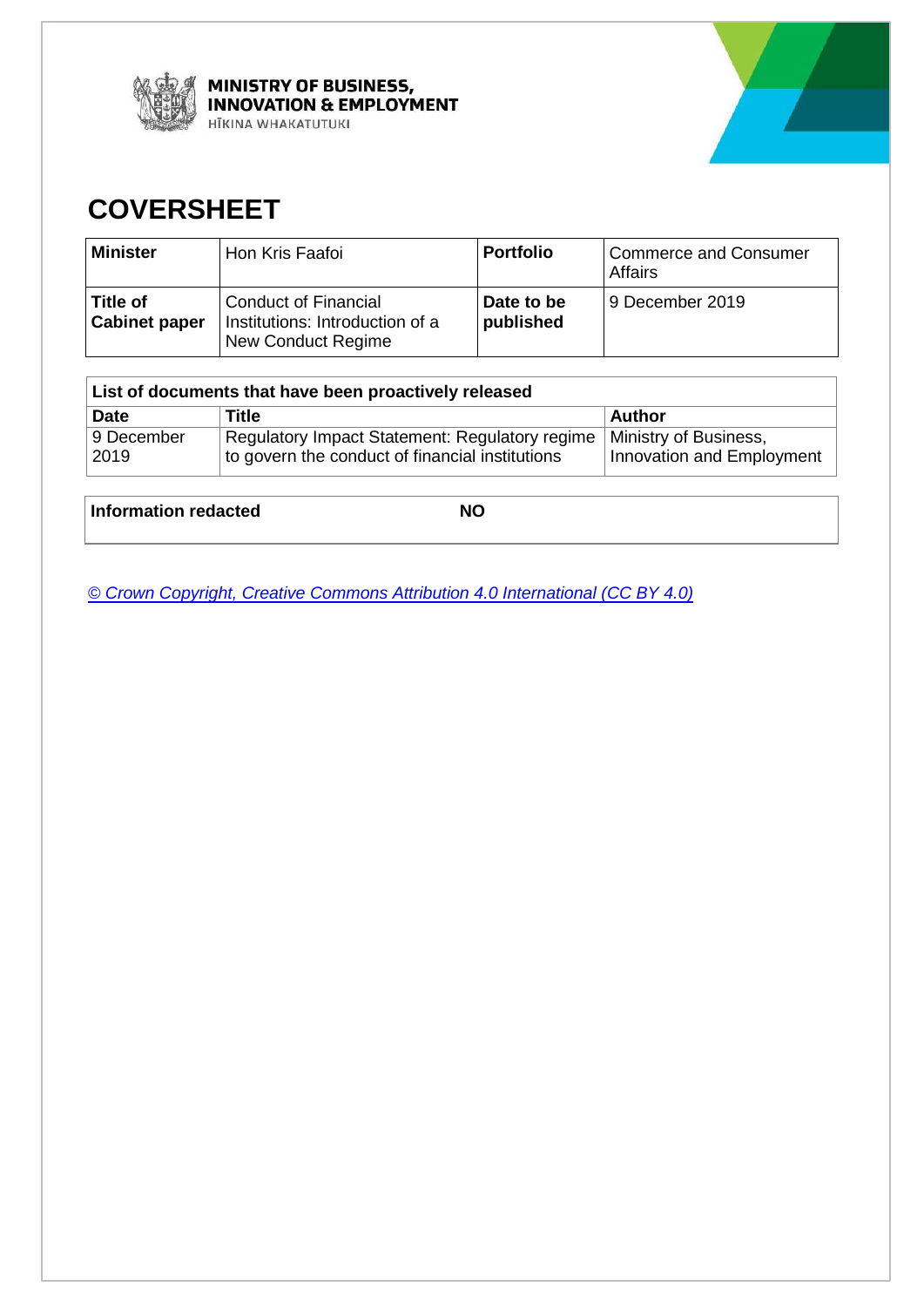



## **COVERSHEET**

| <b>Minister</b>                  | Hon Kris Faafoi                                                                      | <b>Portfolio</b>        | Commerce and Consumer<br><b>Affairs</b> |
|----------------------------------|--------------------------------------------------------------------------------------|-------------------------|-----------------------------------------|
| Title of<br><b>Cabinet paper</b> | <b>Conduct of Financial</b><br>Institutions: Introduction of a<br>New Conduct Regime | Date to be<br>published | 9 December 2019                         |

| List of documents that have been proactively released |                                                                                                   |                                                    |  |  |  |  |  |
|-------------------------------------------------------|---------------------------------------------------------------------------------------------------|----------------------------------------------------|--|--|--|--|--|
| <b>Date</b>                                           | Title<br>Author                                                                                   |                                                    |  |  |  |  |  |
| 9 December<br>2019                                    | Regulatory Impact Statement: Regulatory regime<br>to govern the conduct of financial institutions | Ministry of Business,<br>Innovation and Employment |  |  |  |  |  |

**Information redacted NO** 

*[© Crown Copyright, Creative Commons Attribution 4.0 International \(CC BY 4.0\)](https://creativecommons.org/licenses/by/4.0/)*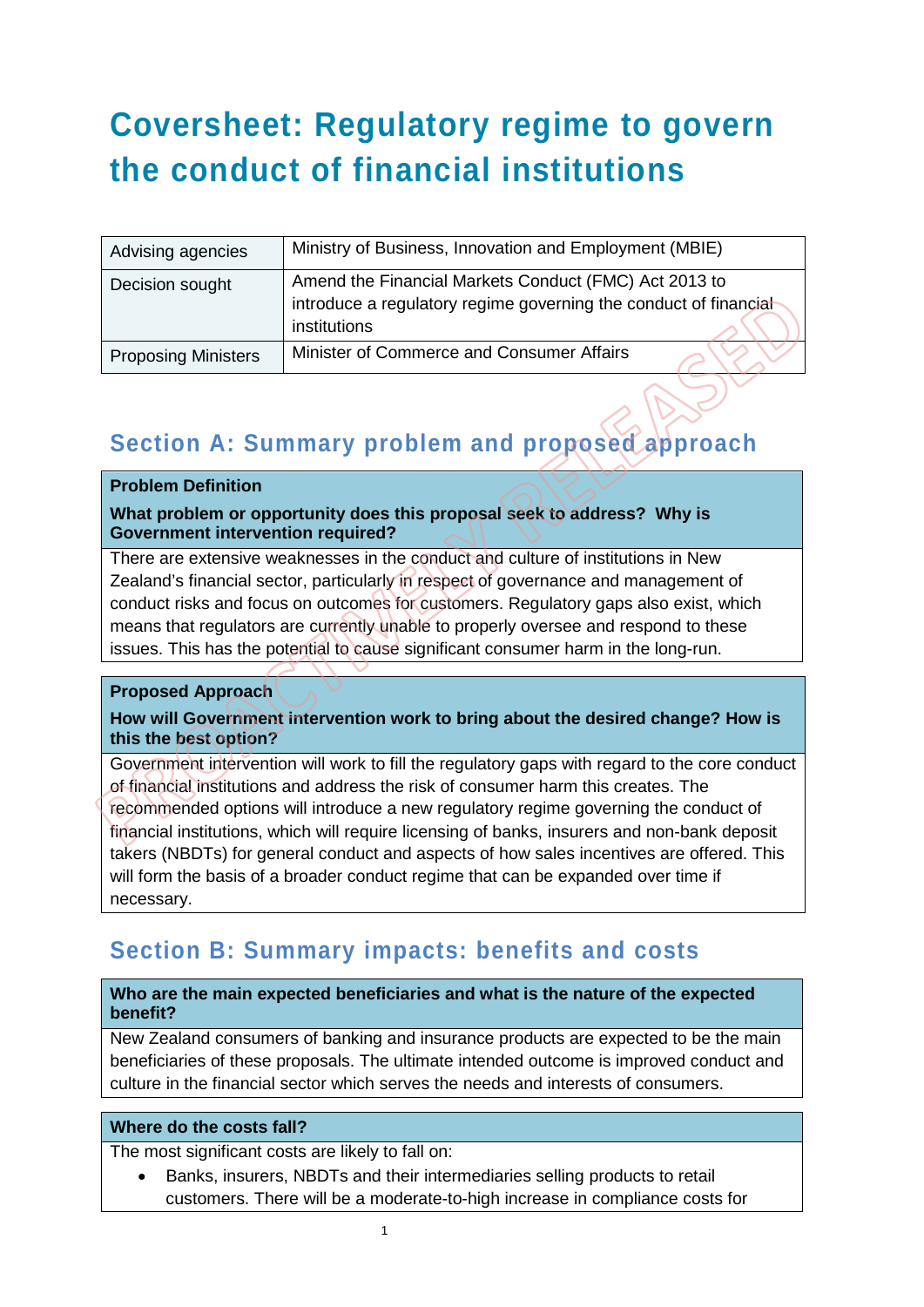# **Coversheet: Regulatory regime to govern the conduct of financial institutions**

| Advising agencies          | Ministry of Business, Innovation and Employment (MBIE)                                                                                    |  |  |  |
|----------------------------|-------------------------------------------------------------------------------------------------------------------------------------------|--|--|--|
| Decision sought            | Amend the Financial Markets Conduct (FMC) Act 2013 to<br>introduce a regulatory regime governing the conduct of financial<br>institutions |  |  |  |
| <b>Proposing Ministers</b> | Minister of Commerce and Consumer Affairs                                                                                                 |  |  |  |

## **Section A: Summary problem and proposed approach**

#### **Problem Definition**

**What problem or opportunity does this proposal seek to address? Why is Government intervention required?**

There are extensive weaknesses in the conduct and culture of institutions in New Zealand's financial sector, particularly in respect of governance and management of conduct risks and focus on outcomes for customers. Regulatory gaps also exist, which means that regulators are currently unable to properly oversee and respond to these issues. This has the potential to cause significant consumer harm in the long-run.

#### **Proposed Approach**

#### **How will Government intervention work to bring about the desired change? How is this the best option?**

Government intervention will work to fill the regulatory gaps with regard to the core conduct of financial institutions and address the risk of consumer harm this creates. The recommended options will introduce a new regulatory regime governing the conduct of financial institutions, which will require licensing of banks, insurers and non-bank deposit takers (NBDTs) for general conduct and aspects of how sales incentives are offered. This will form the basis of a broader conduct regime that can be expanded over time if necessary.

### **Section B: Summary impacts: benefits and costs**

#### **Who are the main expected beneficiaries and what is the nature of the expected benefit?**

New Zealand consumers of banking and insurance products are expected to be the main beneficiaries of these proposals. The ultimate intended outcome is improved conduct and culture in the financial sector which serves the needs and interests of consumers.

#### **Where do the costs fall?**

The most significant costs are likely to fall on:

• Banks, insurers, NBDTs and their intermediaries selling products to retail customers. There will be a moderate-to-high increase in compliance costs for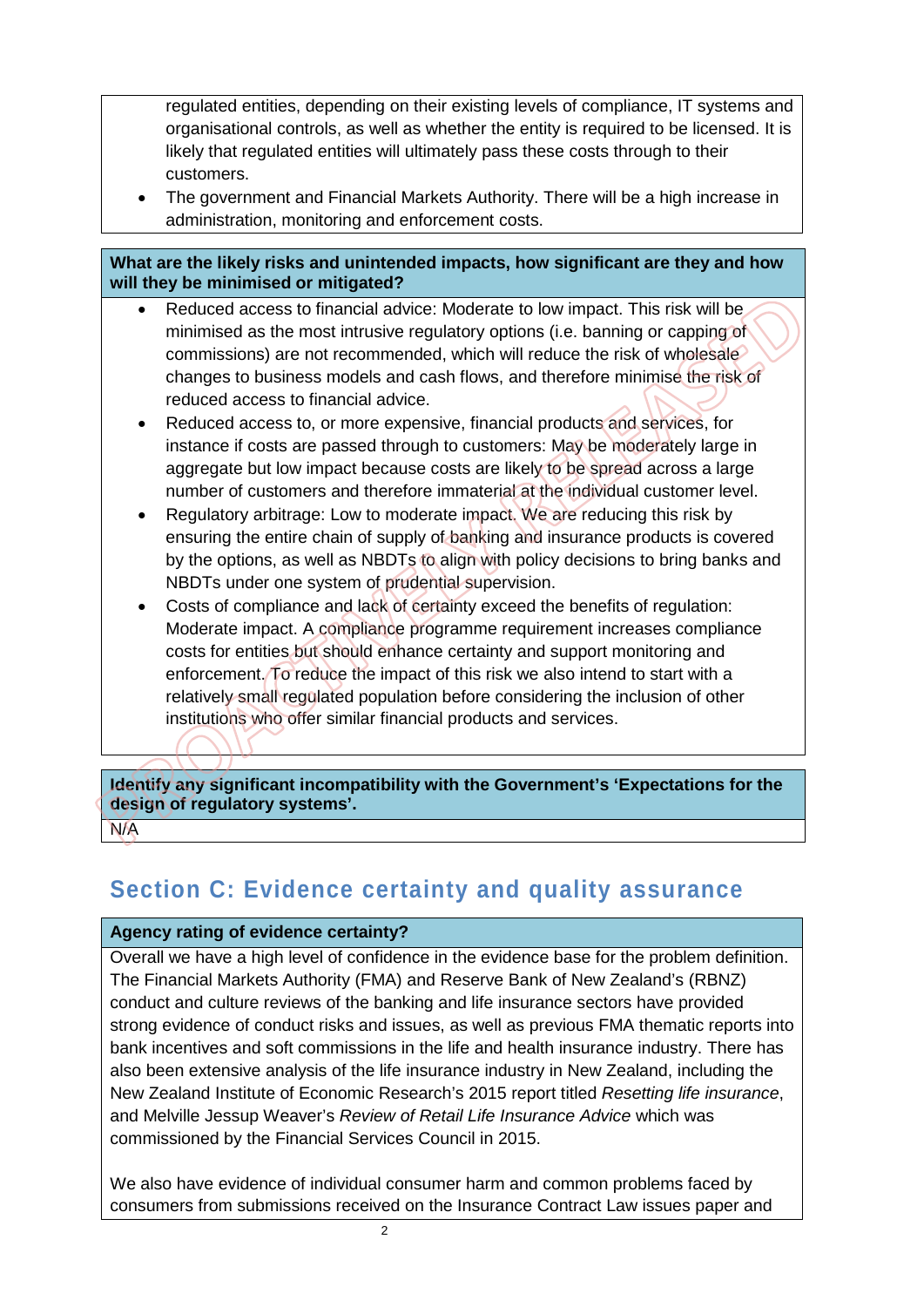regulated entities, depending on their existing levels of compliance, IT systems and organisational controls, as well as whether the entity is required to be licensed. It is likely that regulated entities will ultimately pass these costs through to their customers.

• The government and Financial Markets Authority. There will be a high increase in administration, monitoring and enforcement costs.

#### **What are the likely risks and unintended impacts, how significant are they and how will they be minimised or mitigated?**

- Reduced access to financial advice: Moderate to low impact. This risk will be minimised as the most intrusive regulatory options (i.e. banning or capping of commissions) are not recommended, which will reduce the risk of wholesale changes to business models and cash flows, and therefore minimise the risk of reduced access to financial advice.
- Reduced access to, or more expensive, financial products and services, for instance if costs are passed through to customers: May be moderately large in aggregate but low impact because costs are likely to be spread across a large number of customers and therefore immaterial at the individual customer level.
- Regulatory arbitrage: Low to moderate impact. We are reducing this risk by ensuring the entire chain of supply of banking and insurance products is covered by the options, as well as NBDTs to align with policy decisions to bring banks and NBDTs under one system of prudential supervision.
- Costs of compliance and lack of certainty exceed the benefits of regulation: Moderate impact. A compliance programme requirement increases compliance costs for entities but should enhance certainty and support monitoring and enforcement. To reduce the impact of this risk we also intend to start with a relatively small regulated population before considering the inclusion of other institutions who offer similar financial products and services.

**Identify any significant incompatibility with the Government's 'Expectations for the design of regulatory systems'.** 

N/A

## **Section C: Evidence certainty and quality assurance**

#### **Agency rating of evidence certainty?**

Overall we have a high level of confidence in the evidence base for the problem definition. The Financial Markets Authority (FMA) and Reserve Bank of New Zealand's (RBNZ) conduct and culture reviews of the banking and life insurance sectors have provided strong evidence of conduct risks and issues, as well as previous FMA thematic reports into bank incentives and soft commissions in the life and health insurance industry. There has also been extensive analysis of the life insurance industry in New Zealand, including the New Zealand Institute of Economic Research's 2015 report titled *Resetting life insurance*, and Melville Jessup Weaver's *Review of Retail Life Insurance Advice* which was commissioned by the Financial Services Council in 2015.

We also have evidence of individual consumer harm and common problems faced by consumers from submissions received on the Insurance Contract Law issues paper and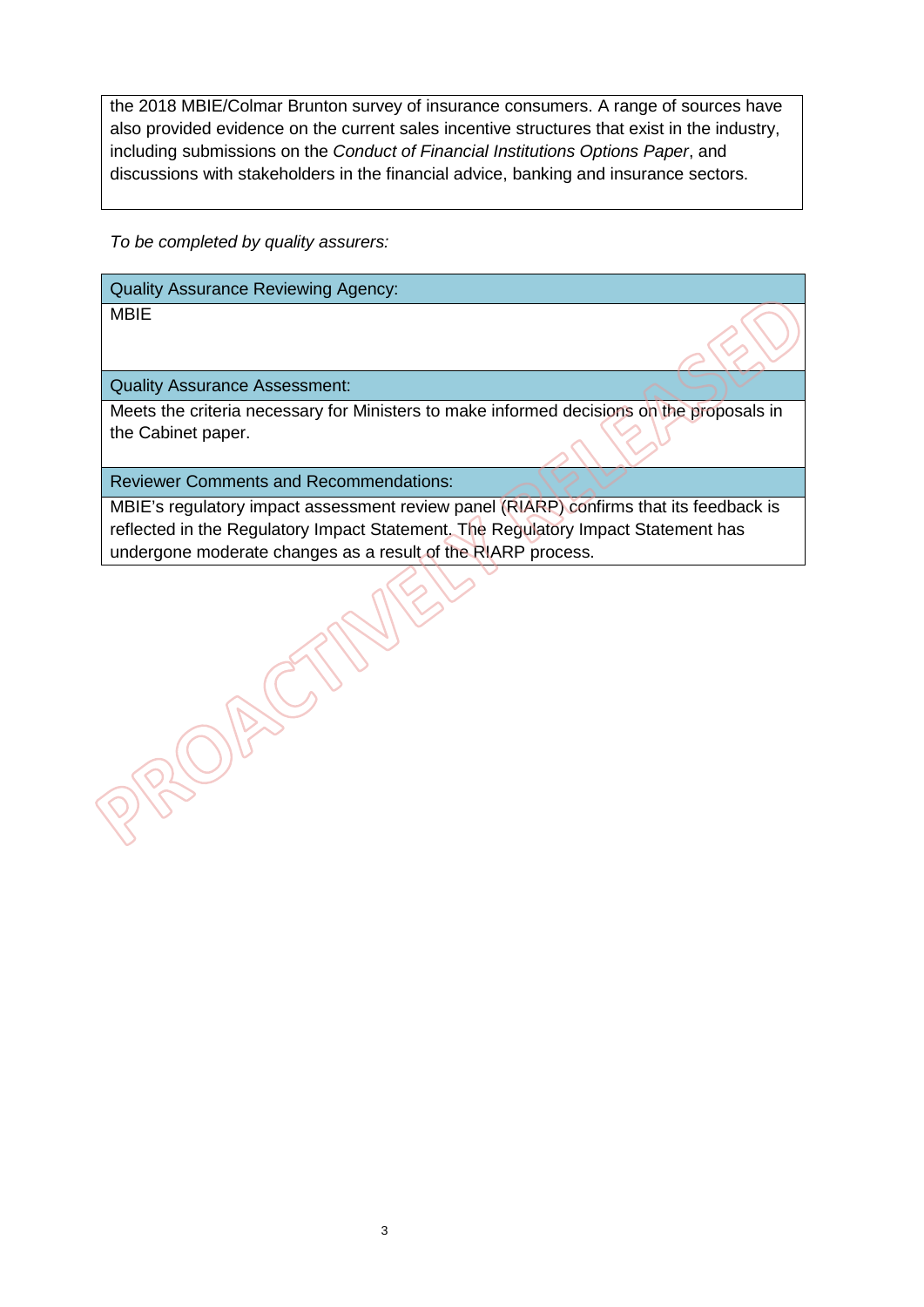the 2018 MBIE/Colmar Brunton survey of insurance consumers. A range of sources have also provided evidence on the current sales incentive structures that exist in the industry, including submissions on the *Conduct of Financial Institutions Options Paper*, and discussions with stakeholders in the financial advice, banking and insurance sectors.

*To be completed by quality assurers:*

Quality Assurance Reviewing Agency:

MBIE

Quality Assurance Assessment:

ROBE

Meets the criteria necessary for Ministers to make informed decisions on the proposals in the Cabinet paper.

Reviewer Comments and Recommendations:

 $\bigcap_{\lambda}$ 

MBIE's regulatory impact assessment review panel (RIARP) confirms that its feedback is reflected in the Regulatory Impact Statement. The Regulatory Impact Statement has undergone moderate changes as a result of the RIARP process.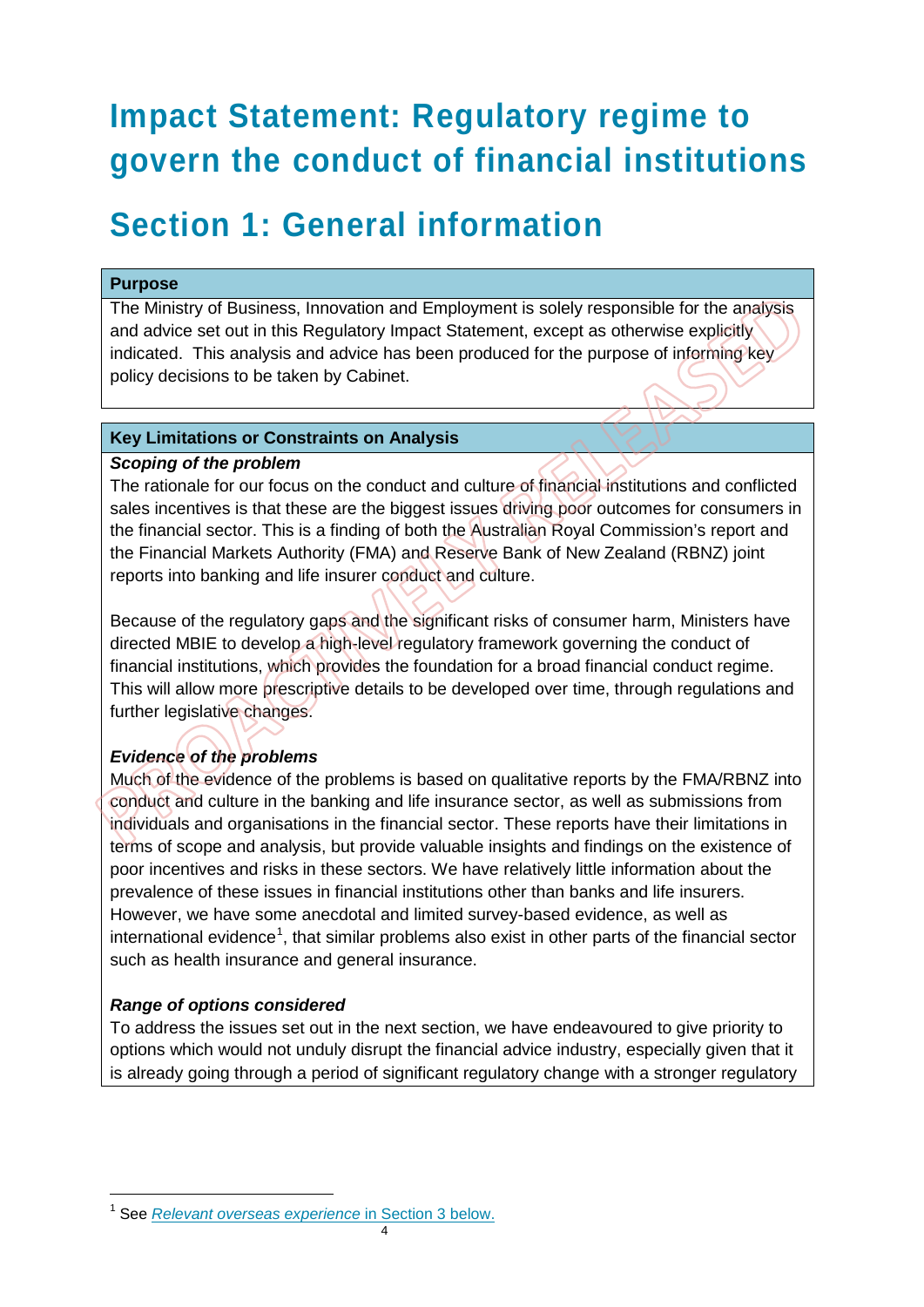# **Impact Statement: Regulatory regime to govern the conduct of financial institutions**

## **Section 1: General information**

#### **Purpose**

The Ministry of Business, Innovation and Employment is solely responsible for the analysis and advice set out in this Regulatory Impact Statement, except as otherwise explicitly indicated. This analysis and advice has been produced for the purpose of informing key policy decisions to be taken by Cabinet.

#### **Key Limitations or Constraints on Analysis**

#### *Scoping of the problem*

The rationale for our focus on the conduct and culture of financial institutions and conflicted sales incentives is that these are the biggest issues driving poor outcomes for consumers in the financial sector. This is a finding of both the Australian Royal Commission's report and the Financial Markets Authority (FMA) and Reserve Bank of New Zealand (RBNZ) joint reports into banking and life insurer conduct and culture.

Because of the regulatory gaps and the significant risks of consumer harm, Ministers have directed MBIE to develop a high-level regulatory framework governing the conduct of financial institutions, which provides the foundation for a broad financial conduct regime. This will allow more prescriptive details to be developed over time, through regulations and further legislative changes.

#### *Evidence of the problems*

Much of the evidence of the problems is based on qualitative reports by the FMA/RBNZ into conduct and culture in the banking and life insurance sector, as well as submissions from individuals and organisations in the financial sector. These reports have their limitations in terms of scope and analysis, but provide valuable insights and findings on the existence of poor incentives and risks in these sectors. We have relatively little information about the prevalence of these issues in financial institutions other than banks and life insurers. However, we have some anecdotal and limited survey-based evidence, as well as international evidence<sup>[1](#page-4-0)</sup>, that similar problems also exist in other parts of the financial sector such as health insurance and general insurance.

#### *Range of options considered*

-

To address the issues set out in the next section, we have endeavoured to give priority to options which would not unduly disrupt the financial advice industry, especially given that it is already going through a period of significant regulatory change with a stronger regulatory

<span id="page-4-0"></span><sup>1</sup> See *Relevant overseas experience* in Section 3 below.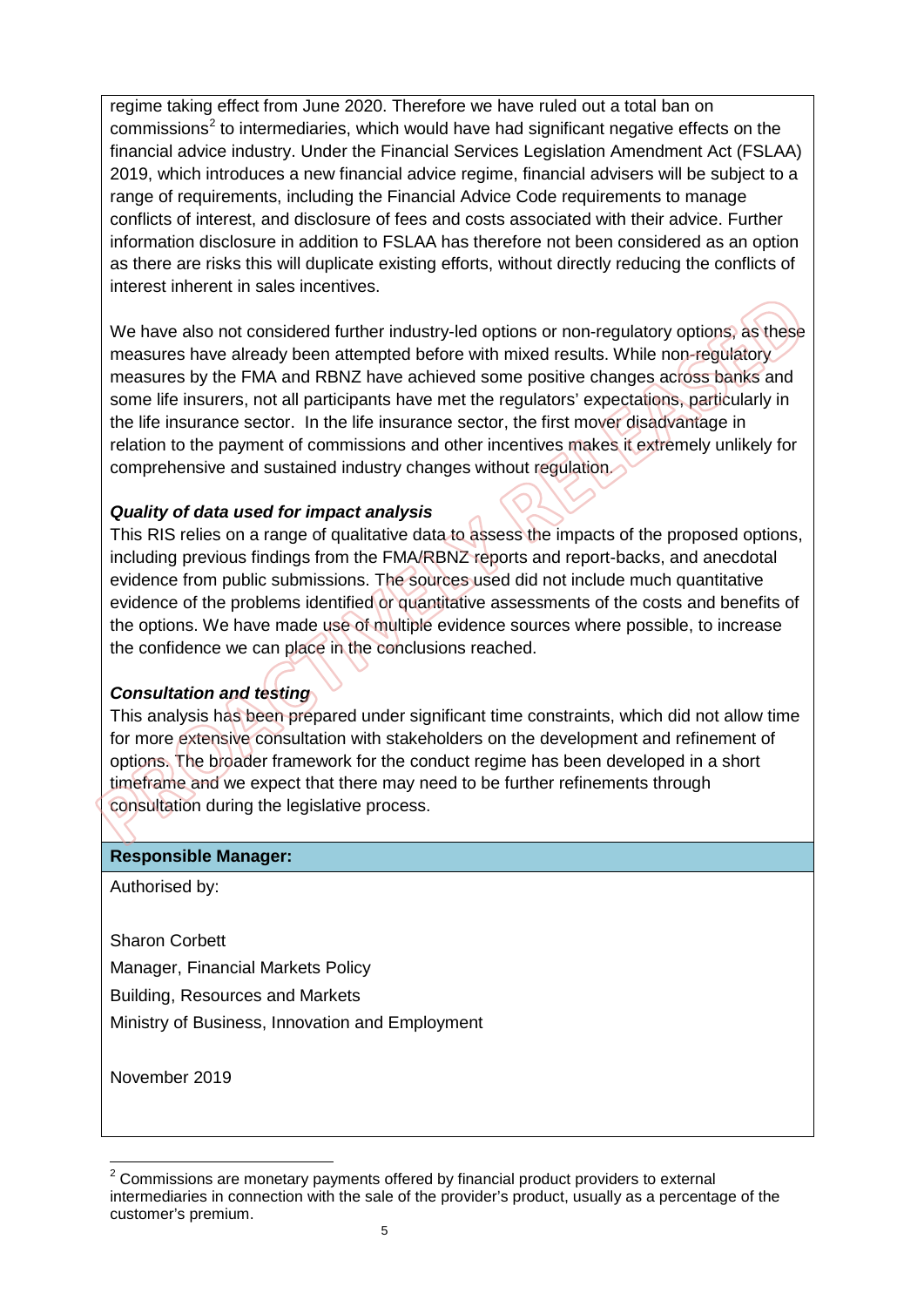regime taking effect from June 2020. Therefore we have ruled out a total ban on commissions<sup>[2](#page-5-0)</sup> to intermediaries, which would have had significant negative effects on the financial advice industry. Under the Financial Services Legislation Amendment Act (FSLAA) 2019, which introduces a new financial advice regime, financial advisers will be subject to a range of requirements, including the Financial Advice Code requirements to manage conflicts of interest, and disclosure of fees and costs associated with their advice. Further information disclosure in addition to FSLAA has therefore not been considered as an option as there are risks this will duplicate existing efforts, without directly reducing the conflicts of interest inherent in sales incentives.

We have also not considered further industry-led options or non-regulatory options, as these measures have already been attempted before with mixed results. While non-regulatory measures by the FMA and RBNZ have achieved some positive changes across banks and some life insurers, not all participants have met the regulators' expectations, particularly in the life insurance sector. In the life insurance sector, the first mover disadvantage in relation to the payment of commissions and other incentives makes it extremely unlikely for comprehensive and sustained industry changes without regulation.

#### *Quality of data used for impact analysis*

This RIS relies on a range of qualitative data to assess the impacts of the proposed options, including previous findings from the FMA/RBNZ reports and report-backs, and anecdotal evidence from public submissions. The sources used did not include much quantitative evidence of the problems identified or quantitative assessments of the costs and benefits of the options. We have made use of multiple evidence sources where possible, to increase the confidence we can place in the conclusions reached.

#### *Consultation and testing*

This analysis has been prepared under significant time constraints, which did not allow time for more extensive consultation with stakeholders on the development and refinement of options. The broader framework for the conduct regime has been developed in a short timeframe and we expect that there may need to be further refinements through consultation during the legislative process.

#### **Responsible Manager:**

Authorised by:

Sharon Corbett

Manager, Financial Markets Policy

Building, Resources and Markets

Ministry of Business, Innovation and Employment

November 2019

<span id="page-5-0"></span> $\overline{a}$  $2$  Commissions are monetary payments offered by financial product providers to external intermediaries in connection with the sale of the provider's product, usually as a percentage of the customer's premium.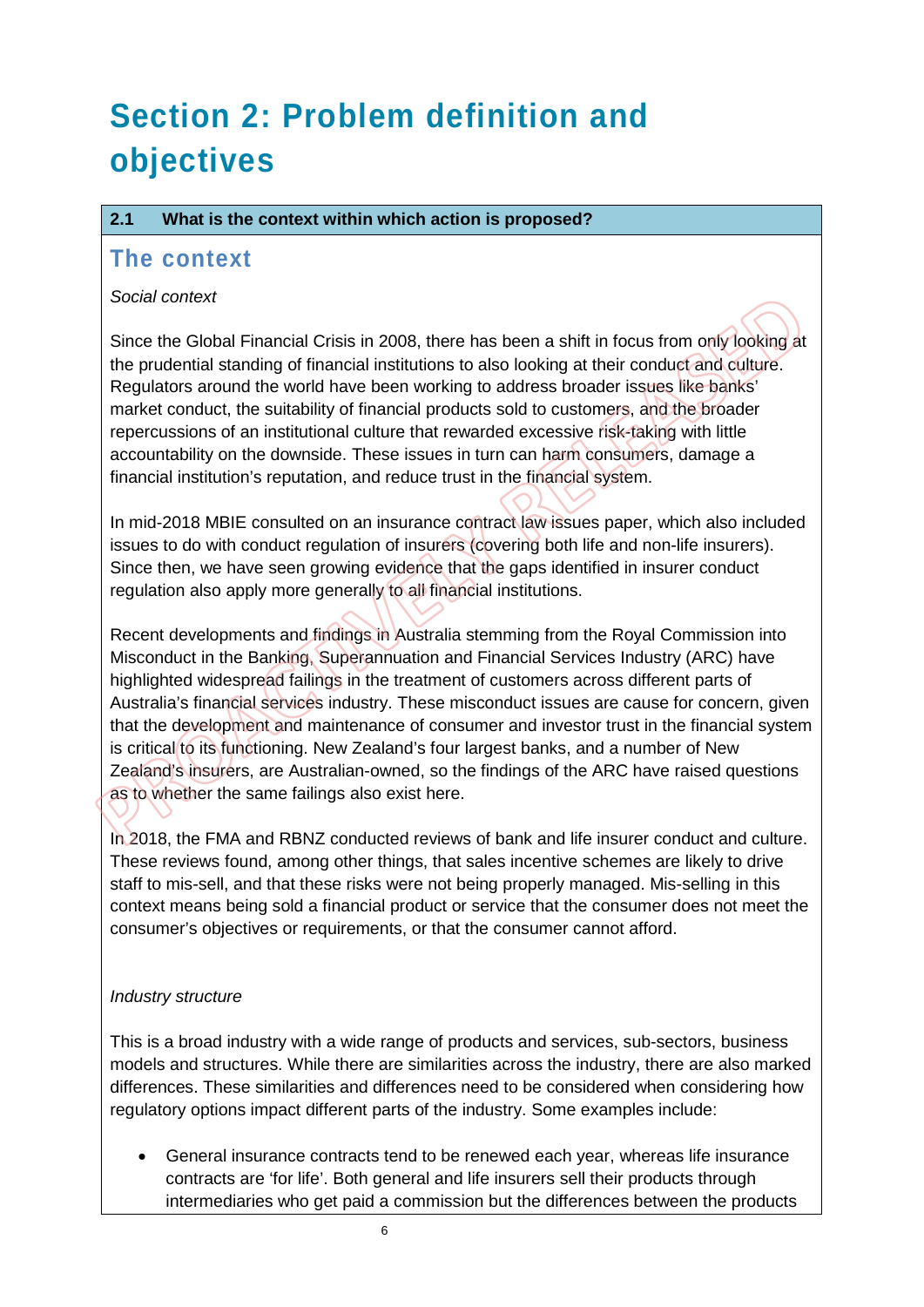# **Section 2: Problem definition and objectives**

#### **2.1 What is the context within which action is proposed?**

### **The context**

#### *Social context*

Since the Global Financial Crisis in 2008, there has been a shift in focus from only looking at the prudential standing of financial institutions to also looking at their conduct and culture. Regulators around the world have been working to address broader issues like banks' market conduct, the suitability of financial products sold to customers, and the broader repercussions of an institutional culture that rewarded excessive risk-taking with little accountability on the downside. These issues in turn can harm consumers, damage a financial institution's reputation, and reduce trust in the financial system.

In mid-2018 MBIE consulted on an insurance contract law issues paper, which also included issues to do with conduct regulation of insurers (covering both life and non-life insurers). Since then, we have seen growing evidence that the gaps identified in insurer conduct regulation also apply more generally to all financial institutions.

Recent developments and findings in Australia stemming from the Royal Commission into Misconduct in the Banking, Superannuation and Financial Services Industry (ARC) have highlighted widespread failings in the treatment of customers across different parts of Australia's financial services industry. These misconduct issues are cause for concern, given that the development and maintenance of consumer and investor trust in the financial system is critical to its functioning. New Zealand's four largest banks, and a number of New Zealand's insurers, are Australian-owned, so the findings of the ARC have raised questions as to whether the same failings also exist here.

In 2018, the FMA and RBNZ conducted reviews of bank and life insurer conduct and culture. These reviews found, among other things, that sales incentive schemes are likely to drive staff to mis-sell, and that these risks were not being properly managed. Mis-selling in this context means being sold a financial product or service that the consumer does not meet the consumer's objectives or requirements, or that the consumer cannot afford.

#### *Industry structure*

This is a broad industry with a wide range of products and services, sub-sectors, business models and structures. While there are similarities across the industry, there are also marked differences. These similarities and differences need to be considered when considering how regulatory options impact different parts of the industry. Some examples include:

• General insurance contracts tend to be renewed each year, whereas life insurance contracts are 'for life'. Both general and life insurers sell their products through intermediaries who get paid a commission but the differences between the products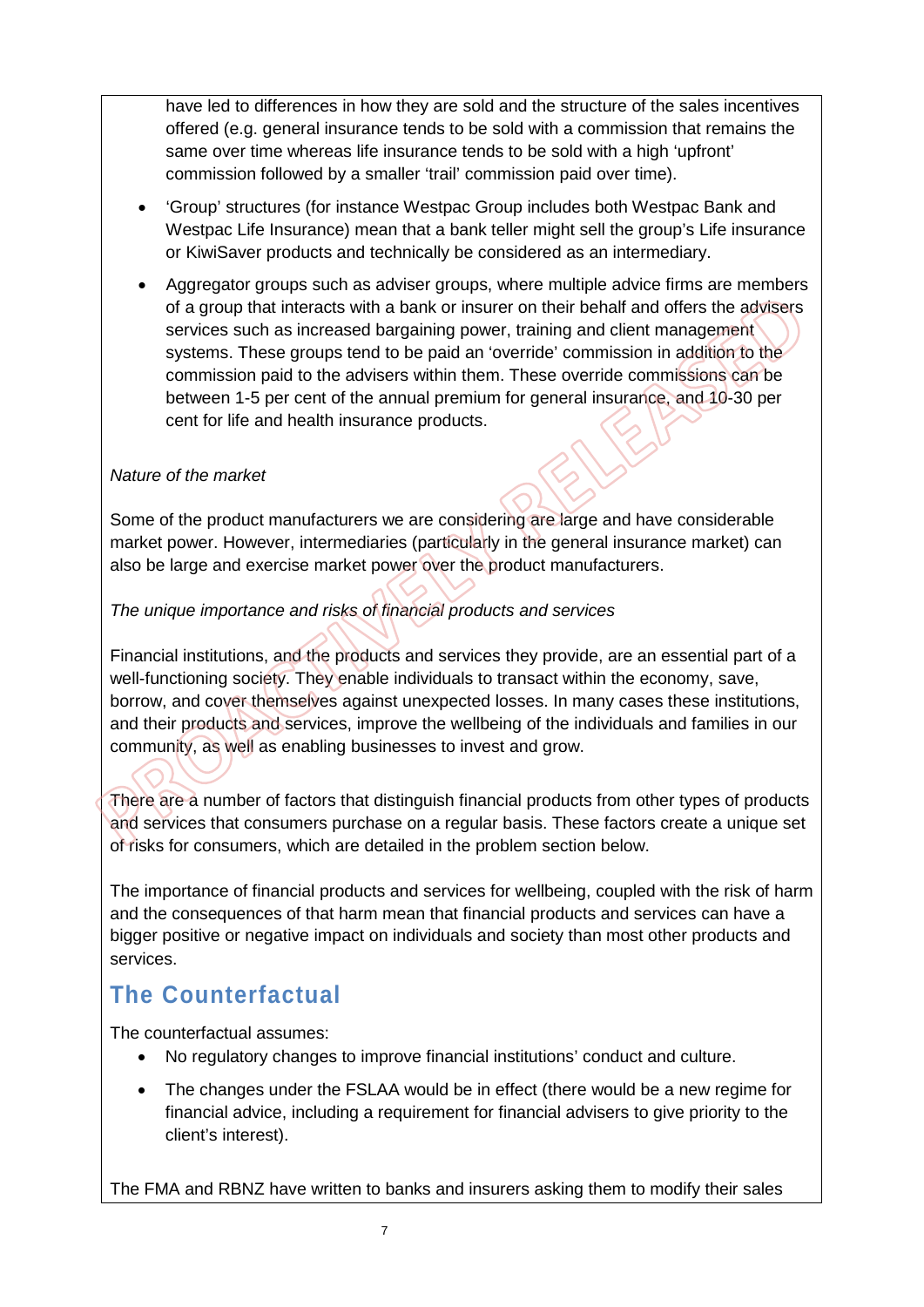have led to differences in how they are sold and the structure of the sales incentives offered (e.g. general insurance tends to be sold with a commission that remains the same over time whereas life insurance tends to be sold with a high 'upfront' commission followed by a smaller 'trail' commission paid over time).

- 'Group' structures (for instance Westpac Group includes both Westpac Bank and Westpac Life Insurance) mean that a bank teller might sell the group's Life insurance or KiwiSaver products and technically be considered as an intermediary.
- Aggregator groups such as adviser groups, where multiple advice firms are members of a group that interacts with a bank or insurer on their behalf and offers the advisers services such as increased bargaining power, training and client management systems. These groups tend to be paid an 'override' commission in addition to the commission paid to the advisers within them. These override commissions can be between 1-5 per cent of the annual premium for general insurance, and 10-30 per cent for life and health insurance products.

#### *Nature of the market*

Some of the product manufacturers we are considering are large and have considerable market power. However, intermediaries (particularly in the general insurance market) can also be large and exercise market power over the product manufacturers.

#### *The unique importance and risks of financial products and services*

Financial institutions, and the products and services they provide, are an essential part of a well-functioning society. They enable individuals to transact within the economy, save, borrow, and cover themselves against unexpected losses. In many cases these institutions, and their products and services, improve the wellbeing of the individuals and families in our community, as well as enabling businesses to invest and grow.

There are a number of factors that distinguish financial products from other types of products and services that consumers purchase on a regular basis. These factors create a unique set of risks for consumers, which are detailed in the problem section below.

The importance of financial products and services for wellbeing, coupled with the risk of harm and the consequences of that harm mean that financial products and services can have a bigger positive or negative impact on individuals and society than most other products and services.

## **The Counterfactual**

The counterfactual assumes:

- No regulatory changes to improve financial institutions' conduct and culture.
- The changes under the FSLAA would be in effect (there would be a new regime for financial advice, including a requirement for financial advisers to give priority to the client's interest).

The FMA and RBNZ have written to banks and insurers asking them to modify their sales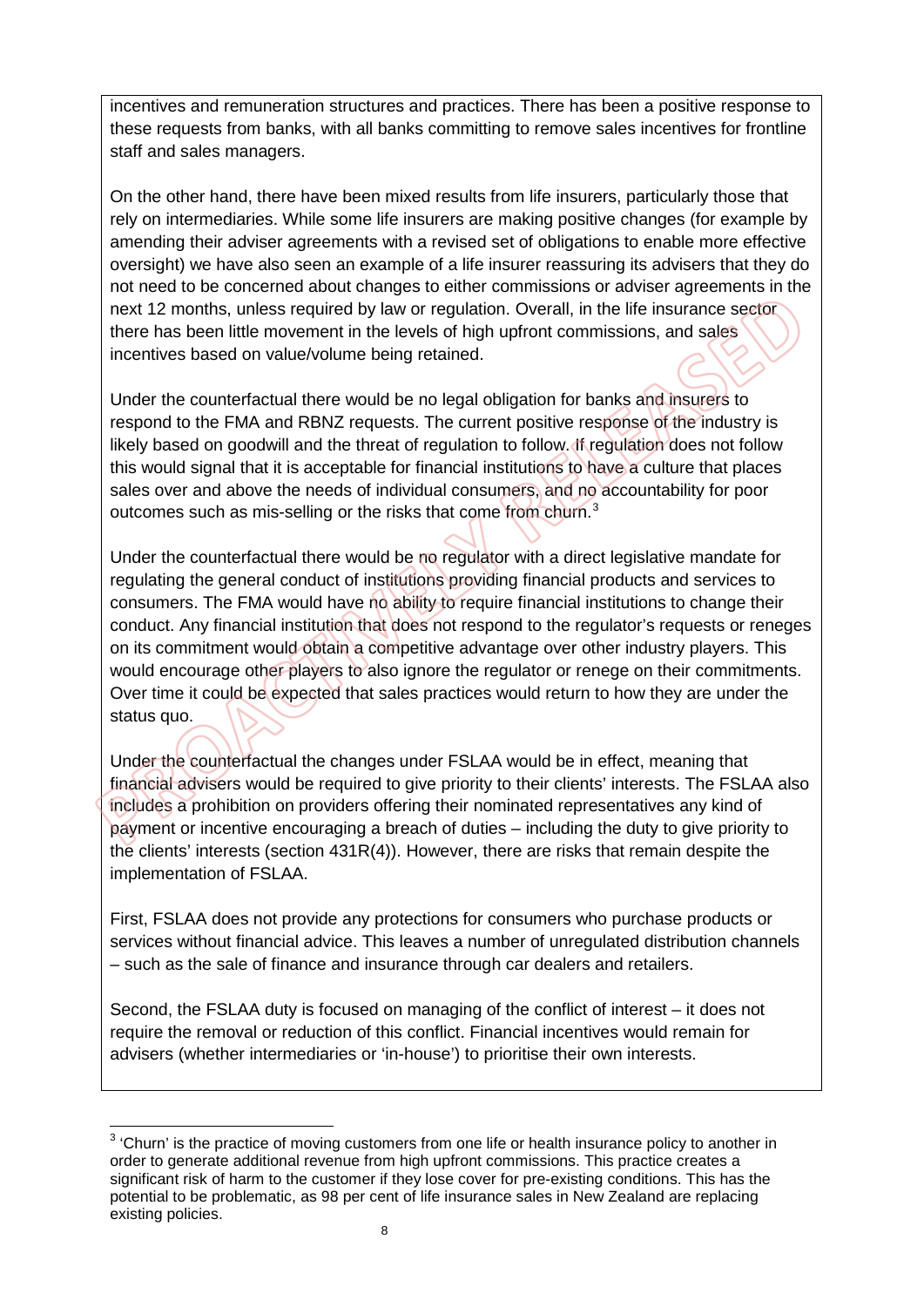incentives and remuneration structures and practices. There has been a positive response to these requests from banks, with all banks committing to remove sales incentives for frontline staff and sales managers.

On the other hand, there have been mixed results from life insurers, particularly those that rely on intermediaries. While some life insurers are making positive changes (for example by amending their adviser agreements with a revised set of obligations to enable more effective oversight) we have also seen an example of a life insurer reassuring its advisers that they do not need to be concerned about changes to either commissions or adviser agreements in the next 12 months, unless required by law or regulation. Overall, in the life insurance sector there has been little movement in the levels of high upfront commissions, and sales incentives based on value/volume being retained.

Under the counterfactual there would be no legal obligation for banks and insurers to respond to the FMA and RBNZ requests. The current positive response of the industry is likely based on goodwill and the threat of regulation to follow. If regulation does not follow this would signal that it is acceptable for financial institutions to have a culture that places sales over and above the needs of individual consumers, and no accountability for poor outcomes such as mis-selling or the risks that come from churn.<sup>[3](#page-8-0)</sup>

Under the counterfactual there would be no regulator with a direct legislative mandate for regulating the general conduct of institutions providing financial products and services to consumers. The FMA would have no ability to require financial institutions to change their conduct. Any financial institution that does not respond to the regulator's requests or reneges on its commitment would obtain a competitive advantage over other industry players. This would encourage other players to also ignore the regulator or renege on their commitments. Over time it could be expected that sales practices would return to how they are under the status quo.

Under the counterfactual the changes under FSLAA would be in effect, meaning that financial advisers would be required to give priority to their clients' interests. The FSLAA also includes a prohibition on providers offering their nominated representatives any kind of payment or incentive encouraging a breach of duties – including the duty to give priority to the clients' interests (section 431R(4)). However, there are risks that remain despite the implementation of FSLAA.

First, FSLAA does not provide any protections for consumers who purchase products or services without financial advice. This leaves a number of unregulated distribution channels – such as the sale of finance and insurance through car dealers and retailers.

Second, the FSLAA duty is focused on managing of the conflict of interest – it does not require the removal or reduction of this conflict. Financial incentives would remain for advisers (whether intermediaries or 'in-house') to prioritise their own interests.

<span id="page-8-0"></span>**ENEVAL 2018**<br><sup>3</sup> 'Churn' is the practice of moving customers from one life or health insurance policy to another in order to generate additional revenue from high upfront commissions. This practice creates a significant risk of harm to the customer if they lose cover for pre-existing conditions. This has the potential to be problematic, as 98 per cent of life insurance sales in New Zealand are replacing existing policies.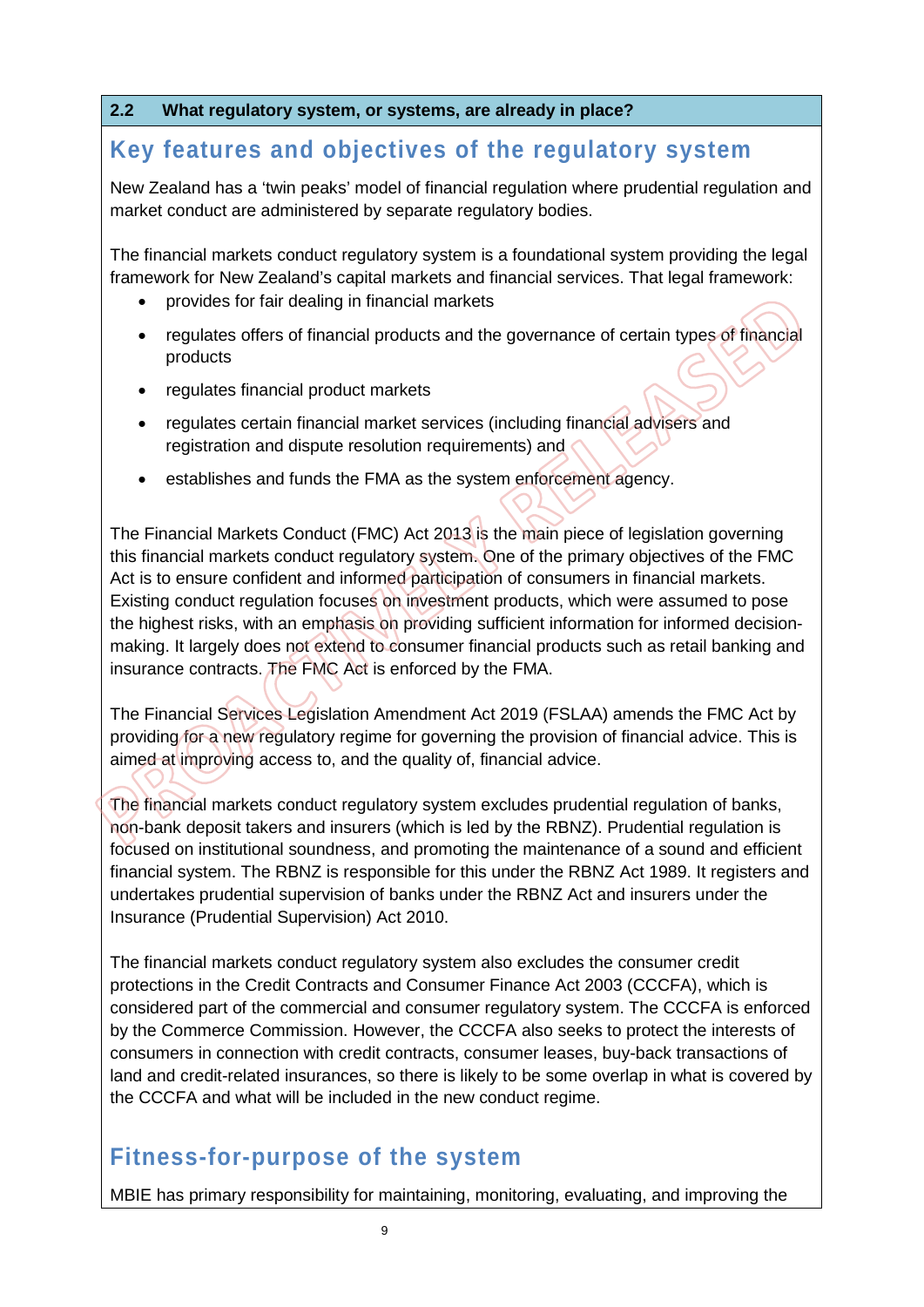#### **2.2 What regulatory system, or systems, are already in place?**

## **Key features and objectives of the regulatory system**

New Zealand has a 'twin peaks' model of financial regulation where prudential regulation and market conduct are administered by separate regulatory bodies.

The financial markets conduct regulatory system is a foundational system providing the legal framework for New Zealand's capital markets and financial services. That legal framework:

- provides for fair dealing in financial markets
- regulates offers of financial products and the governance of certain types of financial products
- regulates financial product markets
- regulates certain financial market services (including financial advisers and registration and dispute resolution requirements) and
- establishes and funds the FMA as the system enforcement agency.

The Financial Markets Conduct (FMC) Act 2013 is the main piece of legislation governing this financial markets conduct regulatory system. One of the primary objectives of the FMC Act is to ensure confident and informed participation of consumers in financial markets. Existing conduct regulation focuses on investment products, which were assumed to pose the highest risks, with an emphasis on providing sufficient information for informed decisionmaking. It largely does not extend to consumer financial products such as retail banking and insurance contracts. The FMC Act is enforced by the FMA.

The Financial Services Legislation Amendment Act 2019 (FSLAA) amends the FMC Act by providing for a new regulatory regime for governing the provision of financial advice. This is aimed at improving access to, and the quality of, financial advice.

The financial markets conduct regulatory system excludes prudential regulation of banks, non-bank deposit takers and insurers (which is led by the RBNZ). Prudential regulation is focused on institutional soundness, and promoting the maintenance of a sound and efficient financial system. The RBNZ is responsible for this under the RBNZ Act 1989. It registers and undertakes prudential supervision of banks under the RBNZ Act and insurers under the Insurance (Prudential Supervision) Act 2010.

The financial markets conduct regulatory system also excludes the consumer credit protections in the Credit Contracts and Consumer Finance Act 2003 (CCCFA), which is considered part of the commercial and consumer regulatory system. The CCCFA is enforced by the Commerce Commission. However, the CCCFA also seeks to protect the interests of consumers in connection with credit contracts, consumer leases, buy-back transactions of land and credit-related insurances, so there is likely to be some overlap in what is covered by the CCCFA and what will be included in the new conduct regime.

## **Fitness-for-purpose of the system**

MBIE has primary responsibility for maintaining, monitoring, evaluating, and improving the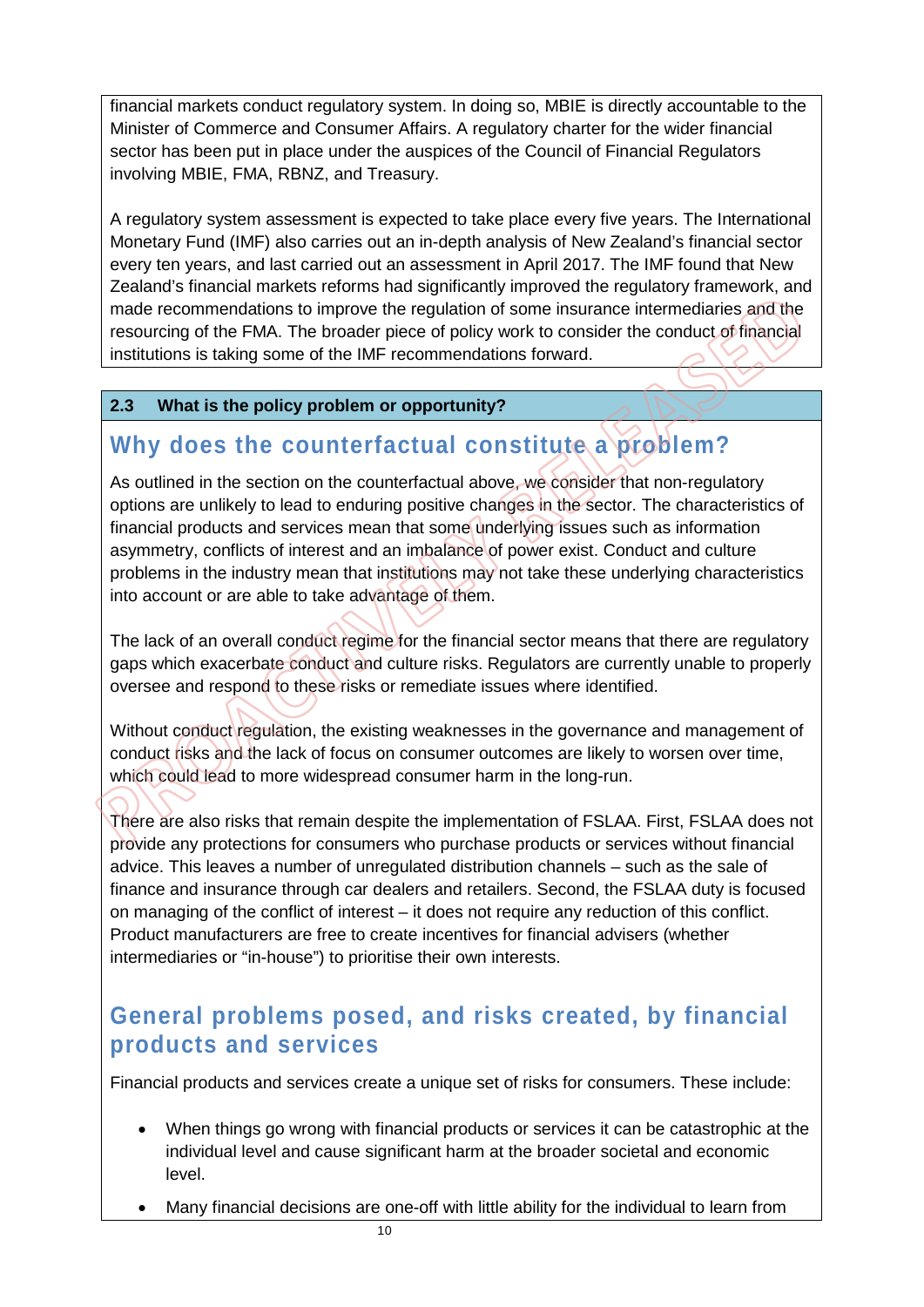financial markets conduct regulatory system. In doing so, MBIE is directly accountable to the Minister of Commerce and Consumer Affairs. A regulatory charter for the wider financial sector has been put in place under the auspices of the Council of Financial Regulators involving MBIE, FMA, RBNZ, and Treasury.

A regulatory system assessment is expected to take place every five years. The International Monetary Fund (IMF) also carries out an in-depth analysis of New Zealand's financial sector every ten years, and last carried out an assessment in April 2017. The IMF found that New Zealand's financial markets reforms had significantly improved the regulatory framework, and made recommendations to improve the regulation of some insurance intermediaries and the resourcing of the FMA. The broader piece of policy work to consider the conduct of financial institutions is taking some of the IMF recommendations forward.

#### **2.3 What is the policy problem or opportunity?**

## **Why does the counterfactual constitute a problem?**

As outlined in the section on the counterfactual above, we consider that non-regulatory options are unlikely to lead to enduring positive changes in the sector. The characteristics of financial products and services mean that some underlying issues such as information asymmetry, conflicts of interest and an imbalance of power exist. Conduct and culture problems in the industry mean that institutions may not take these underlying characteristics into account or are able to take advantage of them.

The lack of an overall conduct regime for the financial sector means that there are regulatory gaps which exacerbate conduct and culture risks. Regulators are currently unable to properly oversee and respond to these risks or remediate issues where identified.

Without conduct regulation, the existing weaknesses in the governance and management of conduct risks and the lack of focus on consumer outcomes are likely to worsen over time, which could lead to more widespread consumer harm in the long-run.

There are also risks that remain despite the implementation of FSLAA. First, FSLAA does not provide any protections for consumers who purchase products or services without financial advice. This leaves a number of unregulated distribution channels – such as the sale of finance and insurance through car dealers and retailers. Second, the FSLAA duty is focused on managing of the conflict of interest – it does not require any reduction of this conflict. Product manufacturers are free to create incentives for financial advisers (whether intermediaries or "in-house") to prioritise their own interests.

## **General problems posed, and risks created, by financial products and services**

Financial products and services create a unique set of risks for consumers. These include:

- When things go wrong with financial products or services it can be catastrophic at the individual level and cause significant harm at the broader societal and economic level.
- Many financial decisions are one-off with little ability for the individual to learn from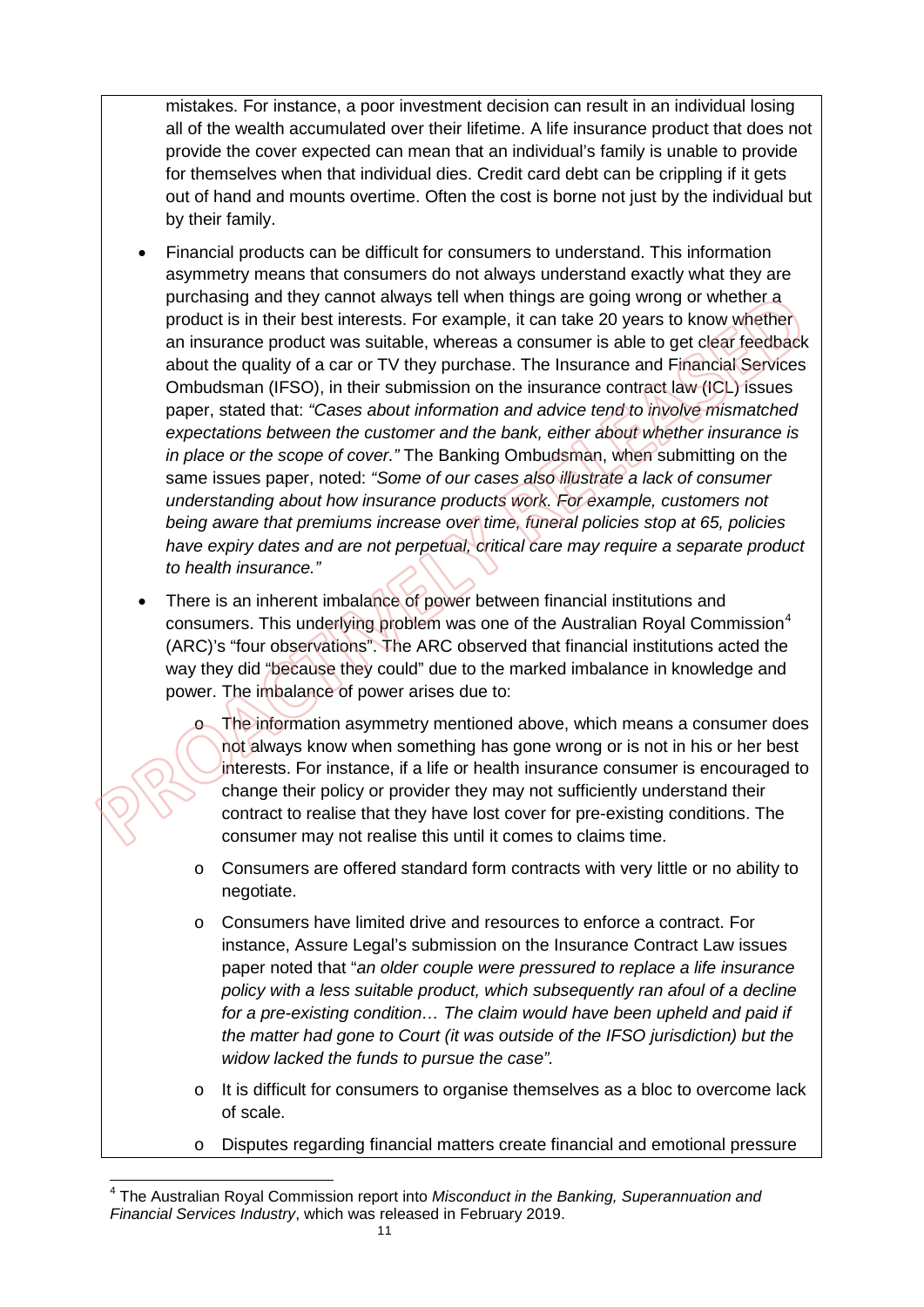mistakes. For instance, a poor investment decision can result in an individual losing all of the wealth accumulated over their lifetime. A life insurance product that does not provide the cover expected can mean that an individual's family is unable to provide for themselves when that individual dies. Credit card debt can be crippling if it gets out of hand and mounts overtime. Often the cost is borne not just by the individual but by their family.

- Financial products can be difficult for consumers to understand. This information asymmetry means that consumers do not always understand exactly what they are purchasing and they cannot always tell when things are going wrong or whether a product is in their best interests. For example, it can take 20 years to know whether an insurance product was suitable, whereas a consumer is able to get clear feedback about the quality of a car or TV they purchase. The Insurance and Financial Services Ombudsman (IFSO), in their submission on the insurance contract law (ICL) issues paper, stated that: *"Cases about information and advice tend to involve mismatched expectations between the customer and the bank, either about whether insurance is in place or the scope of cover."* The Banking Ombudsman, when submitting on the same issues paper, noted: *"Some of our cases also illustrate a lack of consumer understanding about how insurance products work. For example, customers not being aware that premiums increase over time, funeral policies stop at 65, policies have expiry dates and are not perpetual, critical care may require a separate product to health insurance."*
- There is an inherent imbalance of power between financial institutions and consumers. This underlying problem was one of the Australian Royal Commission<sup>[4](#page-11-0)</sup> (ARC)'s "four observations". The ARC observed that financial institutions acted the way they did "because they could" due to the marked imbalance in knowledge and power. The imbalance of power arises due to:
	- o The information asymmetry mentioned above, which means a consumer does not always know when something has gone wrong or is not in his or her best interests. For instance, if a life or health insurance consumer is encouraged to change their policy or provider they may not sufficiently understand their contract to realise that they have lost cover for pre-existing conditions. The consumer may not realise this until it comes to claims time.
	- o Consumers are offered standard form contracts with very little or no ability to negotiate.
	- o Consumers have limited drive and resources to enforce a contract. For instance, Assure Legal's submission on the Insurance Contract Law issues paper noted that "*an older couple were pressured to replace a life insurance policy with a less suitable product, which subsequently ran afoul of a decline for a pre-existing condition… The claim would have been upheld and paid if the matter had gone to Court (it was outside of the IFSO jurisdiction) but the widow lacked the funds to pursue the case".*
	- $\circ$  It is difficult for consumers to organise themselves as a bloc to overcome lack of scale.
	- o Disputes regarding financial matters create financial and emotional pressure

<span id="page-11-0"></span> $\overline{\phantom{a}}$ <sup>4</sup> The Australian Royal Commission report into *Misconduct in the Banking, Superannuation and Financial Services Industry*, which was released in February 2019.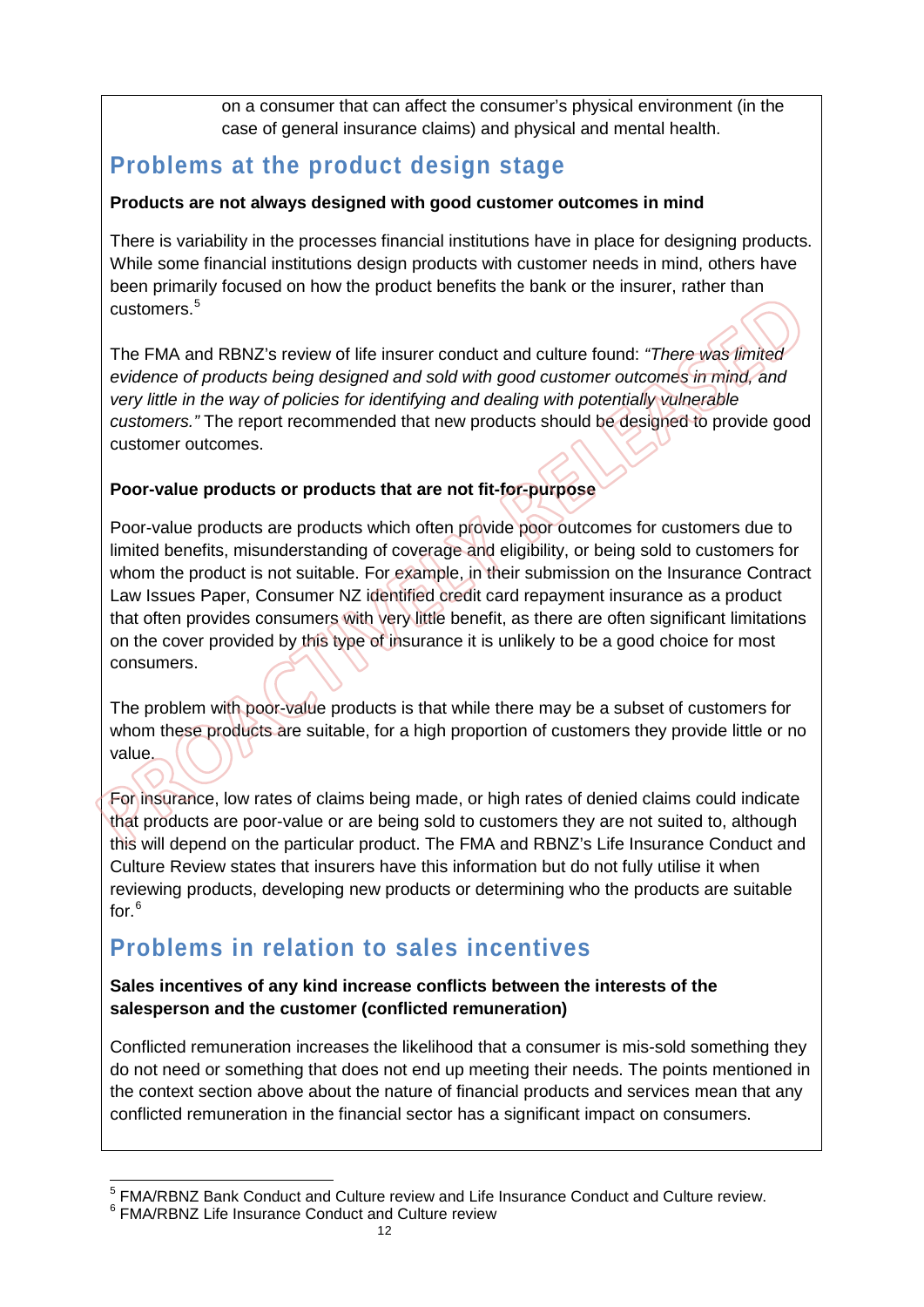on a consumer that can affect the consumer's physical environment (in the case of general insurance claims) and physical and mental health.

## **Problems at the product design stage**

#### **Products are not always designed with good customer outcomes in mind**

There is variability in the processes financial institutions have in place for designing products. While some financial institutions design products with customer needs in mind, others have been primarily focused on how the product benefits the bank or the insurer, rather than customers.[5](#page-12-0)

The FMA and RBNZ's review of life insurer conduct and culture found: *"There was limited evidence of products being designed and sold with good customer outcomes in mind, and very little in the way of policies for identifying and dealing with potentially vulnerable customers."* The report recommended that new products should be designed to provide good customer outcomes.

#### **Poor-value products or products that are not fit-for-purpose**

Poor-value products are products which often provide poor outcomes for customers due to limited benefits, misunderstanding of coverage and eligibility, or being sold to customers for whom the product is not suitable. For example, in their submission on the Insurance Contract Law Issues Paper, Consumer NZ identified credit card repayment insurance as a product that often provides consumers with very little benefit, as there are often significant limitations on the cover provided by this type of insurance it is unlikely to be a good choice for most consumers.

The problem with poor-value products is that while there may be a subset of customers for whom these products are suitable, for a high proportion of customers they provide little or no value.

For insurance, low rates of claims being made, or high rates of denied claims could indicate that products are poor-value or are being sold to customers they are not suited to, although this will depend on the particular product. The FMA and RBNZ's Life Insurance Conduct and Culture Review states that insurers have this information but do not fully utilise it when reviewing products, developing new products or determining who the products are suitable for. $^6$  $^6$ 

## **Problems in relation to sales incentives**

#### **Sales incentives of any kind increase conflicts between the interests of the salesperson and the customer (conflicted remuneration)**

Conflicted remuneration increases the likelihood that a consumer is mis-sold something they do not need or something that does not end up meeting their needs. The points mentioned in the context section above about the nature of financial products and services mean that any conflicted remuneration in the financial sector has a significant impact on consumers.

 $\overline{a}$ <sup>5</sup> FMA/RBNZ Bank Conduct and Culture review and Life Insurance Conduct and Culture review.

<span id="page-12-1"></span><span id="page-12-0"></span><sup>6</sup> FMA/RBNZ Life Insurance Conduct and Culture review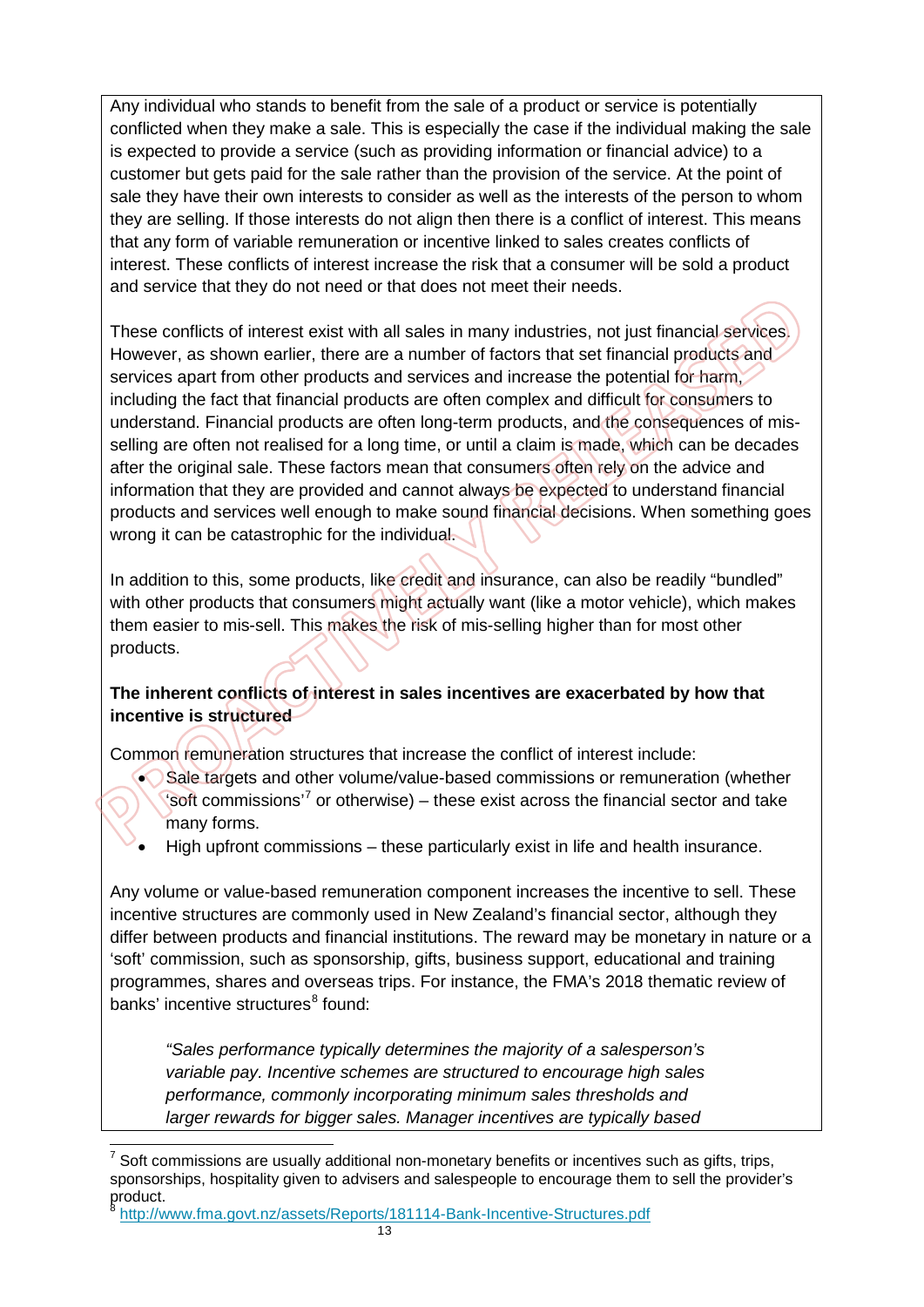Any individual who stands to benefit from the sale of a product or service is potentially conflicted when they make a sale. This is especially the case if the individual making the sale is expected to provide a service (such as providing information or financial advice) to a customer but gets paid for the sale rather than the provision of the service. At the point of sale they have their own interests to consider as well as the interests of the person to whom they are selling. If those interests do not align then there is a conflict of interest. This means that any form of variable remuneration or incentive linked to sales creates conflicts of interest. These conflicts of interest increase the risk that a consumer will be sold a product and service that they do not need or that does not meet their needs.

These conflicts of interest exist with all sales in many industries, not just financial services. However, as shown earlier, there are a number of factors that set financial products and services apart from other products and services and increase the potential for harm, including the fact that financial products are often complex and difficult for consumers to understand. Financial products are often long-term products, and the consequences of misselling are often not realised for a long time, or until a claim is made, which can be decades after the original sale. These factors mean that consumers often rely on the advice and information that they are provided and cannot always be expected to understand financial products and services well enough to make sound financial decisions. When something goes wrong it can be catastrophic for the individual

In addition to this, some products, like credit and insurance, can also be readily "bundled" with other products that consumers might actually want (like a motor vehicle), which makes them easier to mis-sell. This makes the risk of mis-selling higher than for most other products.

#### **The inherent conflicts of interest in sales incentives are exacerbated by how that incentive is structured**

Common remuneration structures that increase the conflict of interest include:

- Sale targets and other volume/value-based commissions or remuneration (whether 'soft commissions'<sup>[7](#page-13-0)</sup> or otherwise) – these exist across the financial sector and take many forms.
- High upfront commissions these particularly exist in life and health insurance.

Any volume or value-based remuneration component increases the incentive to sell. These incentive structures are commonly used in New Zealand's financial sector, although they differ between products and financial institutions. The reward may be monetary in nature or a 'soft' commission, such as sponsorship, gifts, business support, educational and training programmes, shares and overseas trips. For instance, the FMA's 2018 thematic review of banks' incentive structures<sup>[8](#page-13-1)</sup> found:

*"Sales performance typically determines the majority of a salesperson's variable pay. Incentive schemes are structured to encourage high sales performance, commonly incorporating minimum sales thresholds and larger rewards for bigger sales. Manager incentives are typically based* 

<span id="page-13-1"></span><http://www.fma.govt.nz/assets/Reports/181114-Bank-Incentive-Structures.pdf>

<span id="page-13-0"></span> $\overline{a}$  $7$  Soft commissions are usually additional non-monetary benefits or incentives such as gifts, trips, sponsorships, hospitality given to advisers and salespeople to encourage them to sell the provider's product.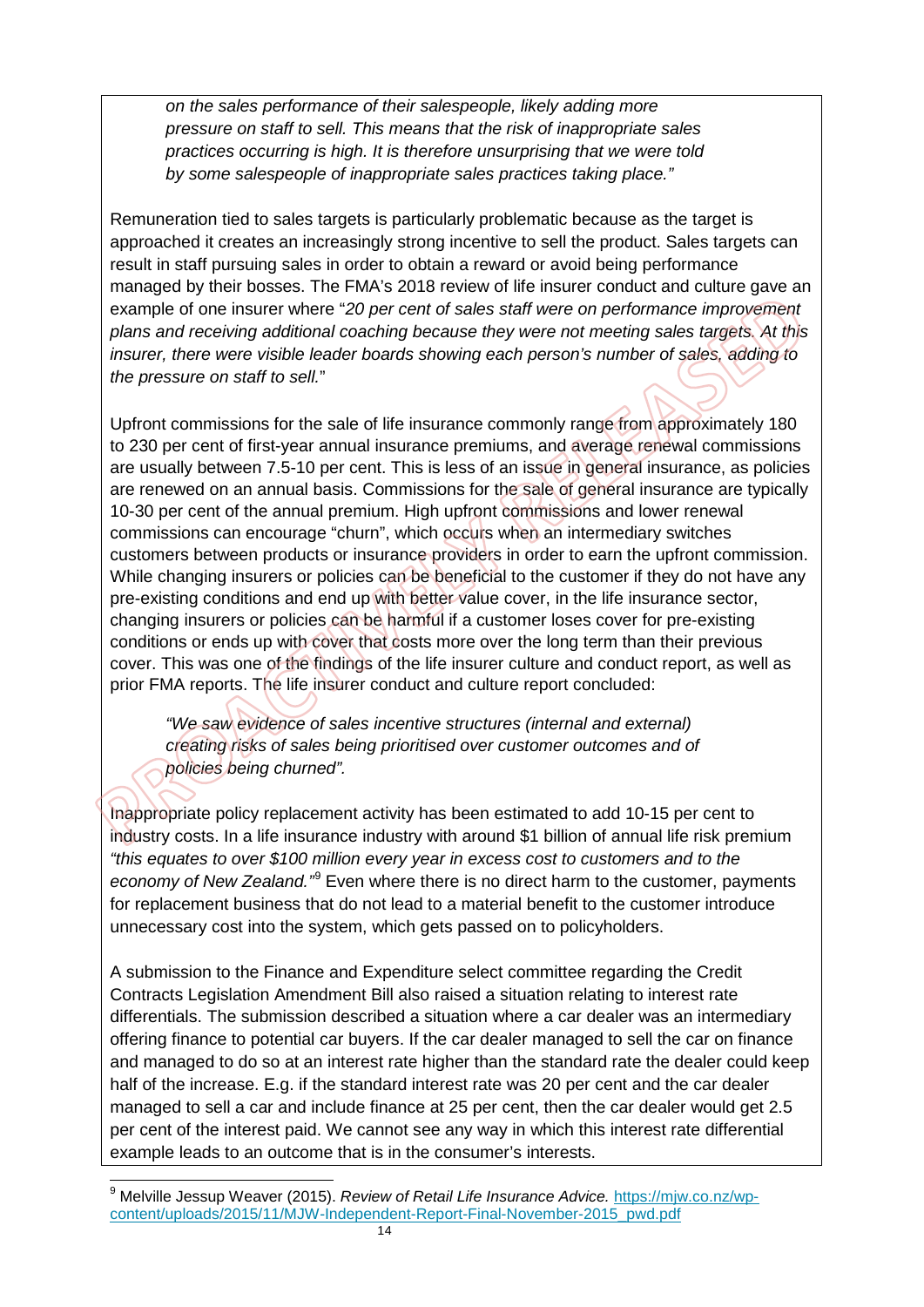*on the sales performance of their salespeople, likely adding more pressure on staff to sell. This means that the risk of inappropriate sales practices occurring is high. It is therefore unsurprising that we were told by some salespeople of inappropriate sales practices taking place."* 

Remuneration tied to sales targets is particularly problematic because as the target is approached it creates an increasingly strong incentive to sell the product. Sales targets can result in staff pursuing sales in order to obtain a reward or avoid being performance managed by their bosses. The FMA's 2018 review of life insurer conduct and culture gave an example of one insurer where "*20 per cent of sales staff were on performance improvement plans and receiving additional coaching because they were not meeting sales targets. At this insurer, there were visible leader boards showing each person's number of sales, adding to the pressure on staff to sell.*"

Upfront commissions for the sale of life insurance commonly range from approximately 180 to 230 per cent of first-year annual insurance premiums, and average renewal commissions are usually between 7.5-10 per cent. This is less of an issue in general insurance, as policies are renewed on an annual basis. Commissions for the sale of general insurance are typically 10-30 per cent of the annual premium. High upfront commissions and lower renewal commissions can encourage "churn", which occurs when an intermediary switches customers between products or insurance providers in order to earn the upfront commission. While changing insurers or policies can be beneficial to the customer if they do not have any pre-existing conditions and end up with better value cover, in the life insurance sector, changing insurers or policies can be harmful if a customer loses cover for pre-existing conditions or ends up with cover that costs more over the long term than their previous cover. This was one of the findings of the life insurer culture and conduct report, as well as prior FMA reports. The life insurer conduct and culture report concluded:

*"We saw evidence of sales incentive structures (internal and external) creating risks of sales being prioritised over customer outcomes and of policies being churned".* 

Inappropriate policy replacement activity has been estimated to add 10-15 per cent to industry costs. In a life insurance industry with around \$1 billion of annual life risk premium *"this equates to over \$100 million every year in excess cost to customers and to the economy of New Zealand."*[9](#page-14-0) Even where there is no direct harm to the customer, payments for replacement business that do not lead to a material benefit to the customer introduce unnecessary cost into the system, which gets passed on to policyholders.

A submission to the Finance and Expenditure select committee regarding the Credit Contracts Legislation Amendment Bill also raised a situation relating to interest rate differentials. The submission described a situation where a car dealer was an intermediary offering finance to potential car buyers. If the car dealer managed to sell the car on finance and managed to do so at an interest rate higher than the standard rate the dealer could keep half of the increase. E.g. if the standard interest rate was 20 per cent and the car dealer managed to sell a car and include finance at 25 per cent, then the car dealer would get 2.5 per cent of the interest paid. We cannot see any way in which this interest rate differential example leads to an outcome that is in the consumer's interests.

<span id="page-14-0"></span> $\overline{a}$ <sup>9</sup> Melville Jessup Weaver (2015). *Review of Retail Life Insurance Advice.* <u>https://mjw.co.nz/wp-</u> [content/uploads/2015/11/MJW-Independent-Report-Final-November-2015\\_pwd.pdf](https://mjw.co.nz/wp-content/uploads/2015/11/MJW-Independent-Report-Final-November-2015_pwd.pdf)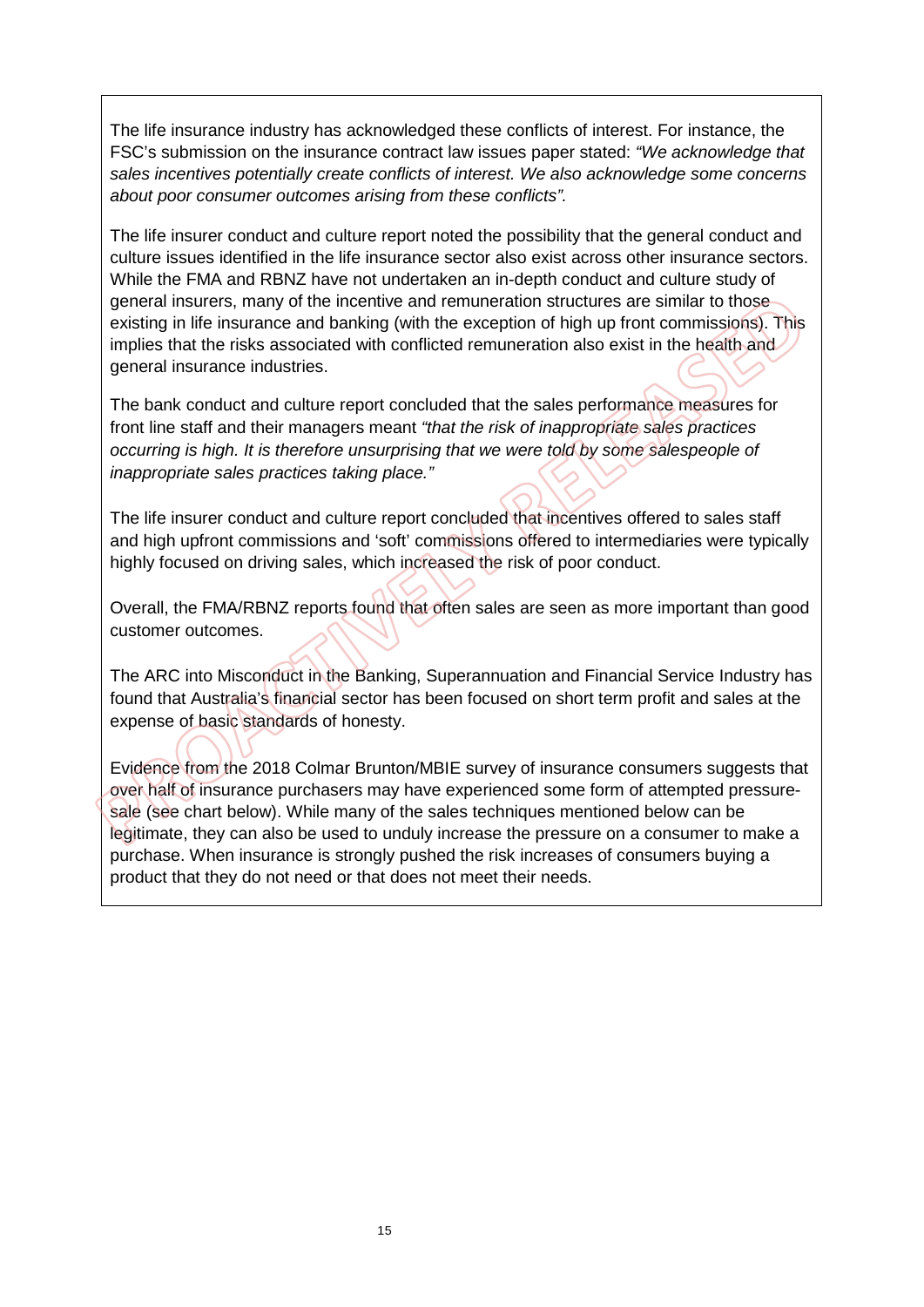The life insurance industry has acknowledged these conflicts of interest. For instance, the FSC's submission on the insurance contract law issues paper stated: *"We acknowledge that sales incentives potentially create conflicts of interest. We also acknowledge some concerns about poor consumer outcomes arising from these conflicts".*

The life insurer conduct and culture report noted the possibility that the general conduct and culture issues identified in the life insurance sector also exist across other insurance sectors. While the FMA and RBNZ have not undertaken an in-depth conduct and culture study of general insurers, many of the incentive and remuneration structures are similar to those existing in life insurance and banking (with the exception of high up front commissions). This implies that the risks associated with conflicted remuneration also exist in the health and general insurance industries.

The bank conduct and culture report concluded that the sales performance measures for front line staff and their managers meant *"that the risk of inappropriate sales practices occurring is high. It is therefore unsurprising that we were told by some salespeople of inappropriate sales practices taking place."*

The life insurer conduct and culture report concluded that incentives offered to sales staff and high upfront commissions and 'soft' commissions offered to intermediaries were typically highly focused on driving sales, which increased the risk of poor conduct.

Overall, the FMA/RBNZ reports found that often sales are seen as more important than good customer outcomes.

The ARC into Misconduct in the Banking, Superannuation and Financial Service Industry has found that Australia's financial sector has been focused on short term profit and sales at the expense of basic standards of honesty.

Evidence from the 2018 Colmar Brunton/MBIE survey of insurance consumers suggests that over half of insurance purchasers may have experienced some form of attempted pressuresale (see chart below). While many of the sales techniques mentioned below can be legitimate, they can also be used to unduly increase the pressure on a consumer to make a purchase. When insurance is strongly pushed the risk increases of consumers buying a product that they do not need or that does not meet their needs.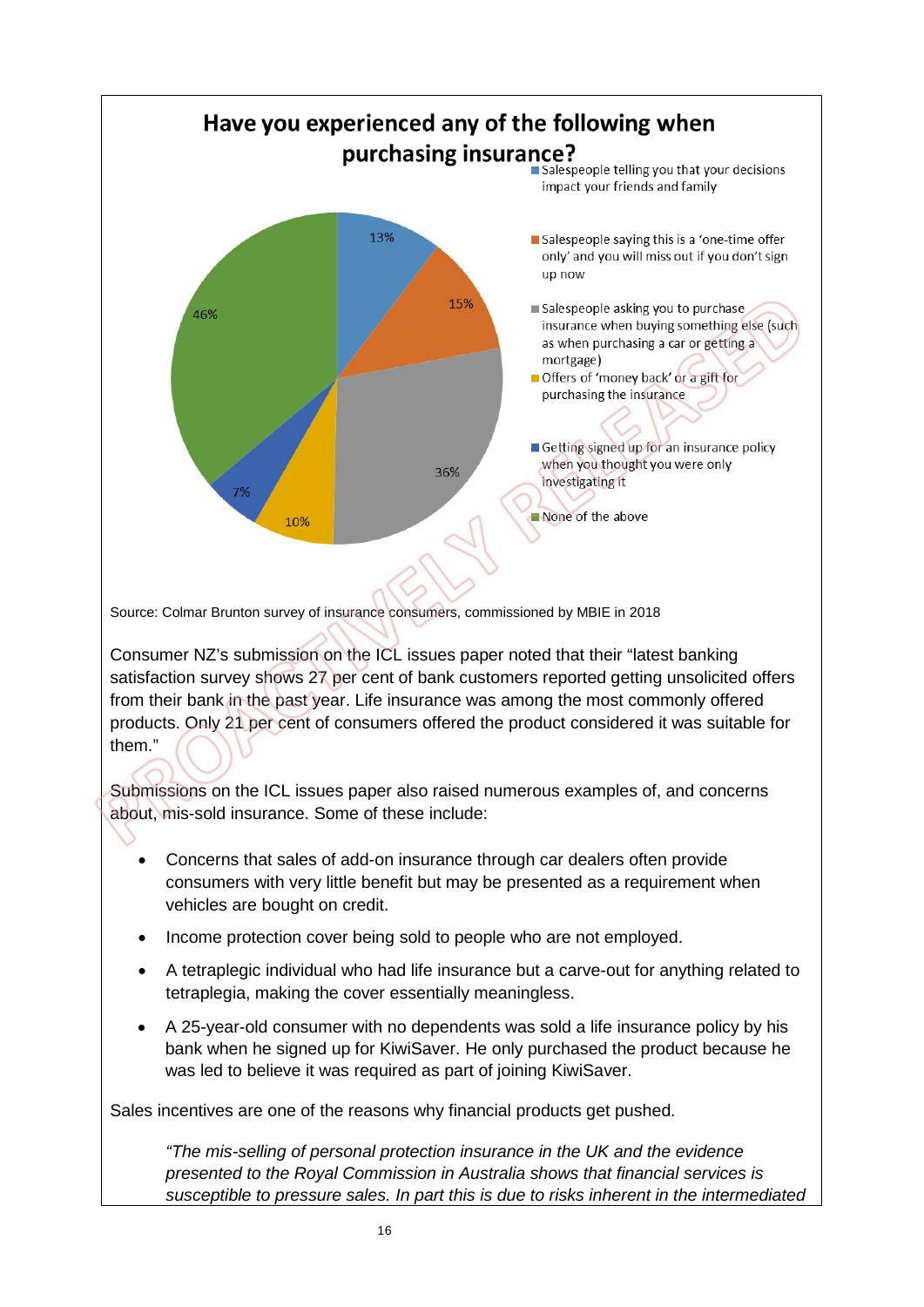

Source: Colmar Brunton survey of insurance consumers, commissioned by MBIE in 2018

Consumer NZ's submission on the ICL issues paper noted that their "latest banking satisfaction survey shows 27 per cent of bank customers reported getting unsolicited offers from their bank in the past year. Life insurance was among the most commonly offered products. Only 21 per cent of consumers offered the product considered it was suitable for them."

Submissions on the ICL issues paper also raised numerous examples of, and concerns about, mis-sold insurance. Some of these include:

- Concerns that sales of add-on insurance through car dealers often provide consumers with very little benefit but may be presented as a requirement when vehicles are bought on credit.
- Income protection cover being sold to people who are not employed.
- A tetraplegic individual who had life insurance but a carve-out for anything related to tetraplegia, making the cover essentially meaningless.
- A 25-year-old consumer with no dependents was sold a life insurance policy by his bank when he signed up for KiwiSaver. He only purchased the product because he was led to believe it was required as part of joining KiwiSaver.

Sales incentives are one of the reasons why financial products get pushed.

*"The mis-selling of personal protection insurance in the UK and the evidence presented to the Royal Commission in Australia shows that financial services is susceptible to pressure sales. In part this is due to risks inherent in the intermediated*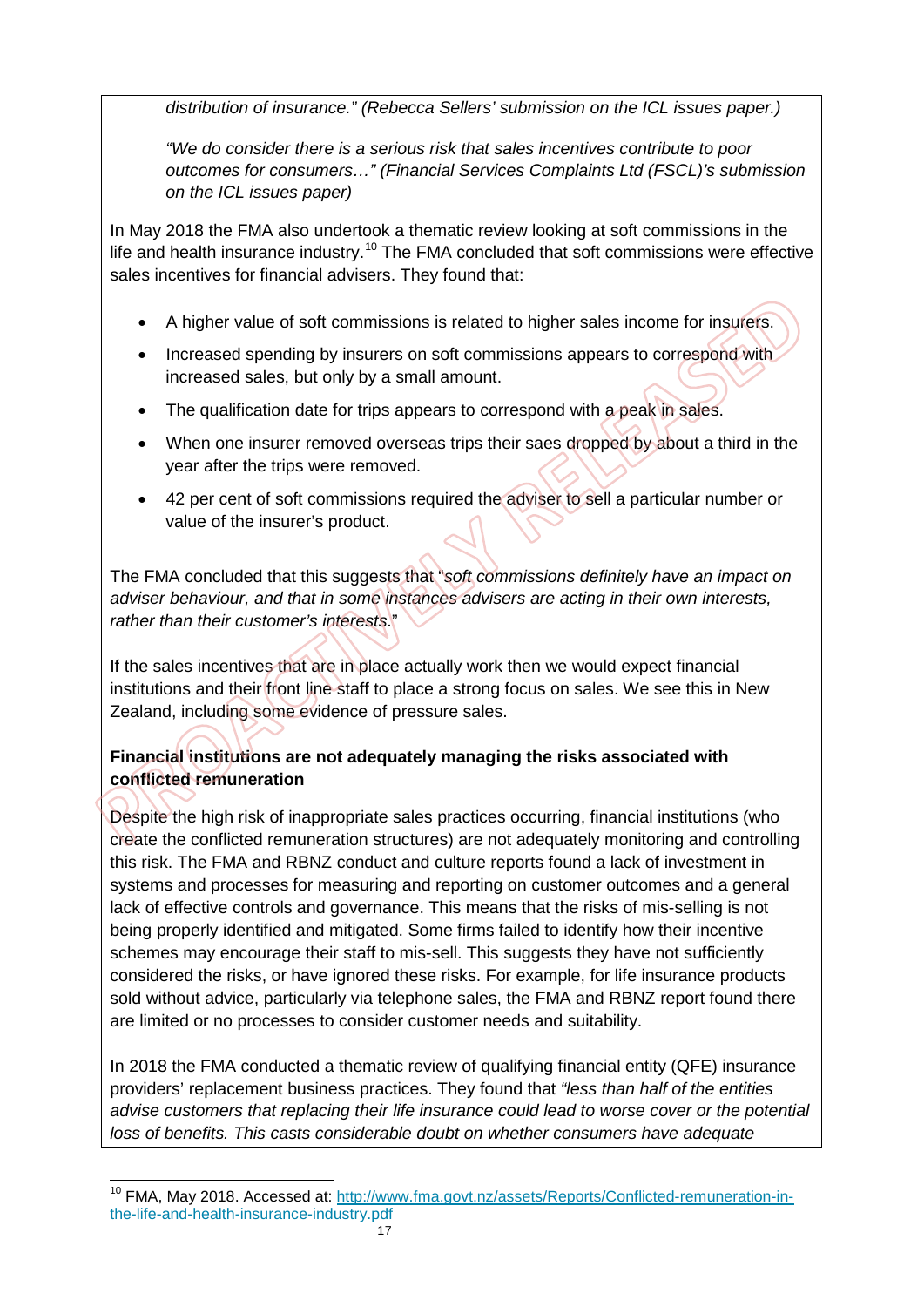*distribution of insurance." (Rebecca Sellers' submission on the ICL issues paper.)* 

*"We do consider there is a serious risk that sales incentives contribute to poor outcomes for consumers…" (Financial Services Complaints Ltd (FSCL)'s submission on the ICL issues paper)*

In May 2018 the FMA also undertook a thematic review looking at soft commissions in the life and health insurance industry.<sup>[10](#page-17-0)</sup> The FMA concluded that soft commissions were effective sales incentives for financial advisers. They found that:

- A higher value of soft commissions is related to higher sales income for insurers.
- Increased spending by insurers on soft commissions appears to correspond with increased sales, but only by a small amount.
- The qualification date for trips appears to correspond with a peak in sales.
- When one insurer removed overseas trips their saes dropped by about a third in the year after the trips were removed.
- 42 per cent of soft commissions required the adviser to sell a particular number or value of the insurer's product.

The FMA concluded that this suggests that "*soft commissions definitely have an impact on adviser behaviour, and that in some instances advisers are acting in their own interests, rather than their customer's interests*."

If the sales incentives that are in place actually work then we would expect financial institutions and their front line staff to place a strong focus on sales. We see this in New Zealand, including some evidence of pressure sales.

#### **Financial institutions are not adequately managing the risks associated with conflicted remuneration**

Despite the high risk of inappropriate sales practices occurring, financial institutions (who create the conflicted remuneration structures) are not adequately monitoring and controlling this risk. The FMA and RBNZ conduct and culture reports found a lack of investment in systems and processes for measuring and reporting on customer outcomes and a general lack of effective controls and governance. This means that the risks of mis-selling is not being properly identified and mitigated. Some firms failed to identify how their incentive schemes may encourage their staff to mis-sell. This suggests they have not sufficiently considered the risks, or have ignored these risks. For example, for life insurance products sold without advice, particularly via telephone sales, the FMA and RBNZ report found there are limited or no processes to consider customer needs and suitability.

In 2018 the FMA conducted a thematic review of qualifying financial entity (QFE) insurance providers' replacement business practices. They found that *"less than half of the entities advise customers that replacing their life insurance could lead to worse cover or the potential loss of benefits. This casts considerable doubt on whether consumers have adequate* 

<span id="page-17-0"></span> $\overline{a}$ <sup>10</sup> FMA, May 2018. Accessed at: [http://www.fma.govt.nz/assets/Reports/Conflicted-remuneration-in](http://www.fma.govt.nz/assets/Reports/Conflicted-remuneration-in-the-life-and-health-insurance-industry.pdf)[the-life-and-health-insurance-industry.pdf](http://www.fma.govt.nz/assets/Reports/Conflicted-remuneration-in-the-life-and-health-insurance-industry.pdf)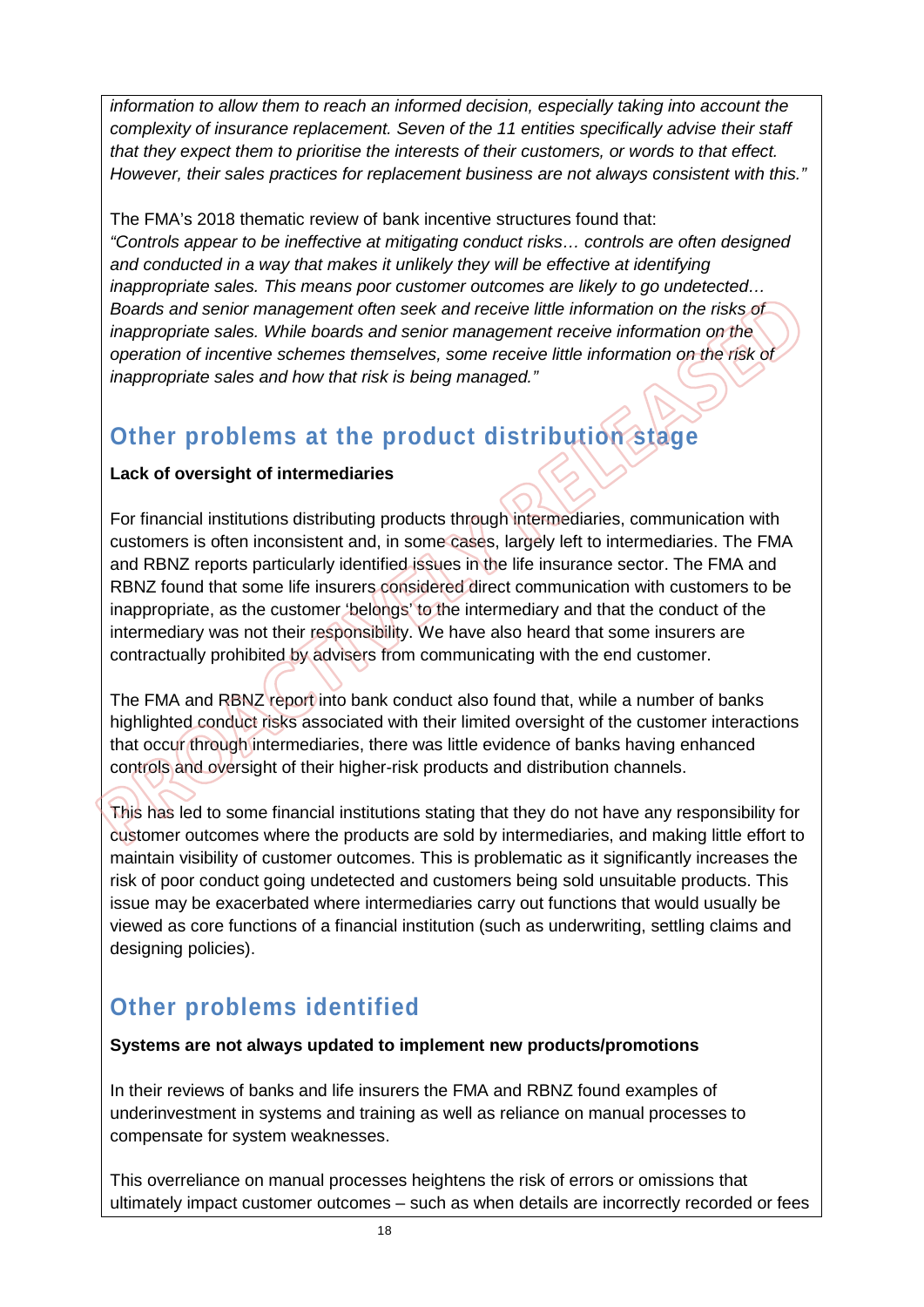*information to allow them to reach an informed decision, especially taking into account the complexity of insurance replacement. Seven of the 11 entities specifically advise their staff that they expect them to prioritise the interests of their customers, or words to that effect. However, their sales practices for replacement business are not always consistent with this."* 

The FMA's 2018 thematic review of bank incentive structures found that: *"Controls appear to be ineffective at mitigating conduct risks… controls are often designed and conducted in a way that makes it unlikely they will be effective at identifying inappropriate sales. This means poor customer outcomes are likely to go undetected… Boards and senior management often seek and receive little information on the risks of inappropriate sales. While boards and senior management receive information on the operation of incentive schemes themselves, some receive little information on the risk of inappropriate sales and how that risk is being managed."* 

## **Other problems at the product distribution stage**

#### **Lack of oversight of intermediaries**

For financial institutions distributing products through intermediaries, communication with customers is often inconsistent and, in some cases, largely left to intermediaries. The FMA and RBNZ reports particularly identified issues in the life insurance sector. The FMA and RBNZ found that some life insurers considered direct communication with customers to be inappropriate, as the customer 'belongs' to the intermediary and that the conduct of the intermediary was not their responsibility. We have also heard that some insurers are contractually prohibited by advisers from communicating with the end customer.

The FMA and RBNZ report into bank conduct also found that, while a number of banks highlighted conduct risks associated with their limited oversight of the customer interactions that occur through intermediaries, there was little evidence of banks having enhanced controls and oversight of their higher-risk products and distribution channels.

This has led to some financial institutions stating that they do not have any responsibility for customer outcomes where the products are sold by intermediaries, and making little effort to maintain visibility of customer outcomes. This is problematic as it significantly increases the risk of poor conduct going undetected and customers being sold unsuitable products. This issue may be exacerbated where intermediaries carry out functions that would usually be viewed as core functions of a financial institution (such as underwriting, settling claims and designing policies).

## **Other problems identified**

#### **Systems are not always updated to implement new products/promotions**

In their reviews of banks and life insurers the FMA and RBNZ found examples of underinvestment in systems and training as well as reliance on manual processes to compensate for system weaknesses.

This overreliance on manual processes heightens the risk of errors or omissions that ultimately impact customer outcomes – such as when details are incorrectly recorded or fees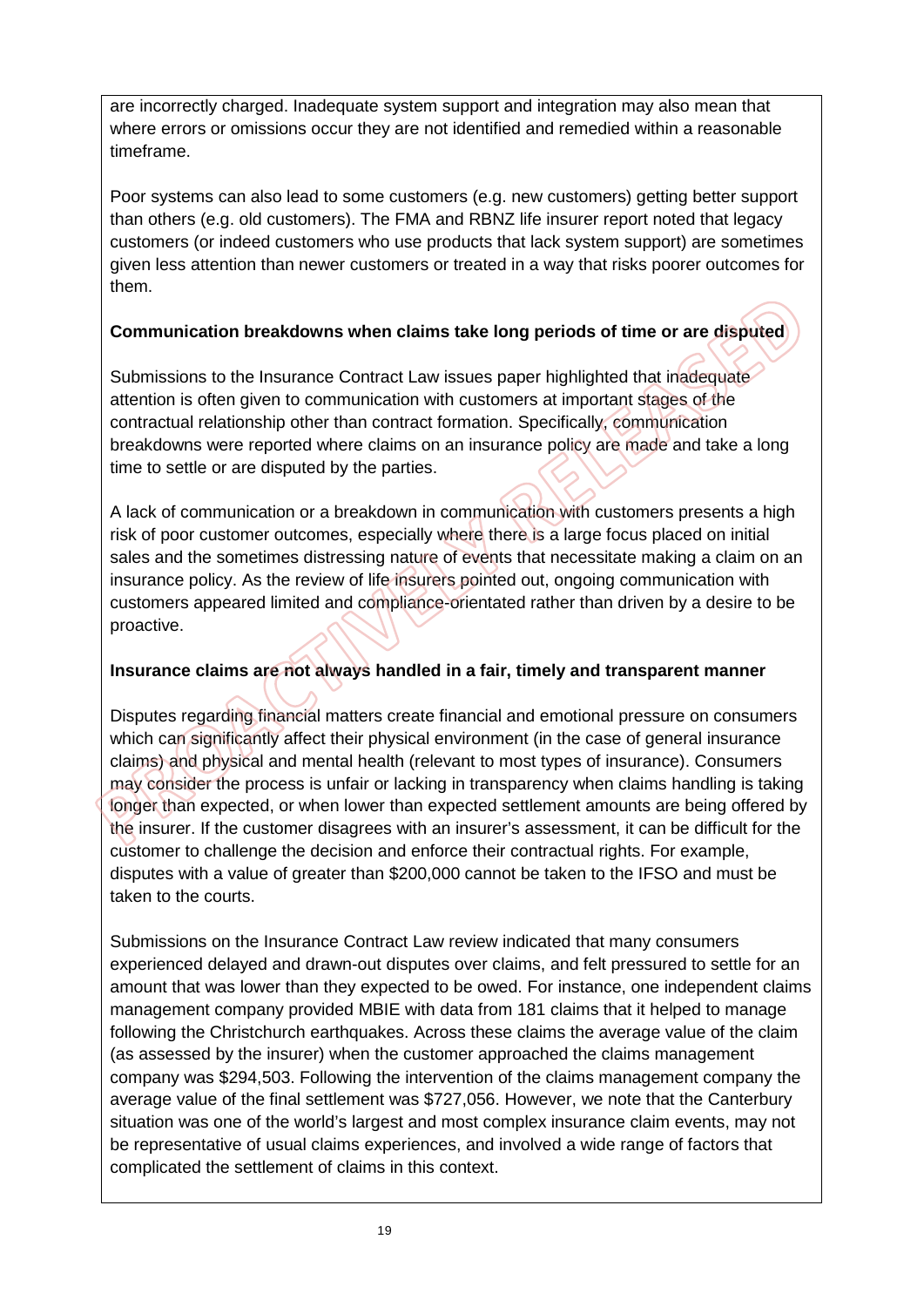are incorrectly charged. Inadequate system support and integration may also mean that where errors or omissions occur they are not identified and remedied within a reasonable timeframe.

Poor systems can also lead to some customers (e.g. new customers) getting better support than others (e.g. old customers). The FMA and RBNZ life insurer report noted that legacy customers (or indeed customers who use products that lack system support) are sometimes given less attention than newer customers or treated in a way that risks poorer outcomes for them.

#### **Communication breakdowns when claims take long periods of time or are disputed**

Submissions to the Insurance Contract Law issues paper highlighted that inadequate attention is often given to communication with customers at important stages of the contractual relationship other than contract formation. Specifically, communication breakdowns were reported where claims on an insurance policy are made and take a long time to settle or are disputed by the parties.

A lack of communication or a breakdown in communication with customers presents a high risk of poor customer outcomes, especially where there is a large focus placed on initial sales and the sometimes distressing nature of events that necessitate making a claim on an insurance policy. As the review of life insurers pointed out, ongoing communication with customers appeared limited and compliance-orientated rather than driven by a desire to be proactive.

#### **Insurance claims are not always handled in a fair, timely and transparent manner**

Disputes regarding financial matters create financial and emotional pressure on consumers which can significantly affect their physical environment (in the case of general insurance claims) and physical and mental health (relevant to most types of insurance). Consumers may consider the process is unfair or lacking in transparency when claims handling is taking longer than expected, or when lower than expected settlement amounts are being offered by the insurer. If the customer disagrees with an insurer's assessment, it can be difficult for the customer to challenge the decision and enforce their contractual rights. For example, disputes with a value of greater than \$200,000 cannot be taken to the IFSO and must be taken to the courts.

Submissions on the Insurance Contract Law review indicated that many consumers experienced delayed and drawn-out disputes over claims, and felt pressured to settle for an amount that was lower than they expected to be owed. For instance, one independent claims management company provided MBIE with data from 181 claims that it helped to manage following the Christchurch earthquakes. Across these claims the average value of the claim (as assessed by the insurer) when the customer approached the claims management company was \$294,503. Following the intervention of the claims management company the average value of the final settlement was \$727,056. However, we note that the Canterbury situation was one of the world's largest and most complex insurance claim events, may not be representative of usual claims experiences, and involved a wide range of factors that complicated the settlement of claims in this context.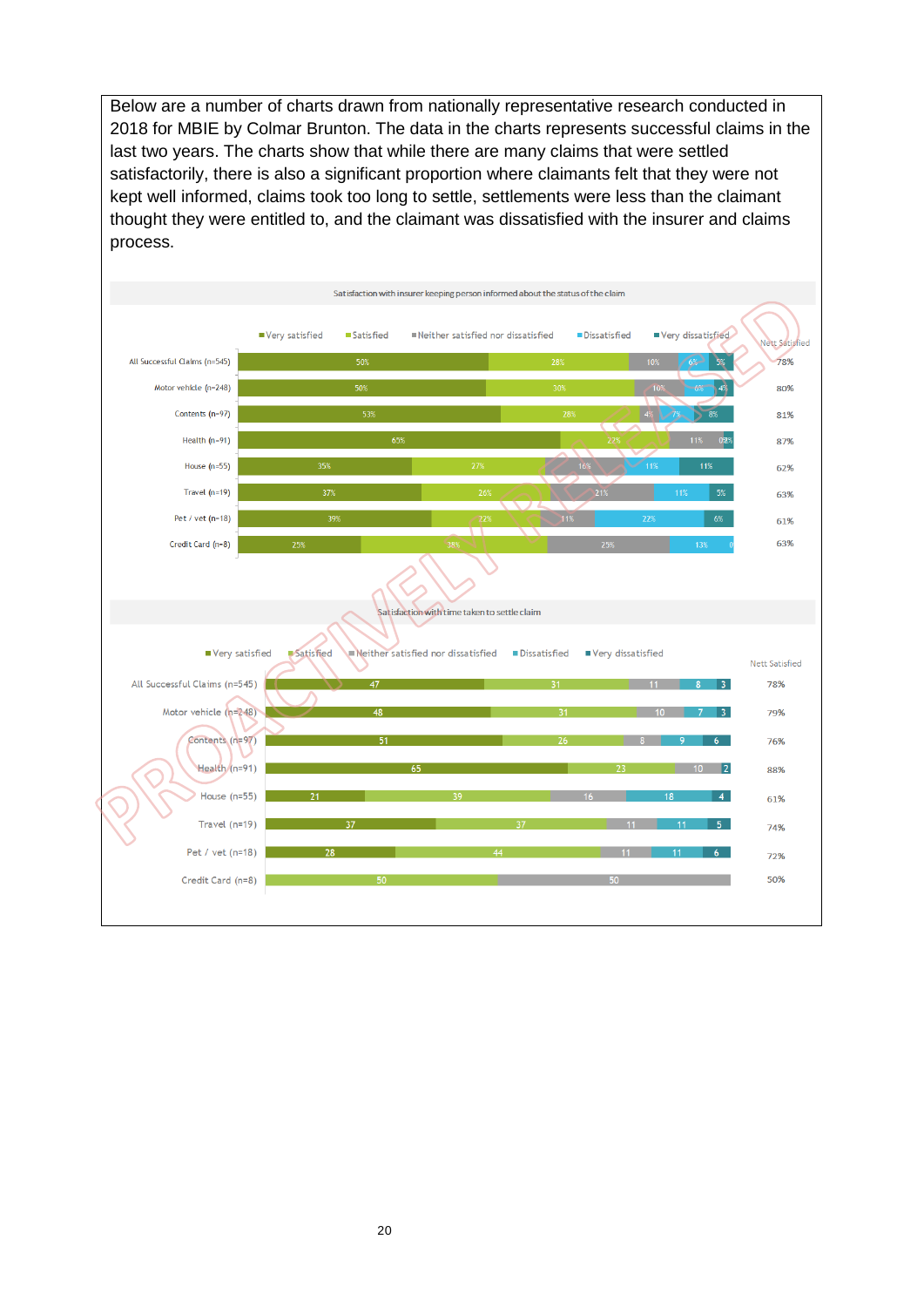Below are a number of charts drawn from nationally representative research conducted in 2018 for MBIE by Colmar Brunton. The data in the charts represents successful claims in the last two years. The charts show that while there are many claims that were settled satisfactorily, there is also a significant proportion where claimants felt that they were not kept well informed, claims took too long to settle, settlements were less than the claimant thought they were entitled to, and the claimant was dissatisfied with the insurer and claims process.

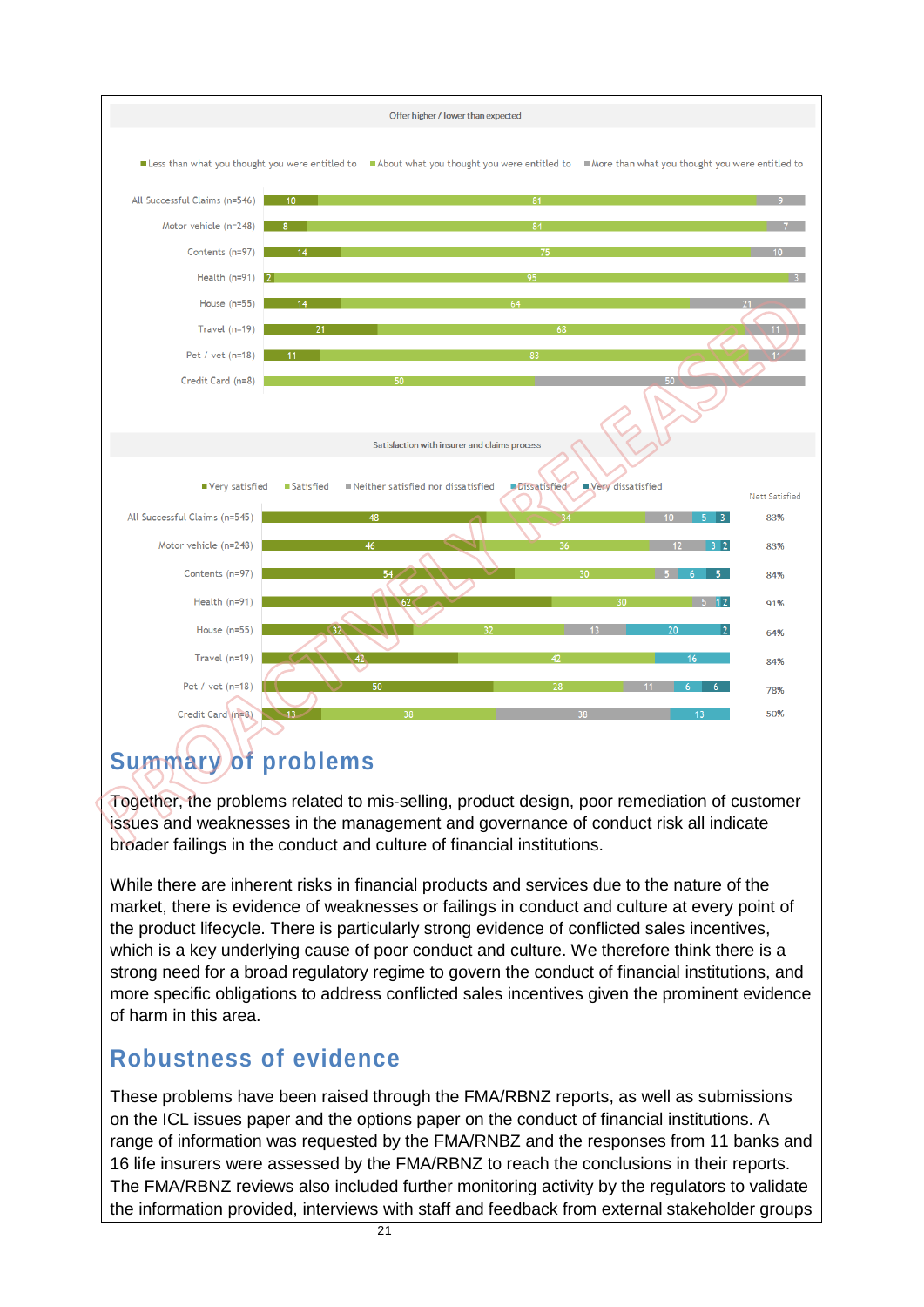

## **Summary of problems**

Together, the problems related to mis-selling, product design, poor remediation of customer issues and weaknesses in the management and governance of conduct risk all indicate broader failings in the conduct and culture of financial institutions.

While there are inherent risks in financial products and services due to the nature of the market, there is evidence of weaknesses or failings in conduct and culture at every point of the product lifecycle. There is particularly strong evidence of conflicted sales incentives, which is a key underlying cause of poor conduct and culture. We therefore think there is a strong need for a broad regulatory regime to govern the conduct of financial institutions, and more specific obligations to address conflicted sales incentives given the prominent evidence of harm in this area.

## **Robustness of evidence**

These problems have been raised through the FMA/RBNZ reports, as well as submissions on the ICL issues paper and the options paper on the conduct of financial institutions. A range of information was requested by the FMA/RNBZ and the responses from 11 banks and 16 life insurers were assessed by the FMA/RBNZ to reach the conclusions in their reports. The FMA/RBNZ reviews also included further monitoring activity by the regulators to validate the information provided, interviews with staff and feedback from external stakeholder groups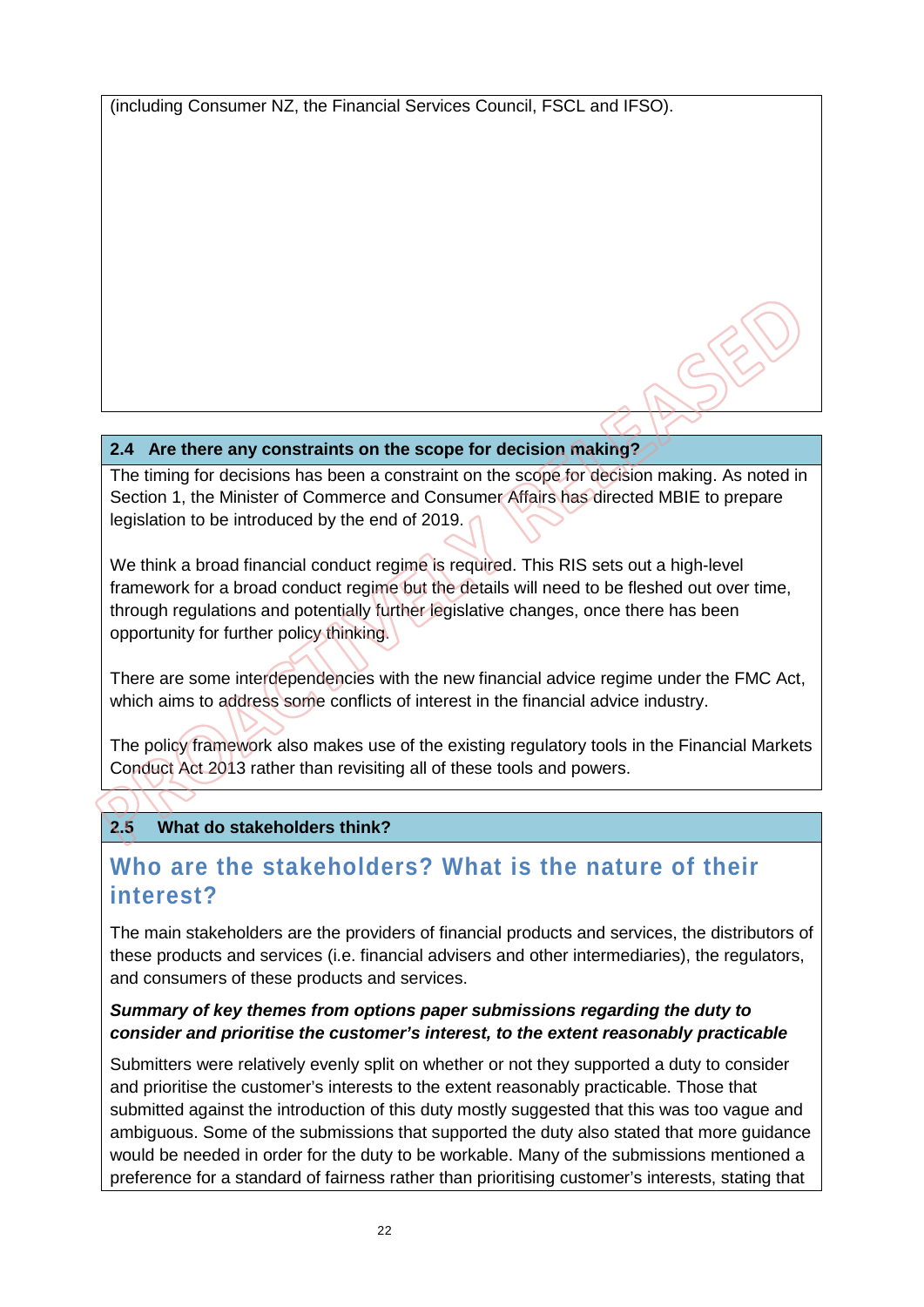(including Consumer NZ, the Financial Services Council, FSCL and IFSO).

#### **2.4 Are there any constraints on the scope for decision making?**

The timing for decisions has been a constraint on the scope for decision making. As noted in Section 1, the Minister of Commerce and Consumer Affairs has directed MBIE to prepare legislation to be introduced by the end of 2019.

We think a broad financial conduct regime is required. This RIS sets out a high-level framework for a broad conduct regime but the details will need to be fleshed out over time, through regulations and potentially further legislative changes, once there has been opportunity for further policy thinking.

There are some interdependencies with the new financial advice regime under the FMC Act, which aims to address some conflicts of interest in the financial advice industry.

The policy framework also makes use of the existing regulatory tools in the Financial Markets Conduct Act 2013 rather than revisiting all of these tools and powers.

### **2.5 What do stakeholders think?**

## **Who are the stakeholders? What is the nature of their interest?**

The main stakeholders are the providers of financial products and services, the distributors of these products and services (i.e. financial advisers and other intermediaries), the regulators, and consumers of these products and services.

#### *Summary of key themes from options paper submissions regarding the duty to consider and prioritise the customer's interest, to the extent reasonably practicable*

Submitters were relatively evenly split on whether or not they supported a duty to consider and prioritise the customer's interests to the extent reasonably practicable. Those that submitted against the introduction of this duty mostly suggested that this was too vague and ambiguous. Some of the submissions that supported the duty also stated that more guidance would be needed in order for the duty to be workable. Many of the submissions mentioned a preference for a standard of fairness rather than prioritising customer's interests, stating that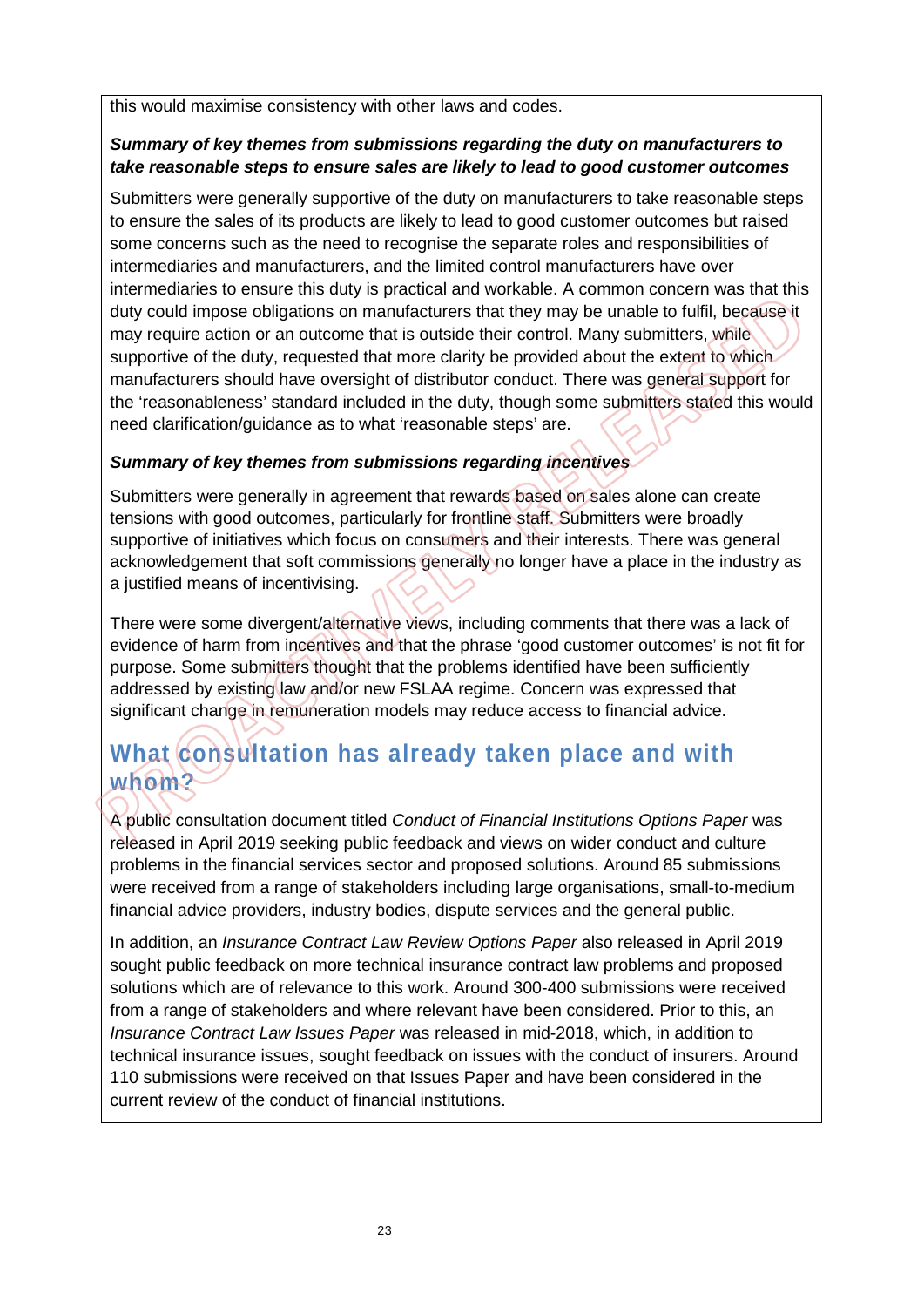this would maximise consistency with other laws and codes.

#### *Summary of key themes from submissions regarding the duty on manufacturers to take reasonable steps to ensure sales are likely to lead to good customer outcomes*

Submitters were generally supportive of the duty on manufacturers to take reasonable steps to ensure the sales of its products are likely to lead to good customer outcomes but raised some concerns such as the need to recognise the separate roles and responsibilities of intermediaries and manufacturers, and the limited control manufacturers have over intermediaries to ensure this duty is practical and workable. A common concern was that this duty could impose obligations on manufacturers that they may be unable to fulfil, because it may require action or an outcome that is outside their control. Many submitters, while supportive of the duty, requested that more clarity be provided about the extent to which manufacturers should have oversight of distributor conduct. There was general support for the 'reasonableness' standard included in the duty, though some submitters stated this would need clarification/guidance as to what 'reasonable steps' are.

#### *Summary of key themes from submissions regarding incentives*

Submitters were generally in agreement that rewards based on sales alone can create tensions with good outcomes, particularly for frontline staff. Submitters were broadly supportive of initiatives which focus on consumers and their interests. There was general acknowledgement that soft commissions generally no longer have a place in the industry as a justified means of incentivising.

There were some divergent/alternative views, including comments that there was a lack of evidence of harm from incentives and that the phrase 'good customer outcomes' is not fit for purpose. Some submitters thought that the problems identified have been sufficiently addressed by existing law and/or new FSLAA regime. Concern was expressed that significant change in remuneration models may reduce access to financial advice.

## **What consultation has already taken place and with whom?**

A public consultation document titled *Conduct of Financial Institutions Options Paper* was released in April 2019 seeking public feedback and views on wider conduct and culture problems in the financial services sector and proposed solutions. Around 85 submissions were received from a range of stakeholders including large organisations, small-to-medium financial advice providers, industry bodies, dispute services and the general public.

In addition, an *Insurance Contract Law Review Options Paper* also released in April 2019 sought public feedback on more technical insurance contract law problems and proposed solutions which are of relevance to this work. Around 300-400 submissions were received from a range of stakeholders and where relevant have been considered. Prior to this, an *Insurance Contract Law Issues Paper* was released in mid-2018, which, in addition to technical insurance issues, sought feedback on issues with the conduct of insurers. Around 110 submissions were received on that Issues Paper and have been considered in the current review of the conduct of financial institutions.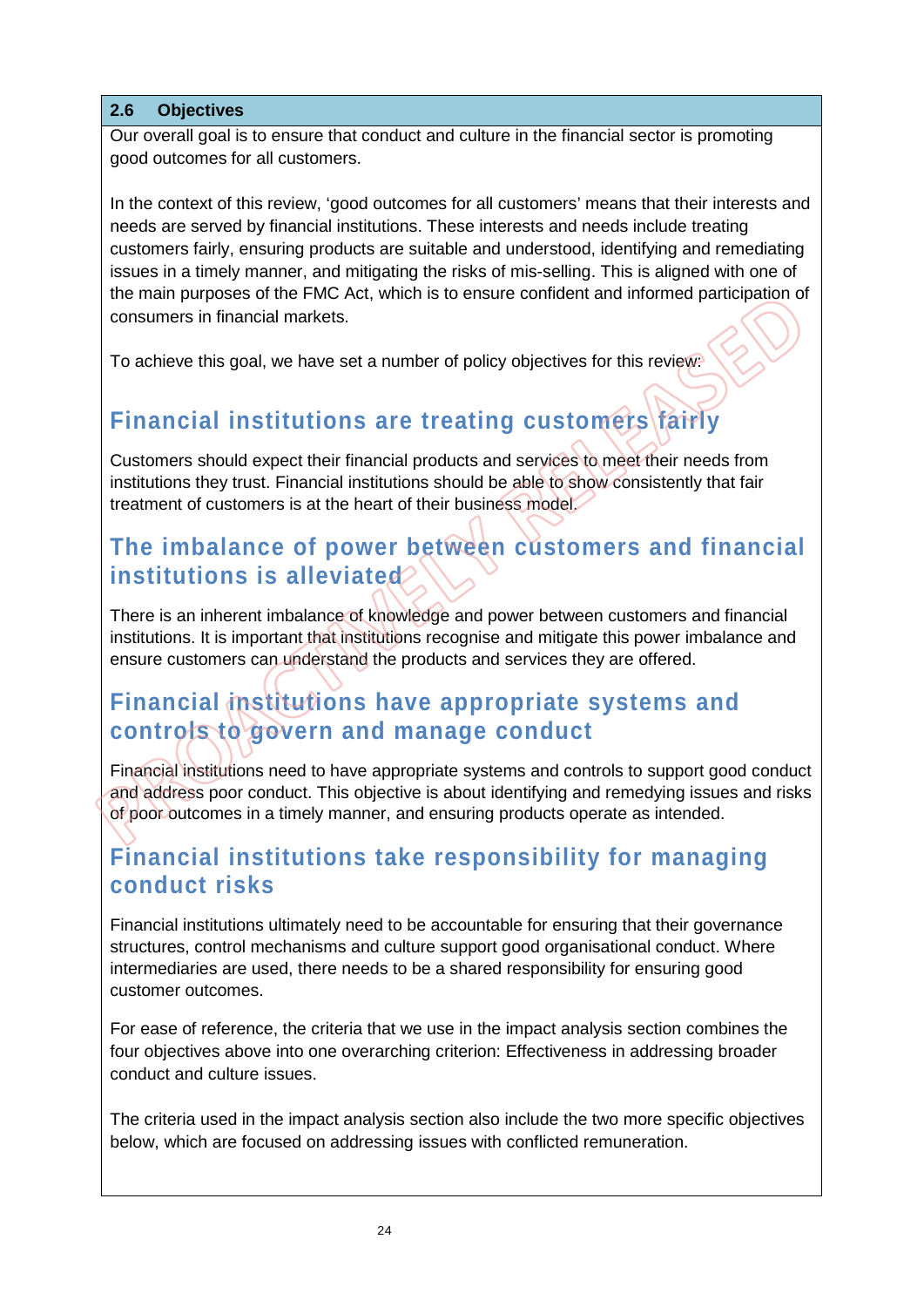#### **2.6 Objectives**

Our overall goal is to ensure that conduct and culture in the financial sector is promoting good outcomes for all customers.

In the context of this review, 'good outcomes for all customers' means that their interests and needs are served by financial institutions. These interests and needs include treating customers fairly, ensuring products are suitable and understood, identifying and remediating issues in a timely manner, and mitigating the risks of mis-selling. This is aligned with one of the main purposes of the FMC Act, which is to ensure confident and informed participation of consumers in financial markets.

To achieve this goal, we have set a number of policy objectives for this review:

## **Financial institutions are treating customers fairly**

Customers should expect their financial products and services to meet their needs from institutions they trust. Financial institutions should be able to show consistently that fair treatment of customers is at the heart of their business model.

## **The imbalance of power between customers and financial institutions is alleviated**

There is an inherent imbalance of knowledge and power between customers and financial institutions. It is important that institutions recognise and mitigate this power imbalance and ensure customers can understand the products and services they are offered.

## **Financial institutions have appropriate systems and controls to govern and manage conduct**

Financial institutions need to have appropriate systems and controls to support good conduct and address poor conduct. This objective is about identifying and remedying issues and risks of poor outcomes in a timely manner, and ensuring products operate as intended.

## **Financial institutions take responsibility for managing conduct risks**

Financial institutions ultimately need to be accountable for ensuring that their governance structures, control mechanisms and culture support good organisational conduct. Where intermediaries are used, there needs to be a shared responsibility for ensuring good customer outcomes.

For ease of reference, the criteria that we use in the impact analysis section combines the four objectives above into one overarching criterion: Effectiveness in addressing broader conduct and culture issues.

The criteria used in the impact analysis section also include the two more specific objectives below, which are focused on addressing issues with conflicted remuneration.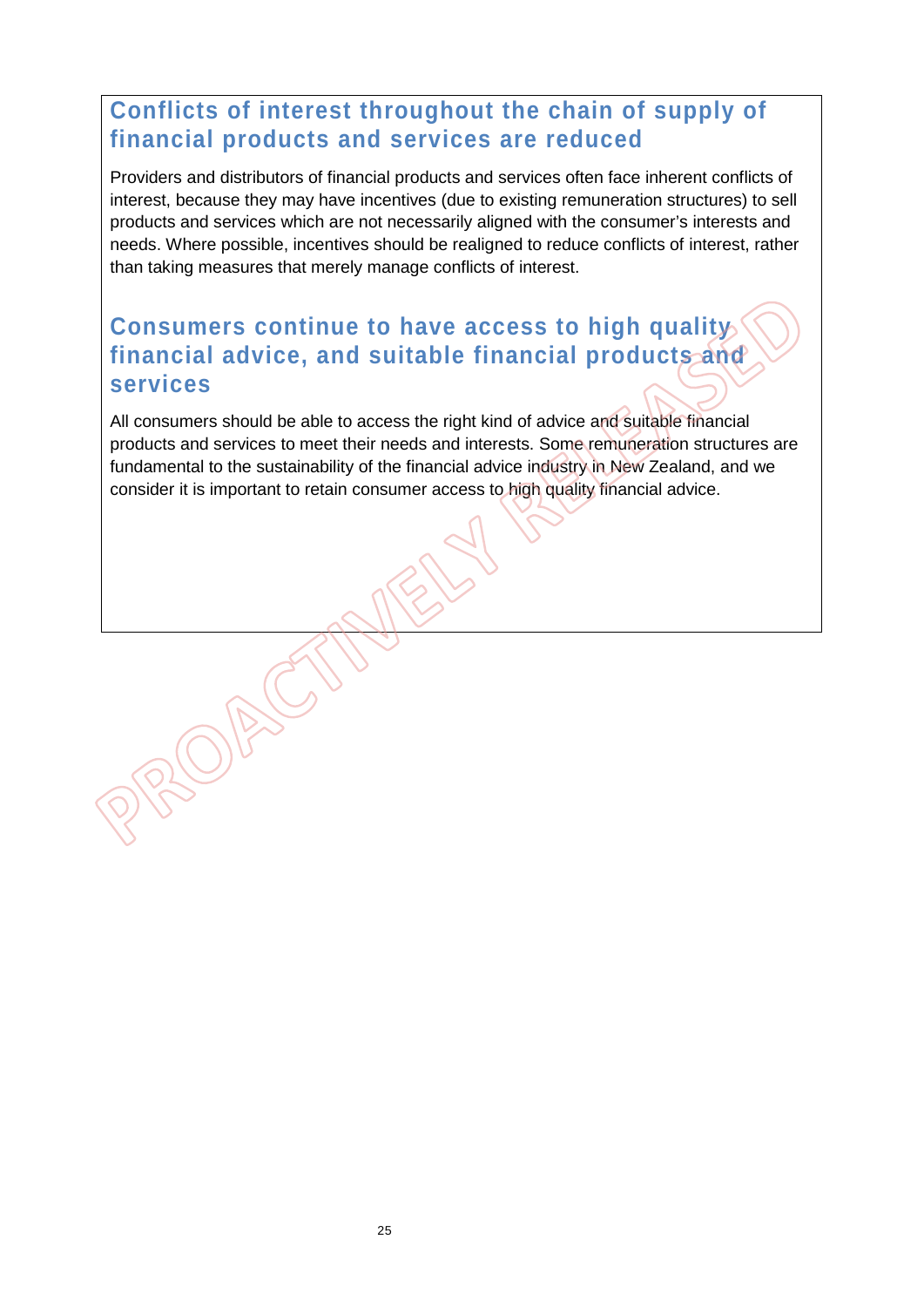## **Conflicts of interest throughout the chain of supply of financial products and services are reduced**

Providers and distributors of financial products and services often face inherent conflicts of interest, because they may have incentives (due to existing remuneration structures) to sell products and services which are not necessarily aligned with the consumer's interests and needs. Where possible, incentives should be realigned to reduce conflicts of interest, rather than taking measures that merely manage conflicts of interest.

## **Consumers continue to have access to high quality financial advice, and suitable financial products and services**

All consumers should be able to access the right kind of advice and suitable financial products and services to meet their needs and interests. Some remuneration structures are fundamental to the sustainability of the financial advice industry in New Zealand, and we consider it is important to retain consumer access to high quality financial advice.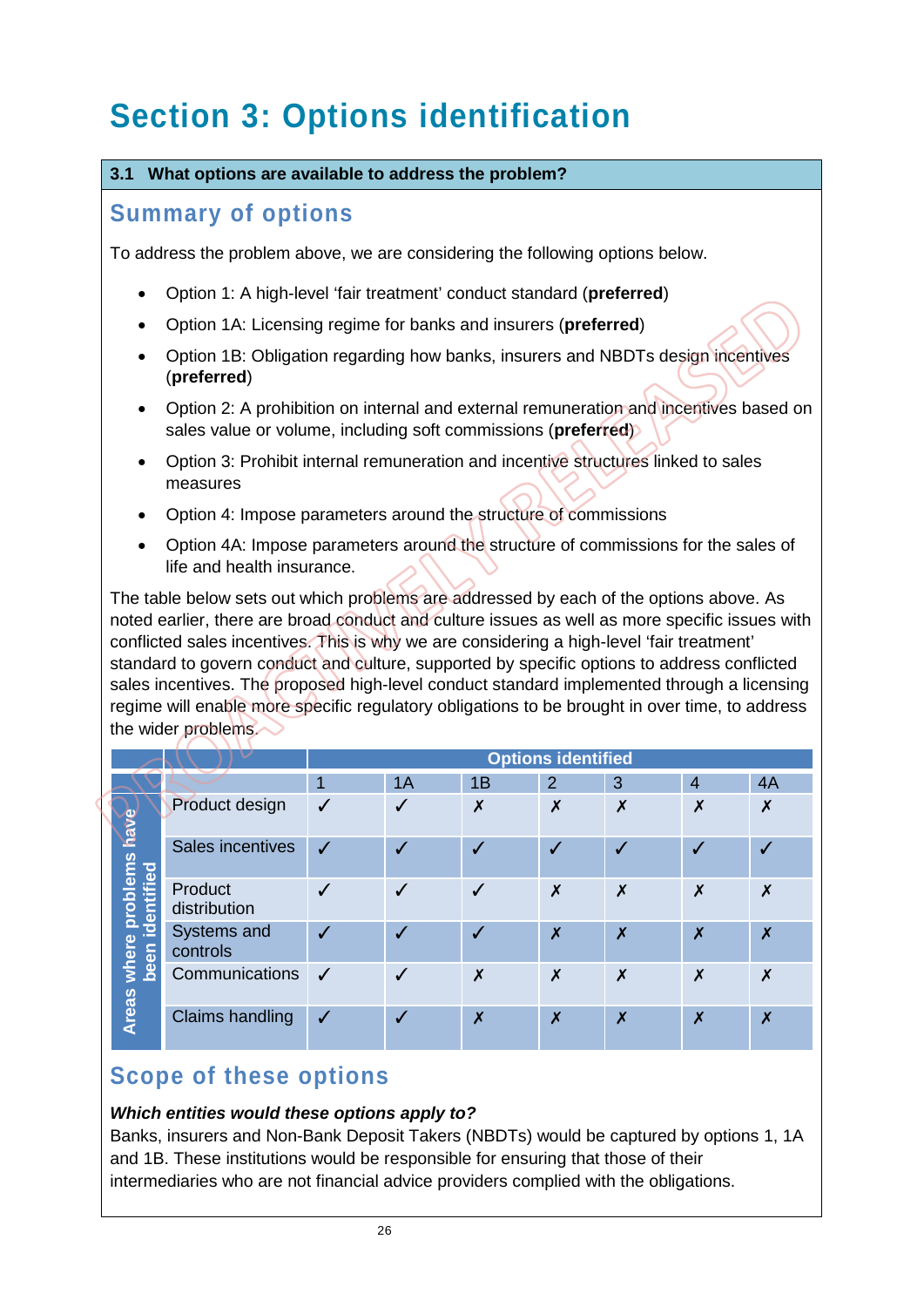# **Section 3: Options identification**

#### **3.1 What options are available to address the problem?**

### **Summary of options**

To address the problem above, we are considering the following options below.

- Option 1: A high-level 'fair treatment' conduct standard (**preferred**)
- Option 1A: Licensing regime for banks and insurers (**preferred**)
- Option 1B: Obligation regarding how banks, insurers and NBDTs design incentives (**preferred**)
- Option 2: A prohibition on internal and external remuneration and incentives based on sales value or volume, including soft commissions (**preferred**)
- Option 3: Prohibit internal remuneration and incentive structures linked to sales measures
- Option 4: Impose parameters around the structure of commissions
- Option 4A: Impose parameters around the structure of commissions for the sales of life and health insurance.

The table below sets out which problems are addressed by each of the options above. As noted earlier, there are broad conduct and culture issues as well as more specific issues with conflicted sales incentives. This is why we are considering a high-level 'fair treatment' standard to govern conduct and culture, supported by specific options to address conflicted sales incentives. The proposed high-level conduct standard implemented through a licensing regime will enable more specific regulatory obligations to be brought in over time, to address the wider problems.

|                                                        |                         |                  |    |                  | <b>Options identified</b> |                           |                           |    |
|--------------------------------------------------------|-------------------------|------------------|----|------------------|---------------------------|---------------------------|---------------------------|----|
|                                                        |                         | 1                | 1A | 1B               | $\overline{2}$            | 3                         | $\overline{4}$            | 4A |
| where problems have<br>been identified<br><b>Areas</b> | Product design          | ✓                |    | $\boldsymbol{x}$ | X                         | $\boldsymbol{\mathsf{x}}$ | X                         | X  |
|                                                        | Sales incentives        | $\boldsymbol{J}$ |    | J                | $\overline{\mathcal{L}}$  | $\checkmark$              | √                         |    |
|                                                        | Product<br>distribution |                  |    |                  | X                         | X                         | X                         | X  |
|                                                        | Systems and<br>controls |                  |    |                  | $\boldsymbol{\mathsf{x}}$ | $\boldsymbol{\mathsf{x}}$ | $\boldsymbol{\mathsf{x}}$ | X  |
|                                                        | Communications          | $\checkmark$     |    | X                | X                         | X                         | X                         | X  |
|                                                        | <b>Claims handling</b>  | √                |    | X                | X                         | $\boldsymbol{\mathsf{x}}$ | $\boldsymbol{\mathsf{x}}$ | X  |

## **Scope of these options**

#### *Which entities would these options apply to?*

Banks, insurers and Non-Bank Deposit Takers (NBDTs) would be captured by options 1, 1A and 1B. These institutions would be responsible for ensuring that those of their intermediaries who are not financial advice providers complied with the obligations.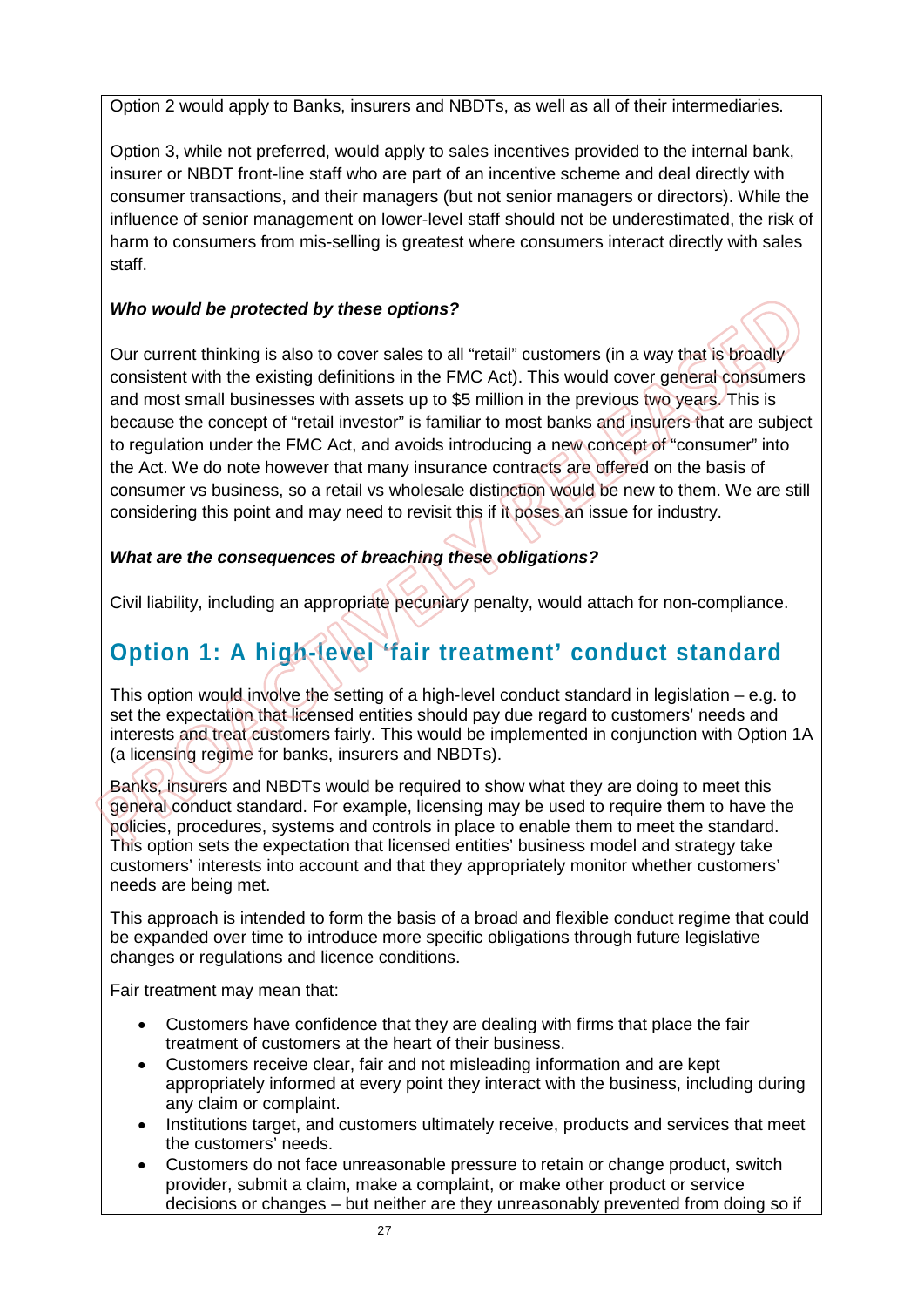Option 2 would apply to Banks, insurers and NBDTs, as well as all of their intermediaries.

Option 3, while not preferred, would apply to sales incentives provided to the internal bank, insurer or NBDT front-line staff who are part of an incentive scheme and deal directly with consumer transactions, and their managers (but not senior managers or directors). While the influence of senior management on lower-level staff should not be underestimated, the risk of harm to consumers from mis-selling is greatest where consumers interact directly with sales staff.

#### *Who would be protected by these options?*

Our current thinking is also to cover sales to all "retail" customers (in a way that is broadly consistent with the existing definitions in the FMC Act). This would cover general consumers and most small businesses with assets up to \$5 million in the previous two years. This is because the concept of "retail investor" is familiar to most banks and insurers that are subject to regulation under the FMC Act, and avoids introducing a new concept of "consumer" into the Act. We do note however that many insurance contracts are offered on the basis of consumer vs business, so a retail vs wholesale distinction would be new to them. We are still considering this point and may need to revisit this if it poses an issue for industry.

#### *What are the consequences of breaching these obligations?*

Civil liability, including an appropriate pecuniary penalty, would attach for non-compliance.

## **Option 1: A high-level 'fair treatment' conduct standard**

This option would involve the setting of a high-level conduct standard in legislation – e.g. to set the expectation that licensed entities should pay due regard to customers' needs and interests and treat customers fairly. This would be implemented in conjunction with Option 1A (a licensing regime for banks, insurers and NBDTs).

Banks, insurers and NBDTs would be required to show what they are doing to meet this general conduct standard. For example, licensing may be used to require them to have the policies, procedures, systems and controls in place to enable them to meet the standard. This option sets the expectation that licensed entities' business model and strategy take customers' interests into account and that they appropriately monitor whether customers' needs are being met.

This approach is intended to form the basis of a broad and flexible conduct regime that could be expanded over time to introduce more specific obligations through future legislative changes or regulations and licence conditions.

Fair treatment may mean that:

- Customers have confidence that they are dealing with firms that place the fair treatment of customers at the heart of their business.
- Customers receive clear, fair and not misleading information and are kept appropriately informed at every point they interact with the business, including during any claim or complaint.
- Institutions target, and customers ultimately receive, products and services that meet the customers' needs.
- Customers do not face unreasonable pressure to retain or change product, switch provider, submit a claim, make a complaint, or make other product or service decisions or changes – but neither are they unreasonably prevented from doing so if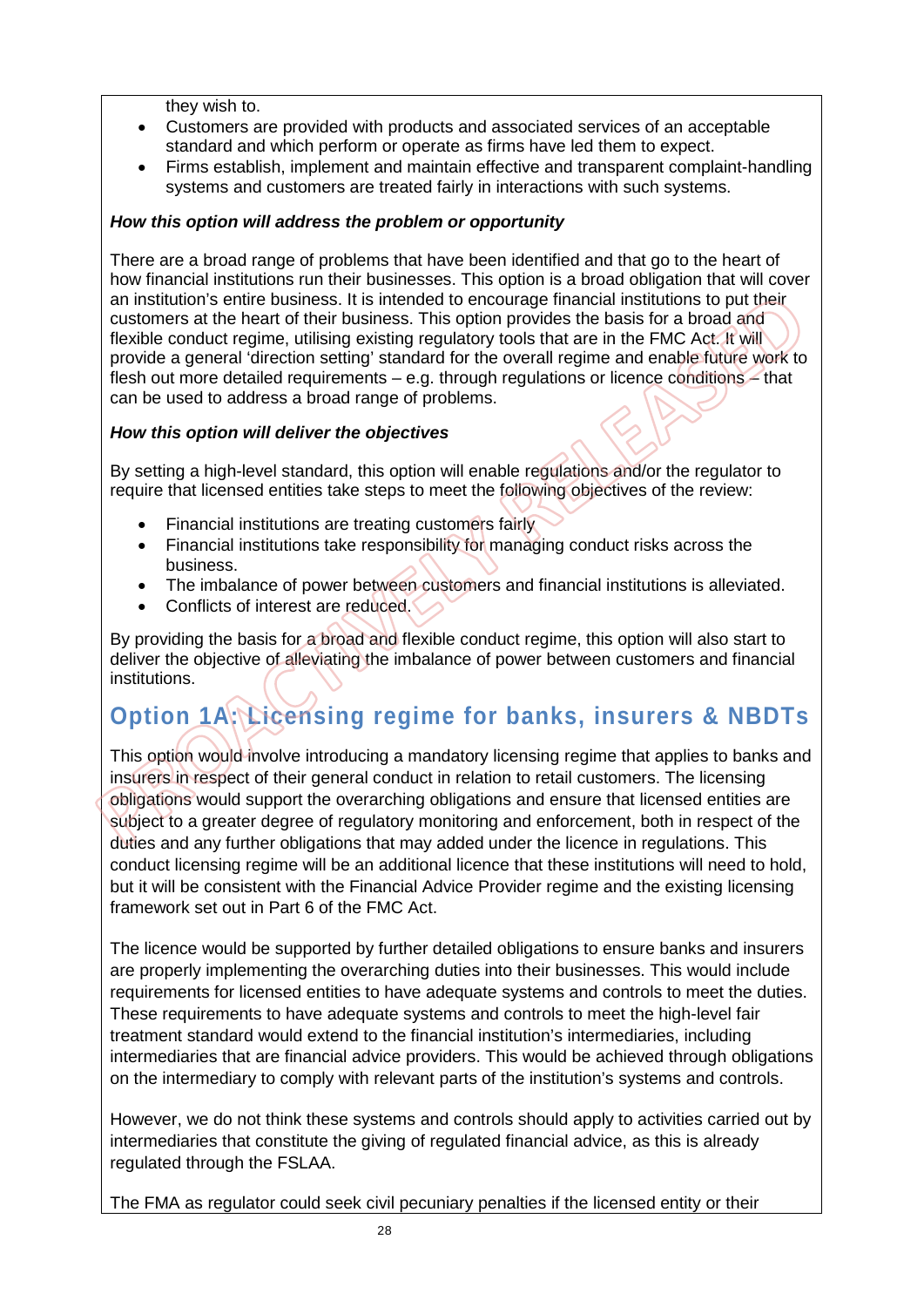they wish to.

- Customers are provided with products and associated services of an acceptable standard and which perform or operate as firms have led them to expect.
- Firms establish, implement and maintain effective and transparent complaint-handling systems and customers are treated fairly in interactions with such systems.

#### *How this option will address the problem or opportunity*

There are a broad range of problems that have been identified and that go to the heart of how financial institutions run their businesses. This option is a broad obligation that will cover an institution's entire business. It is intended to encourage financial institutions to put their customers at the heart of their business. This option provides the basis for a broad and flexible conduct regime, utilising existing regulatory tools that are in the FMC Act. It will provide a general 'direction setting' standard for the overall regime and enable future work to flesh out more detailed requirements  $-$  e.g. through regulations or licence conditions  $-$  that can be used to address a broad range of problems.

#### *How this option will deliver the objectives*

By setting a high-level standard, this option will enable regulations and/or the regulator to require that licensed entities take steps to meet the following objectives of the review:

- Financial institutions are treating customers fairly
- Financial institutions take responsibility for managing conduct risks across the business.
- The imbalance of power between customers and financial institutions is alleviated.
- Conflicts of interest are reduced.

By providing the basis for a broad and flexible conduct regime, this option will also start to deliver the objective of alleviating the imbalance of power between customers and financial institutions.

## **Option 1A: Licensing regime for banks, insurers & NBDTs**

This option would involve introducing a mandatory licensing regime that applies to banks and insurers in respect of their general conduct in relation to retail customers. The licensing obligations would support the overarching obligations and ensure that licensed entities are subject to a greater degree of regulatory monitoring and enforcement, both in respect of the duties and any further obligations that may added under the licence in regulations. This conduct licensing regime will be an additional licence that these institutions will need to hold, but it will be consistent with the Financial Advice Provider regime and the existing licensing framework set out in Part 6 of the FMC Act.

The licence would be supported by further detailed obligations to ensure banks and insurers are properly implementing the overarching duties into their businesses. This would include requirements for licensed entities to have adequate systems and controls to meet the duties. These requirements to have adequate systems and controls to meet the high-level fair treatment standard would extend to the financial institution's intermediaries, including intermediaries that are financial advice providers. This would be achieved through obligations on the intermediary to comply with relevant parts of the institution's systems and controls.

However, we do not think these systems and controls should apply to activities carried out by intermediaries that constitute the giving of regulated financial advice, as this is already regulated through the FSLAA.

The FMA as regulator could seek civil pecuniary penalties if the licensed entity or their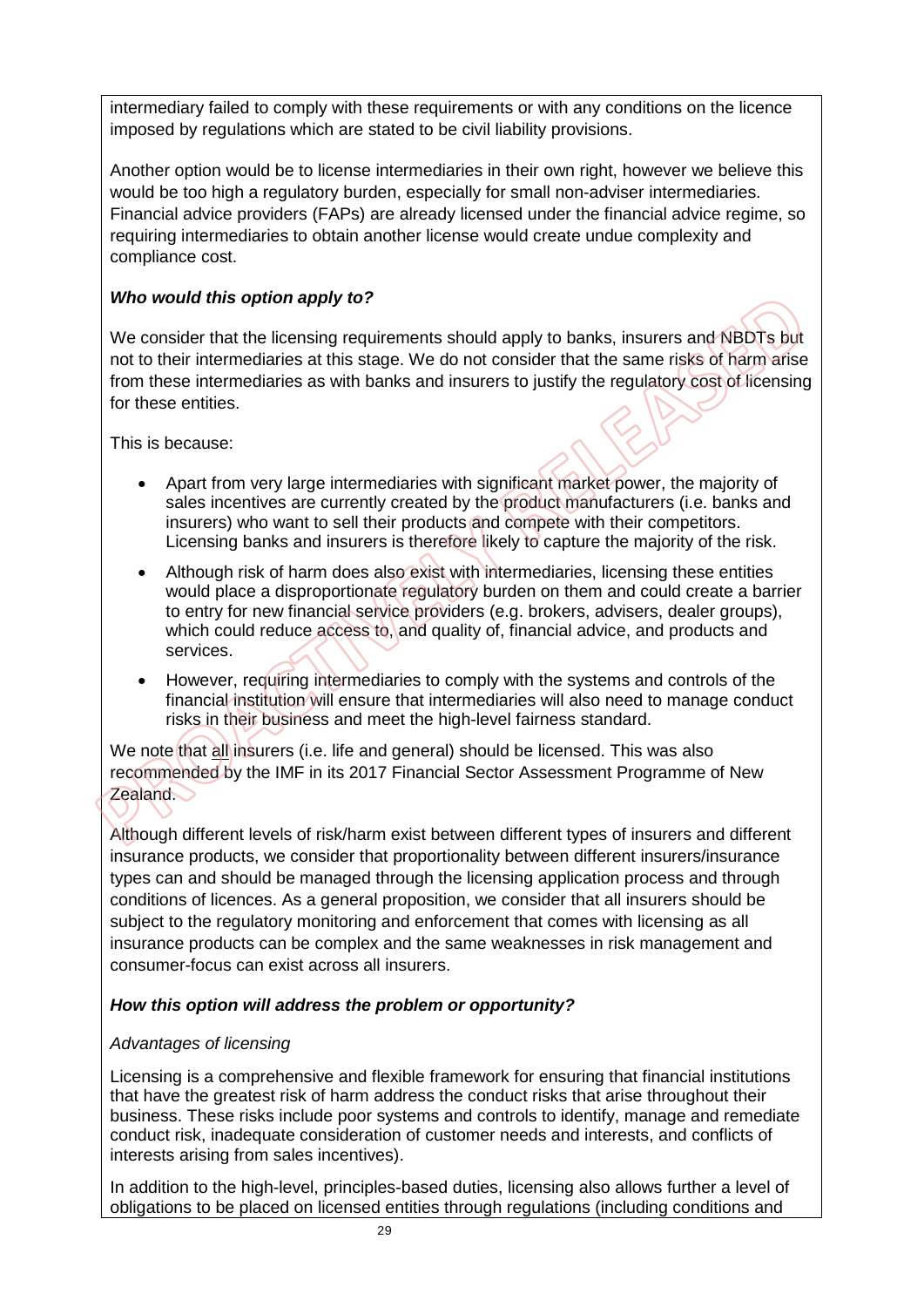intermediary failed to comply with these requirements or with any conditions on the licence imposed by regulations which are stated to be civil liability provisions.

Another option would be to license intermediaries in their own right, however we believe this would be too high a regulatory burden, especially for small non-adviser intermediaries. Financial advice providers (FAPs) are already licensed under the financial advice regime, so requiring intermediaries to obtain another license would create undue complexity and compliance cost.

#### *Who would this option apply to?*

We consider that the licensing requirements should apply to banks, insurers and NBDTs but not to their intermediaries at this stage. We do not consider that the same risks of harm arise from these intermediaries as with banks and insurers to justify the regulatory cost of licensing for these entities.

This is because:

- Apart from very large intermediaries with significant market power, the majority of sales incentives are currently created by the product manufacturers (i.e. banks and insurers) who want to sell their products and compete with their competitors. Licensing banks and insurers is therefore likely to capture the majority of the risk.
- Although risk of harm does also exist with intermediaries, licensing these entities would place a disproportionate regulatory burden on them and could create a barrier to entry for new financial service providers (e.g. brokers, advisers, dealer groups), which could reduce access to, and quality of, financial advice, and products and services.
- However, requiring intermediaries to comply with the systems and controls of the financial institution will ensure that intermediaries will also need to manage conduct risks in their business and meet the high-level fairness standard.

We note that all insurers (i.e. life and general) should be licensed. This was also recommended by the IMF in its 2017 Financial Sector Assessment Programme of New **Zealand.** 

Although different levels of risk/harm exist between different types of insurers and different insurance products, we consider that proportionality between different insurers/insurance types can and should be managed through the licensing application process and through conditions of licences. As a general proposition, we consider that all insurers should be subject to the regulatory monitoring and enforcement that comes with licensing as all insurance products can be complex and the same weaknesses in risk management and consumer-focus can exist across all insurers.

#### *How this option will address the problem or opportunity?*

#### *Advantages of licensing*

Licensing is a comprehensive and flexible framework for ensuring that financial institutions that have the greatest risk of harm address the conduct risks that arise throughout their business. These risks include poor systems and controls to identify, manage and remediate conduct risk, inadequate consideration of customer needs and interests, and conflicts of interests arising from sales incentives).

In addition to the high-level, principles-based duties, licensing also allows further a level of obligations to be placed on licensed entities through regulations (including conditions and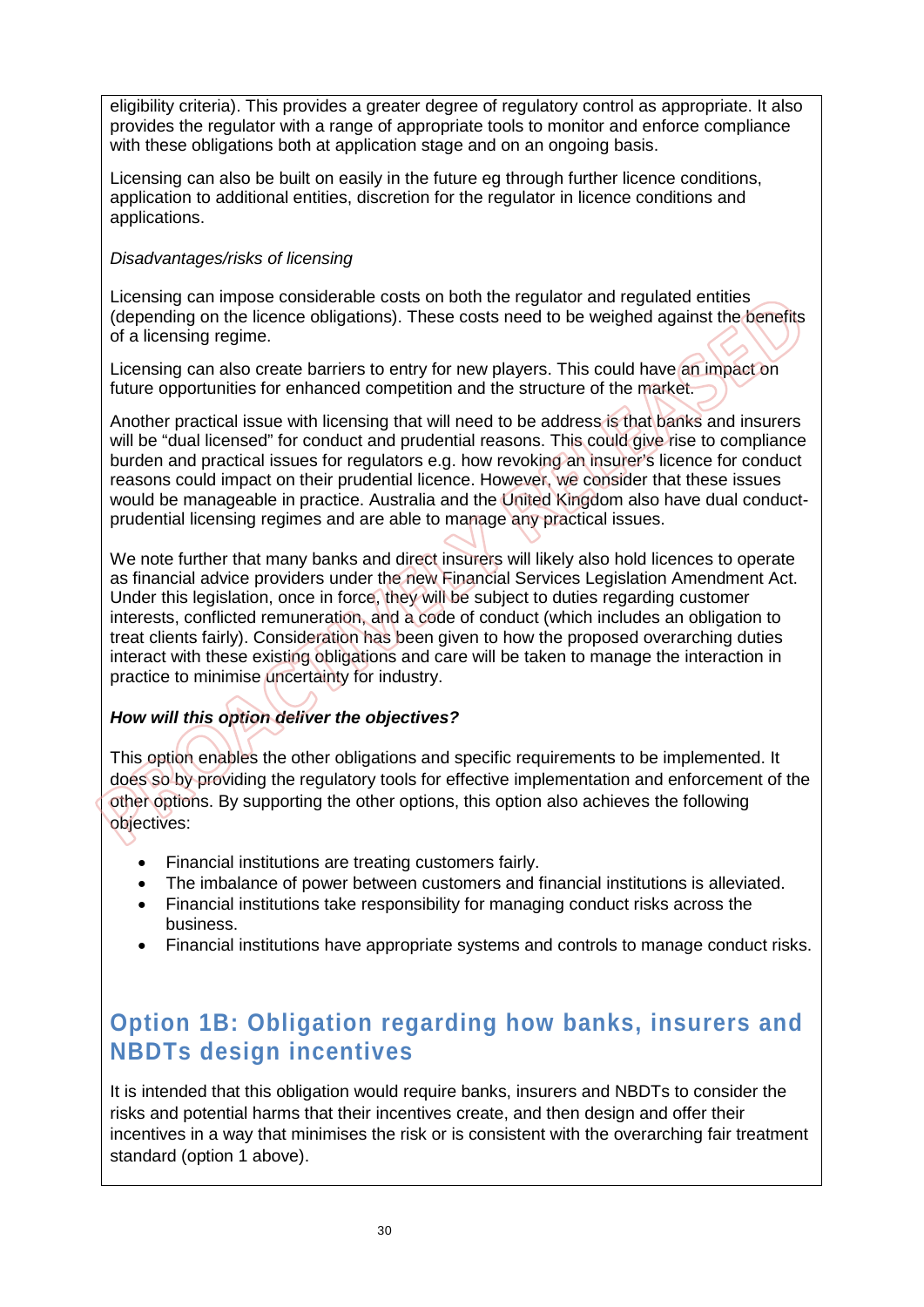eligibility criteria). This provides a greater degree of regulatory control as appropriate. It also provides the regulator with a range of appropriate tools to monitor and enforce compliance with these obligations both at application stage and on an ongoing basis.

Licensing can also be built on easily in the future eg through further licence conditions, application to additional entities, discretion for the regulator in licence conditions and applications.

#### *Disadvantages/risks of licensing*

Licensing can impose considerable costs on both the regulator and regulated entities (depending on the licence obligations). These costs need to be weighed against the benefits of a licensing regime.

Licensing can also create barriers to entry for new players. This could have an impact on future opportunities for enhanced competition and the structure of the market.

Another practical issue with licensing that will need to be address is that banks and insurers will be "dual licensed" for conduct and prudential reasons. This could give rise to compliance burden and practical issues for regulators e.g. how revoking an insurer's licence for conduct reasons could impact on their prudential licence. However, we consider that these issues would be manageable in practice. Australia and the United Kingdom also have dual conductprudential licensing regimes and are able to manage any practical issues.

We note further that many banks and direct insurers will likely also hold licences to operate as financial advice providers under the new Financial Services Legislation Amendment Act. Under this legislation, once in force, they will be subject to duties regarding customer interests, conflicted remuneration, and a code of conduct (which includes an obligation to treat clients fairly). Consideration has been given to how the proposed overarching duties interact with these existing obligations and care will be taken to manage the interaction in practice to minimise uncertainty for industry.

#### *How will this option deliver the objectives?*

This option enables the other obligations and specific requirements to be implemented. It does so by providing the regulatory tools for effective implementation and enforcement of the other options. By supporting the other options, this option also achieves the following objectives:

- Financial institutions are treating customers fairly.
- The imbalance of power between customers and financial institutions is alleviated.
- Financial institutions take responsibility for managing conduct risks across the business.
- Financial institutions have appropriate systems and controls to manage conduct risks.

## **Option 1B: Obligation regarding how banks, insurers and NBDTs design incentives**

It is intended that this obligation would require banks, insurers and NBDTs to consider the risks and potential harms that their incentives create, and then design and offer their incentives in a way that minimises the risk or is consistent with the overarching fair treatment standard (option 1 above).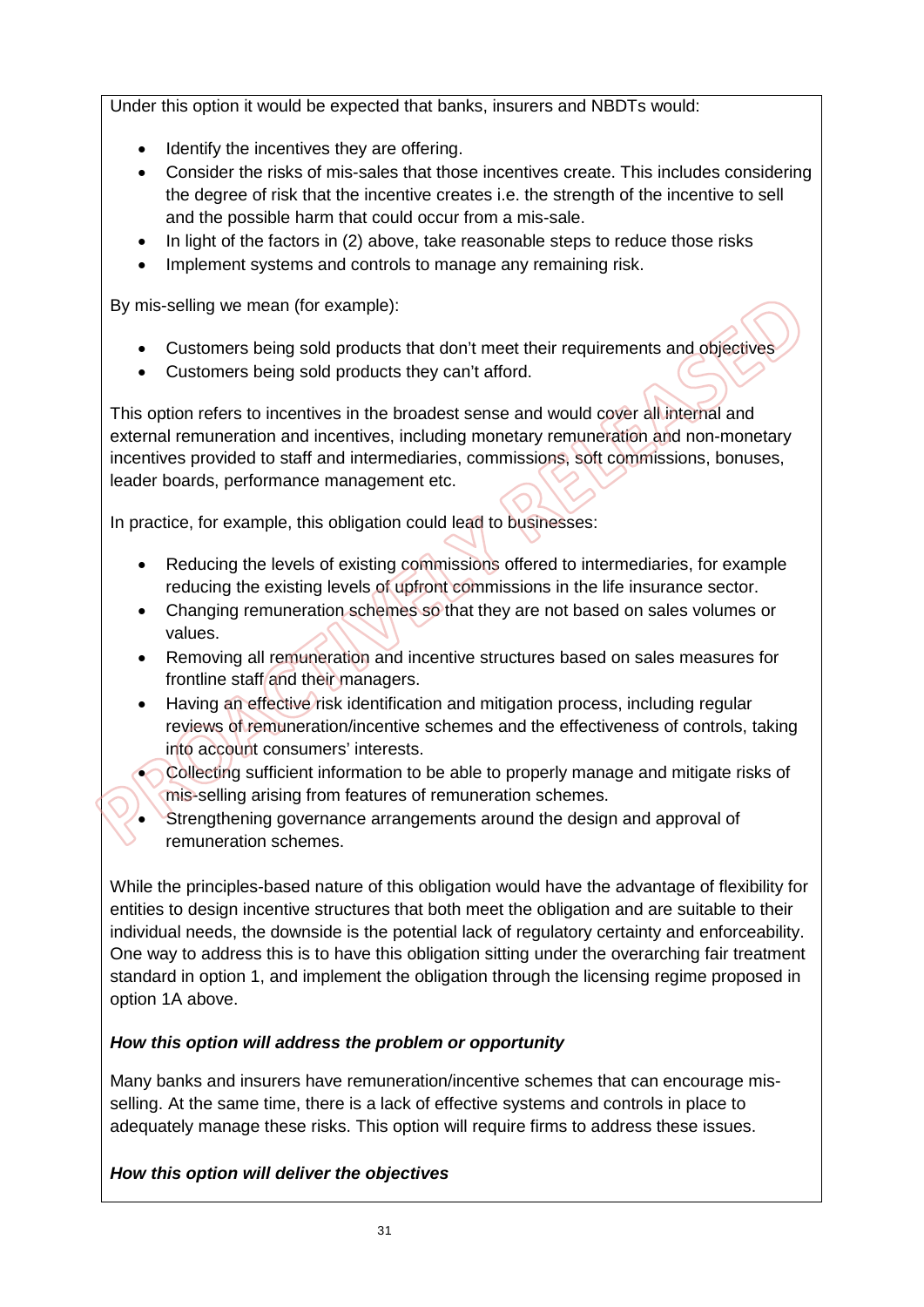Under this option it would be expected that banks, insurers and NBDTs would:

- Identify the incentives they are offering.
- Consider the risks of mis-sales that those incentives create. This includes considering the degree of risk that the incentive creates i.e. the strength of the incentive to sell and the possible harm that could occur from a mis-sale.
- In light of the factors in (2) above, take reasonable steps to reduce those risks
- Implement systems and controls to manage any remaining risk.

By mis-selling we mean (for example):

- Customers being sold products that don't meet their requirements and objectives
- Customers being sold products they can't afford.

This option refers to incentives in the broadest sense and would cover all internal and external remuneration and incentives, including monetary remuneration and non-monetary incentives provided to staff and intermediaries, commissions, soft commissions, bonuses, leader boards, performance management etc.

In practice, for example, this obligation could lead to businesses:

- Reducing the levels of existing commissions offered to intermediaries, for example reducing the existing levels of upfront commissions in the life insurance sector.
- Changing remuneration schemes so that they are not based on sales volumes or values.
- Removing all remuneration and incentive structures based on sales measures for frontline staff and their managers.
- Having an effective risk identification and mitigation process, including regular reviews of remuneration/incentive schemes and the effectiveness of controls, taking into account consumers' interests.
- Collecting sufficient information to be able to properly manage and mitigate risks of mis-selling arising from features of remuneration schemes.
- Strengthening governance arrangements around the design and approval of remuneration schemes.

While the principles-based nature of this obligation would have the advantage of flexibility for entities to design incentive structures that both meet the obligation and are suitable to their individual needs, the downside is the potential lack of regulatory certainty and enforceability. One way to address this is to have this obligation sitting under the overarching fair treatment standard in option 1, and implement the obligation through the licensing regime proposed in option 1A above.

#### *How this option will address the problem or opportunity*

Many banks and insurers have remuneration/incentive schemes that can encourage misselling. At the same time, there is a lack of effective systems and controls in place to adequately manage these risks. This option will require firms to address these issues.

#### *How this option will deliver the objectives*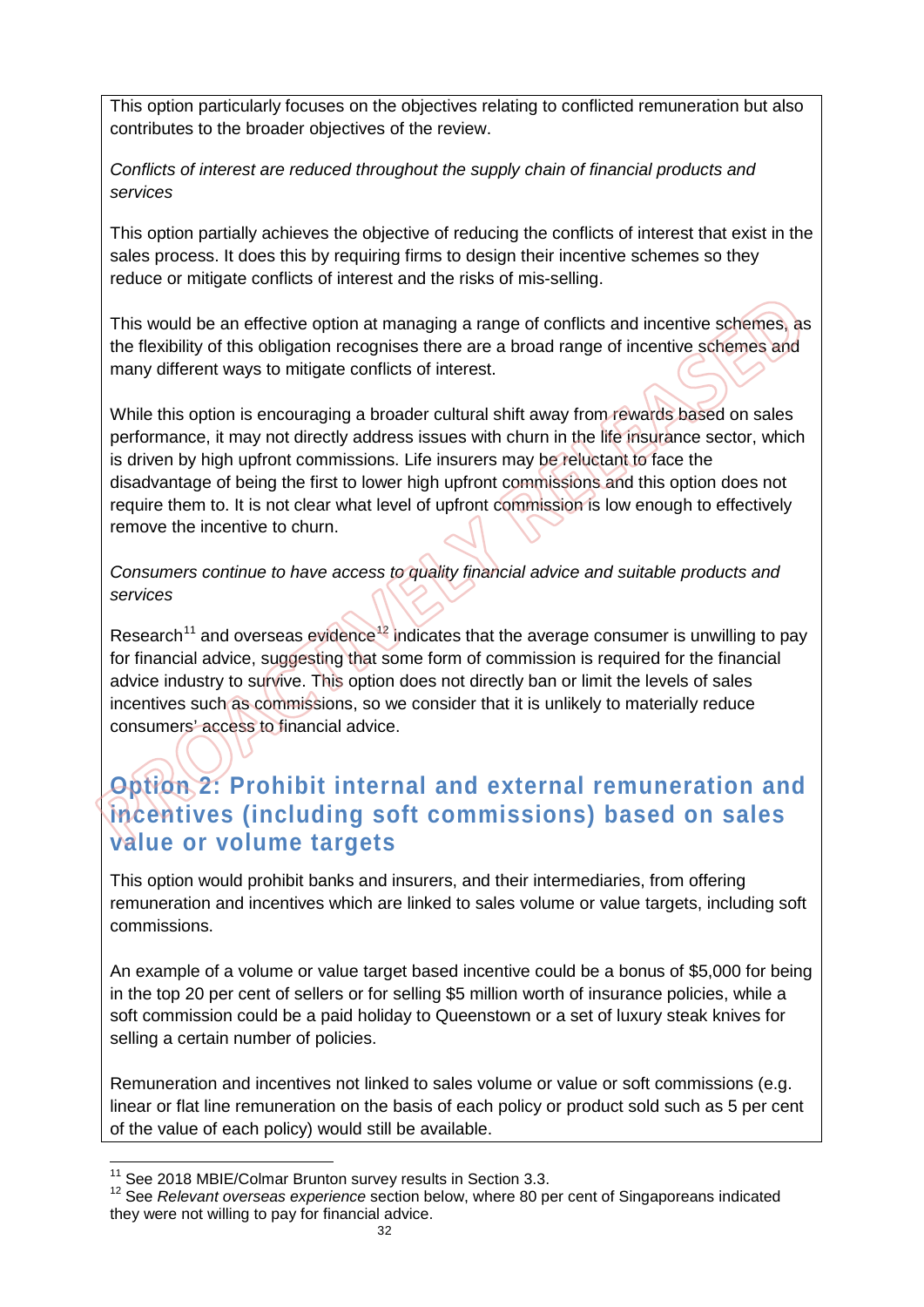This option particularly focuses on the objectives relating to conflicted remuneration but also contributes to the broader objectives of the review.

*Conflicts of interest are reduced throughout the supply chain of financial products and services* 

This option partially achieves the objective of reducing the conflicts of interest that exist in the sales process. It does this by requiring firms to design their incentive schemes so they reduce or mitigate conflicts of interest and the risks of mis-selling.

This would be an effective option at managing a range of conflicts and incentive schemes, as the flexibility of this obligation recognises there are a broad range of incentive schemes and many different ways to mitigate conflicts of interest.

While this option is encouraging a broader cultural shift away from rewards based on sales performance, it may not directly address issues with churn in the life insurance sector, which is driven by high upfront commissions. Life insurers may be reluctant to face the disadvantage of being the first to lower high upfront commissions and this option does not require them to. It is not clear what level of upfront commission is low enough to effectively remove the incentive to churn.

*Consumers continue to have access to quality financial advice and suitable products and services*

Research<sup>[11](#page-32-0)</sup> and overseas evidence<sup>[12](#page-32-1)</sup> indicates that the average consumer is unwilling to pay for financial advice, suggesting that some form of commission is required for the financial advice industry to survive. This option does not directly ban or limit the levels of sales incentives such as commissions, so we consider that it is unlikely to materially reduce consumers' access to financial advice.

## **Option 2: Prohibit internal and external remuneration and incentives (including soft commissions) based on sales value or volume targets**

This option would prohibit banks and insurers, and their intermediaries, from offering remuneration and incentives which are linked to sales volume or value targets, including soft commissions.

An example of a volume or value target based incentive could be a bonus of \$5,000 for being in the top 20 per cent of sellers or for selling \$5 million worth of insurance policies, while a soft commission could be a paid holiday to Queenstown or a set of luxury steak knives for selling a certain number of policies.

Remuneration and incentives not linked to sales volume or value or soft commissions (e.g. linear or flat line remuneration on the basis of each policy or product sold such as 5 per cent of the value of each policy) would still be available.

<span id="page-32-0"></span><sup>&</sup>lt;sup>11</sup> See 2018 MBIE/Colmar Brunton survey results in Section 3.3.

<span id="page-32-1"></span><sup>&</sup>lt;sup>12</sup> See *Relevant overseas experience* section below, where 80 per cent of Singaporeans indicated they were not willing to pay for financial advice.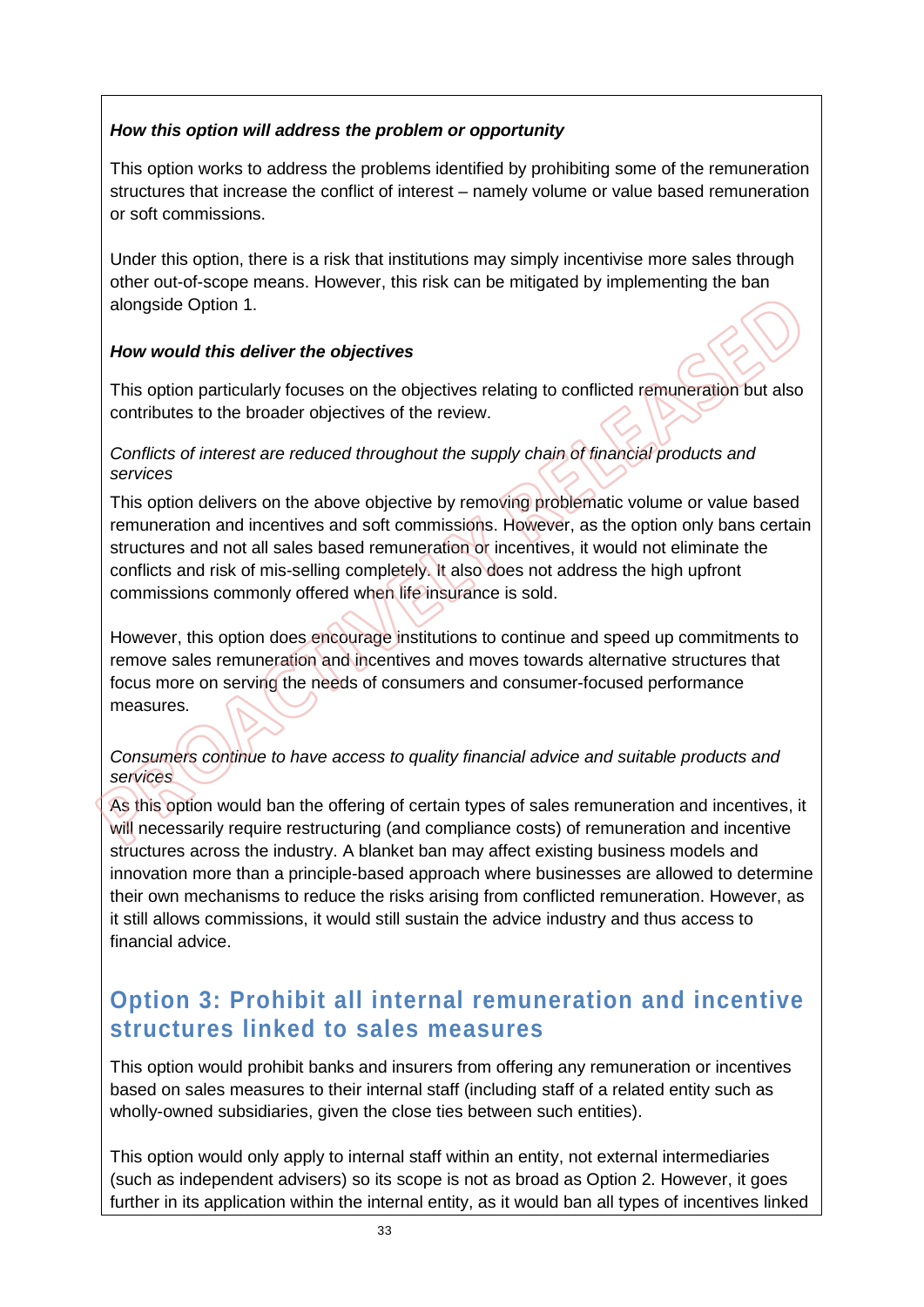#### *How this option will address the problem or opportunity*

This option works to address the problems identified by prohibiting some of the remuneration structures that increase the conflict of interest – namely volume or value based remuneration or soft commissions.

Under this option, there is a risk that institutions may simply incentivise more sales through other out-of-scope means. However, this risk can be mitigated by implementing the ban alongside Option 1.

#### *How would this deliver the objectives*

This option particularly focuses on the objectives relating to conflicted remuneration but also contributes to the broader objectives of the review.

#### *Conflicts of interest are reduced throughout the supply chain of financial products and services*

This option delivers on the above objective by removing problematic volume or value based remuneration and incentives and soft commissions. However, as the option only bans certain structures and not all sales based remuneration or incentives, it would not eliminate the conflicts and risk of mis-selling completely. It also does not address the high upfront commissions commonly offered when life insurance is sold.

However, this option does encourage institutions to continue and speed up commitments to remove sales remuneration and incentives and moves towards alternative structures that focus more on serving the needs of consumers and consumer-focused performance measures.

#### *Consumers continue to have access to quality financial advice and suitable products and services*

As this option would ban the offering of certain types of sales remuneration and incentives, it will necessarily require restructuring (and compliance costs) of remuneration and incentive structures across the industry. A blanket ban may affect existing business models and innovation more than a principle-based approach where businesses are allowed to determine their own mechanisms to reduce the risks arising from conflicted remuneration. However, as it still allows commissions, it would still sustain the advice industry and thus access to financial advice.

### **Option 3: Prohibit all internal remuneration and incentive structures linked to sales measures**

This option would prohibit banks and insurers from offering any remuneration or incentives based on sales measures to their internal staff (including staff of a related entity such as wholly-owned subsidiaries, given the close ties between such entities).

This option would only apply to internal staff within an entity, not external intermediaries (such as independent advisers) so its scope is not as broad as Option 2. However, it goes further in its application within the internal entity, as it would ban all types of incentives linked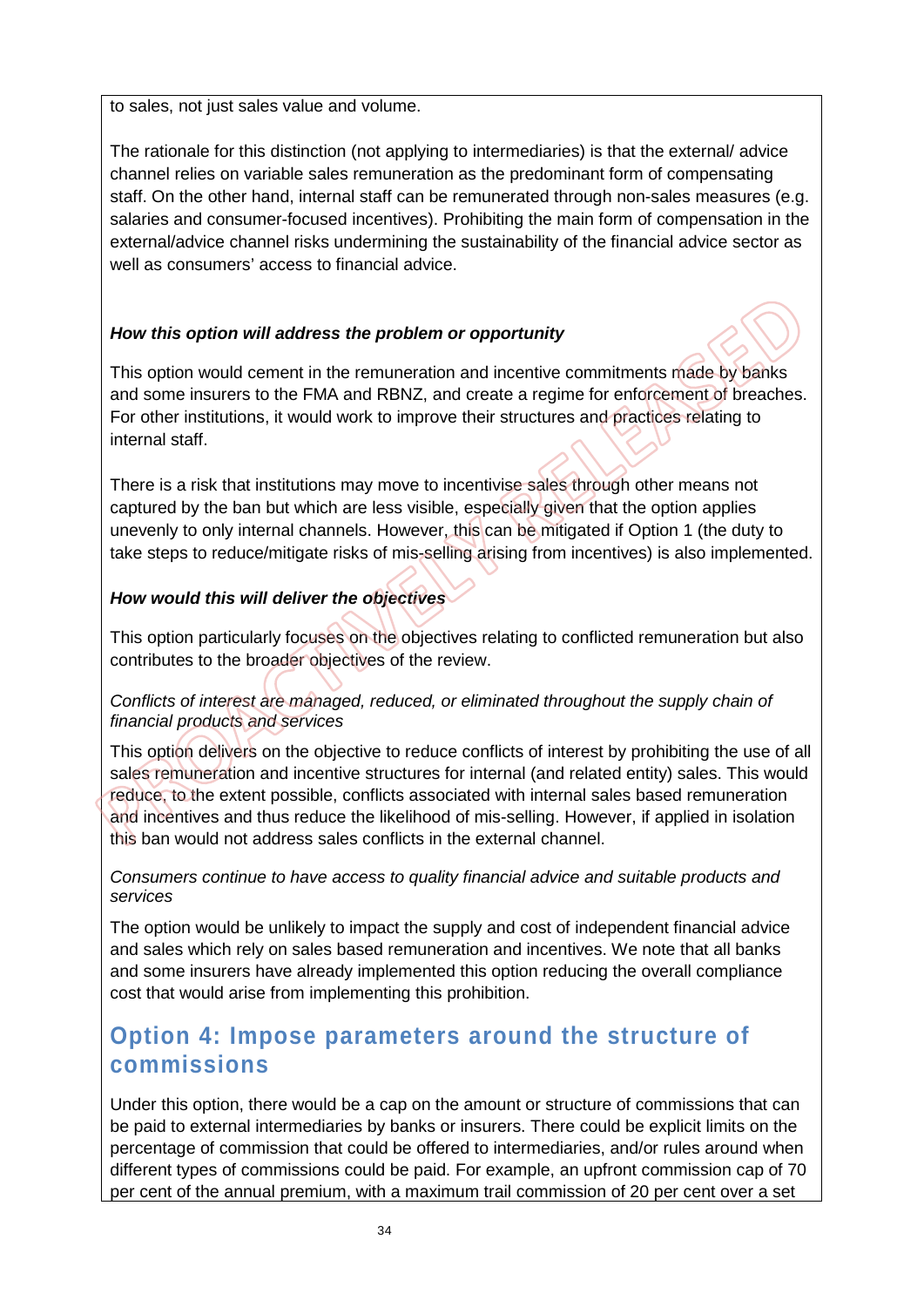to sales, not just sales value and volume.

The rationale for this distinction (not applying to intermediaries) is that the external/ advice channel relies on variable sales remuneration as the predominant form of compensating staff. On the other hand, internal staff can be remunerated through non-sales measures (e.g. salaries and consumer-focused incentives). Prohibiting the main form of compensation in the external/advice channel risks undermining the sustainability of the financial advice sector as well as consumers' access to financial advice.

#### *How this option will address the problem or opportunity*

This option would cement in the remuneration and incentive commitments made by banks and some insurers to the FMA and RBNZ, and create a regime for enforcement of breaches. For other institutions, it would work to improve their structures and practices relating to internal staff.

There is a risk that institutions may move to incentivise sales through other means not captured by the ban but which are less visible, especially given that the option applies unevenly to only internal channels. However, this can be mitigated if Option 1 (the duty to take steps to reduce/mitigate risks of mis-selling arising from incentives) is also implemented.

#### *How would this will deliver the objectives*

This option particularly focuses on the objectives relating to conflicted remuneration but also contributes to the broader objectives of the review.

#### *Conflicts of interest are managed, reduced, or eliminated throughout the supply chain of financial products and services*

This option delivers on the objective to reduce conflicts of interest by prohibiting the use of all sales remuneration and incentive structures for internal (and related entity) sales. This would reduce, to the extent possible, conflicts associated with internal sales based remuneration and incentives and thus reduce the likelihood of mis-selling. However, if applied in isolation this ban would not address sales conflicts in the external channel.

#### *Consumers continue to have access to quality financial advice and suitable products and services*

The option would be unlikely to impact the supply and cost of independent financial advice and sales which rely on sales based remuneration and incentives. We note that all banks and some insurers have already implemented this option reducing the overall compliance cost that would arise from implementing this prohibition.

## **Option 4: Impose parameters around the structure of commissions**

Under this option, there would be a cap on the amount or structure of commissions that can be paid to external intermediaries by banks or insurers. There could be explicit limits on the percentage of commission that could be offered to intermediaries, and/or rules around when different types of commissions could be paid. For example, an upfront commission cap of 70 per cent of the annual premium, with a maximum trail commission of 20 per cent over a set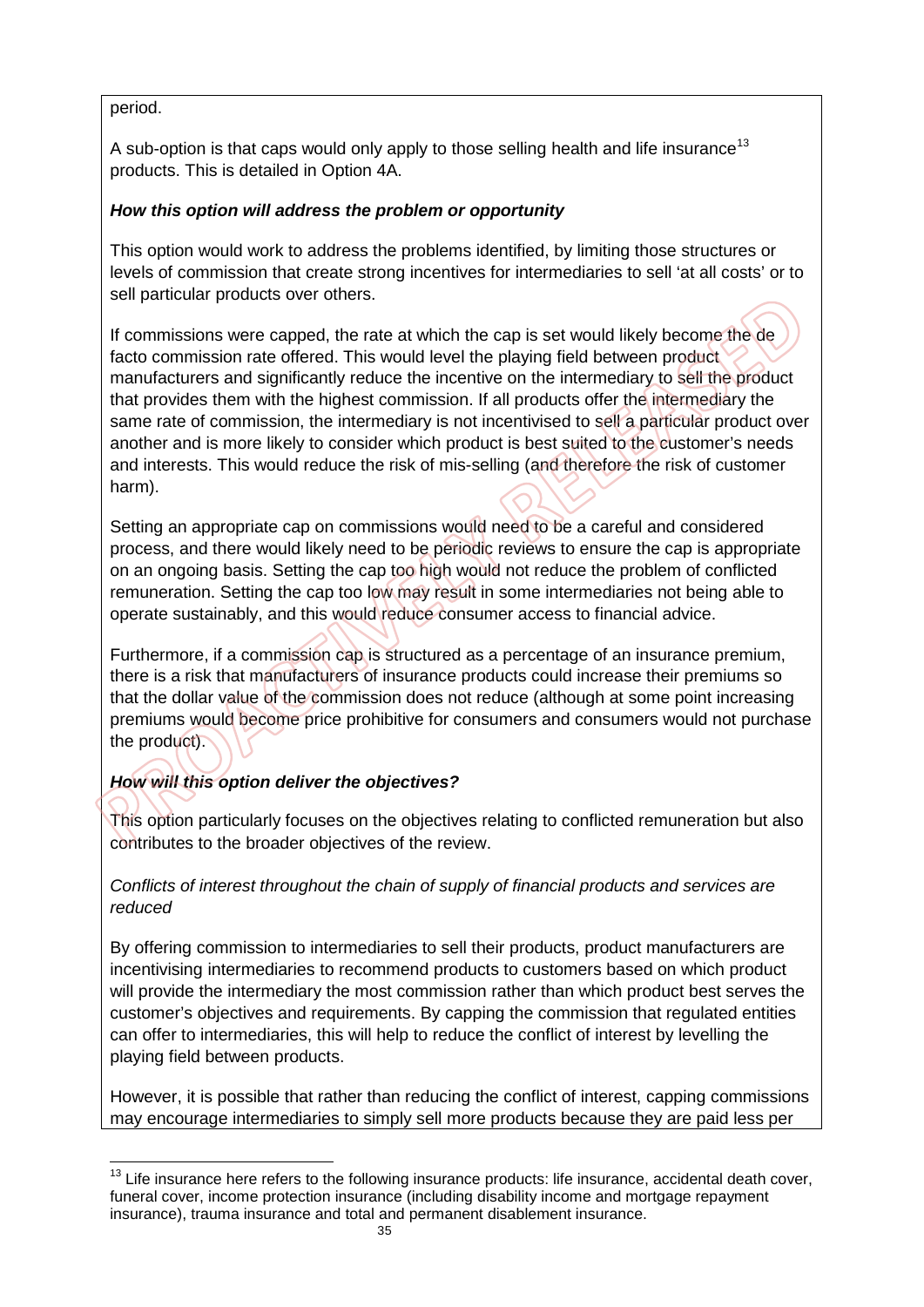#### period.

A sub-option is that caps would only apply to those selling health and life insurance<sup>[13](#page-35-0)</sup> products. This is detailed in Option 4A.

#### *How this option will address the problem or opportunity*

This option would work to address the problems identified, by limiting those structures or levels of commission that create strong incentives for intermediaries to sell 'at all costs' or to sell particular products over others.

If commissions were capped, the rate at which the cap is set would likely become the de facto commission rate offered. This would level the playing field between product manufacturers and significantly reduce the incentive on the intermediary to sell the product that provides them with the highest commission. If all products offer the intermediary the same rate of commission, the intermediary is not incentivised to sell a particular product over another and is more likely to consider which product is best suited to the customer's needs and interests. This would reduce the risk of mis-selling (and therefore the risk of customer harm).

Setting an appropriate cap on commissions would need to be a careful and considered process, and there would likely need to be periodic reviews to ensure the cap is appropriate on an ongoing basis. Setting the cap too high would not reduce the problem of conflicted remuneration. Setting the cap too low may result in some intermediaries not being able to operate sustainably, and this would reduce consumer access to financial advice.

Furthermore, if a commission cap is structured as a percentage of an insurance premium, there is a risk that manufacturers of insurance products could increase their premiums so that the dollar value of the commission does not reduce (although at some point increasing premiums would become price prohibitive for consumers and consumers would not purchase the product).

#### *How will this option deliver the objectives?*

This option particularly focuses on the objectives relating to conflicted remuneration but also contributes to the broader objectives of the review.

#### *Conflicts of interest throughout the chain of supply of financial products and services are reduced*

By offering commission to intermediaries to sell their products, product manufacturers are incentivising intermediaries to recommend products to customers based on which product will provide the intermediary the most commission rather than which product best serves the customer's objectives and requirements. By capping the commission that regulated entities can offer to intermediaries, this will help to reduce the conflict of interest by levelling the playing field between products.

However, it is possible that rather than reducing the conflict of interest, capping commissions may encourage intermediaries to simply sell more products because they are paid less per

<span id="page-35-0"></span> $\overline{1}$ <sup>13</sup> Life insurance here refers to the following insurance products: life insurance, accidental death cover, funeral cover, income protection insurance (including disability income and mortgage repayment insurance), trauma insurance and total and permanent disablement insurance.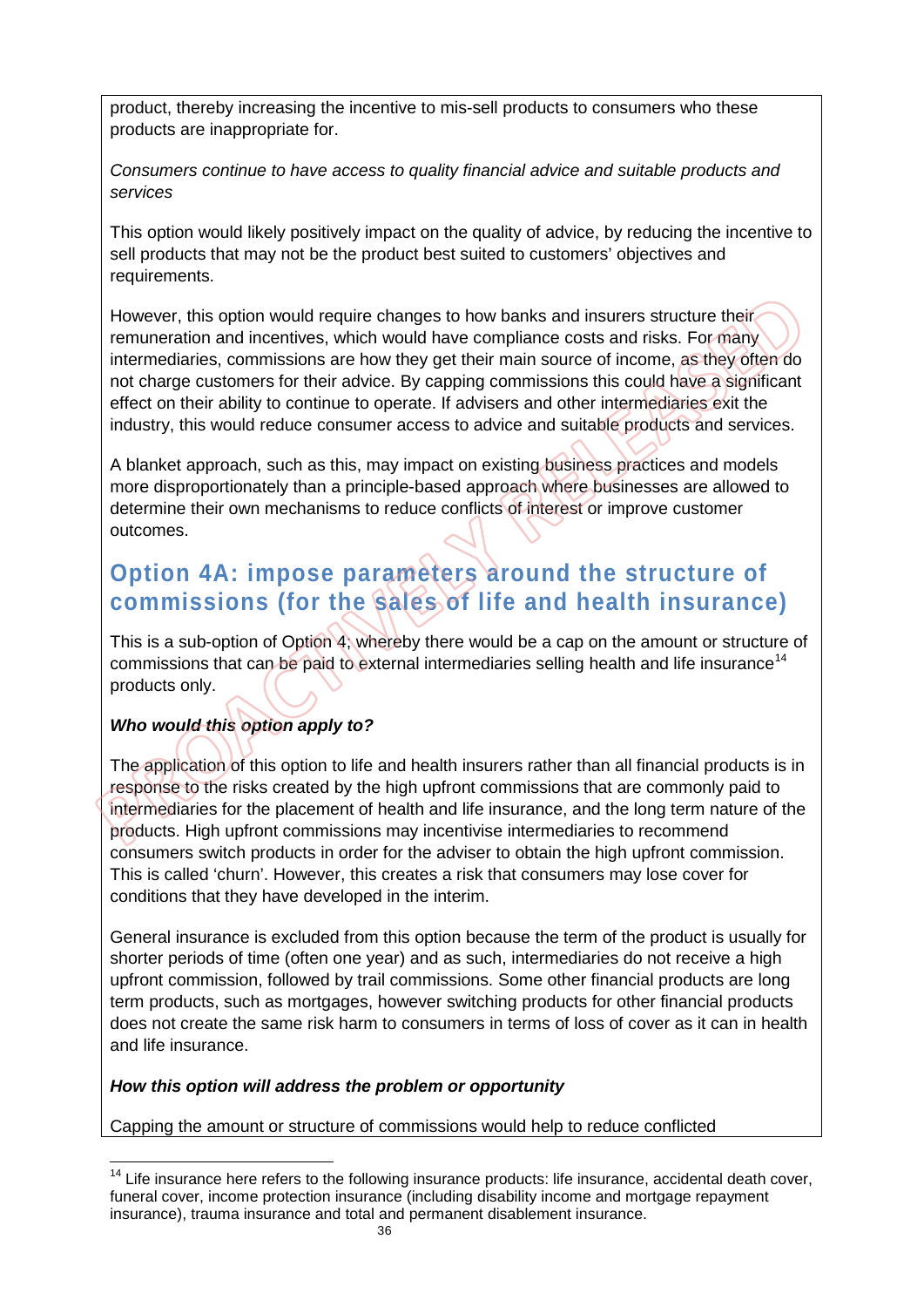product, thereby increasing the incentive to mis-sell products to consumers who these products are inappropriate for.

*Consumers continue to have access to quality financial advice and suitable products and services* 

This option would likely positively impact on the quality of advice, by reducing the incentive to sell products that may not be the product best suited to customers' objectives and requirements.

However, this option would require changes to how banks and insurers structure their remuneration and incentives, which would have compliance costs and risks. For many intermediaries, commissions are how they get their main source of income, as they often do not charge customers for their advice. By capping commissions this could have a significant effect on their ability to continue to operate. If advisers and other intermediaries exit the industry, this would reduce consumer access to advice and suitable products and services.

A blanket approach, such as this, may impact on existing business practices and models more disproportionately than a principle-based approach where businesses are allowed to determine their own mechanisms to reduce conflicts of interest or improve customer outcomes.

## **Option 4A: impose parameters around the structure of commissions (for the sales of life and health insurance)**

This is a sub-option of Option 4; whereby there would be a cap on the amount or structure of commissions that can be paid to external intermediaries selling health and life insurance<sup>[14](#page-36-0)</sup> products only.

#### *Who would this option apply to?*

The application of this option to life and health insurers rather than all financial products is in response to the risks created by the high upfront commissions that are commonly paid to intermediaries for the placement of health and life insurance, and the long term nature of the products. High upfront commissions may incentivise intermediaries to recommend consumers switch products in order for the adviser to obtain the high upfront commission. This is called 'churn'. However, this creates a risk that consumers may lose cover for conditions that they have developed in the interim.

General insurance is excluded from this option because the term of the product is usually for shorter periods of time (often one year) and as such, intermediaries do not receive a high upfront commission, followed by trail commissions. Some other financial products are long term products, such as mortgages, however switching products for other financial products does not create the same risk harm to consumers in terms of loss of cover as it can in health and life insurance.

#### *How this option will address the problem or opportunity*

Capping the amount or structure of commissions would help to reduce conflicted

<span id="page-36-0"></span> $\overline{1}$  $14$  Life insurance here refers to the following insurance products: life insurance, accidental death cover, funeral cover, income protection insurance (including disability income and mortgage repayment insurance), trauma insurance and total and permanent disablement insurance.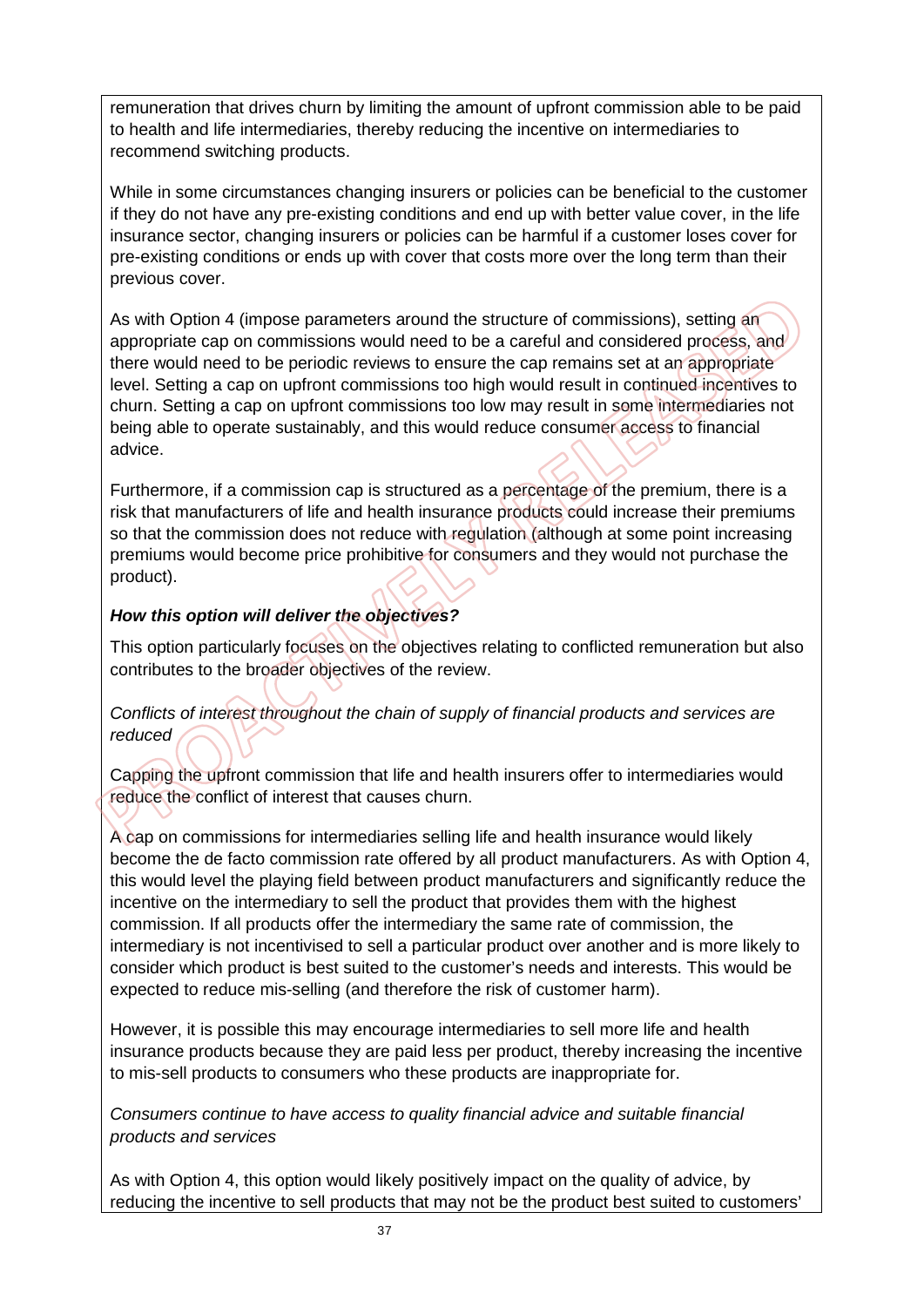remuneration that drives churn by limiting the amount of upfront commission able to be paid to health and life intermediaries, thereby reducing the incentive on intermediaries to recommend switching products.

While in some circumstances changing insurers or policies can be beneficial to the customer if they do not have any pre-existing conditions and end up with better value cover, in the life insurance sector, changing insurers or policies can be harmful if a customer loses cover for pre-existing conditions or ends up with cover that costs more over the long term than their previous cover.

As with Option 4 (impose parameters around the structure of commissions), setting an appropriate cap on commissions would need to be a careful and considered process, and there would need to be periodic reviews to ensure the cap remains set at an appropriate level. Setting a cap on upfront commissions too high would result in continued incentives to churn. Setting a cap on upfront commissions too low may result in some intermediaries not being able to operate sustainably, and this would reduce consumer access to financial advice.

Furthermore, if a commission cap is structured as a percentage of the premium, there is a risk that manufacturers of life and health insurance products could increase their premiums so that the commission does not reduce with regulation (although at some point increasing premiums would become price prohibitive for consumers and they would not purchase the product).

#### *How this option will deliver the objectives?*

This option particularly focuses on the objectives relating to conflicted remuneration but also contributes to the broader objectives of the review.

#### *Conflicts of interest throughout the chain of supply of financial products and services are reduced*

Capping the upfront commission that life and health insurers offer to intermediaries would reduce the conflict of interest that causes churn.

A cap on commissions for intermediaries selling life and health insurance would likely become the de facto commission rate offered by all product manufacturers. As with Option 4, this would level the playing field between product manufacturers and significantly reduce the incentive on the intermediary to sell the product that provides them with the highest commission. If all products offer the intermediary the same rate of commission, the intermediary is not incentivised to sell a particular product over another and is more likely to consider which product is best suited to the customer's needs and interests. This would be expected to reduce mis-selling (and therefore the risk of customer harm).

However, it is possible this may encourage intermediaries to sell more life and health insurance products because they are paid less per product, thereby increasing the incentive to mis-sell products to consumers who these products are inappropriate for.

*Consumers continue to have access to quality financial advice and suitable financial products and services*

As with Option 4, this option would likely positively impact on the quality of advice, by reducing the incentive to sell products that may not be the product best suited to customers'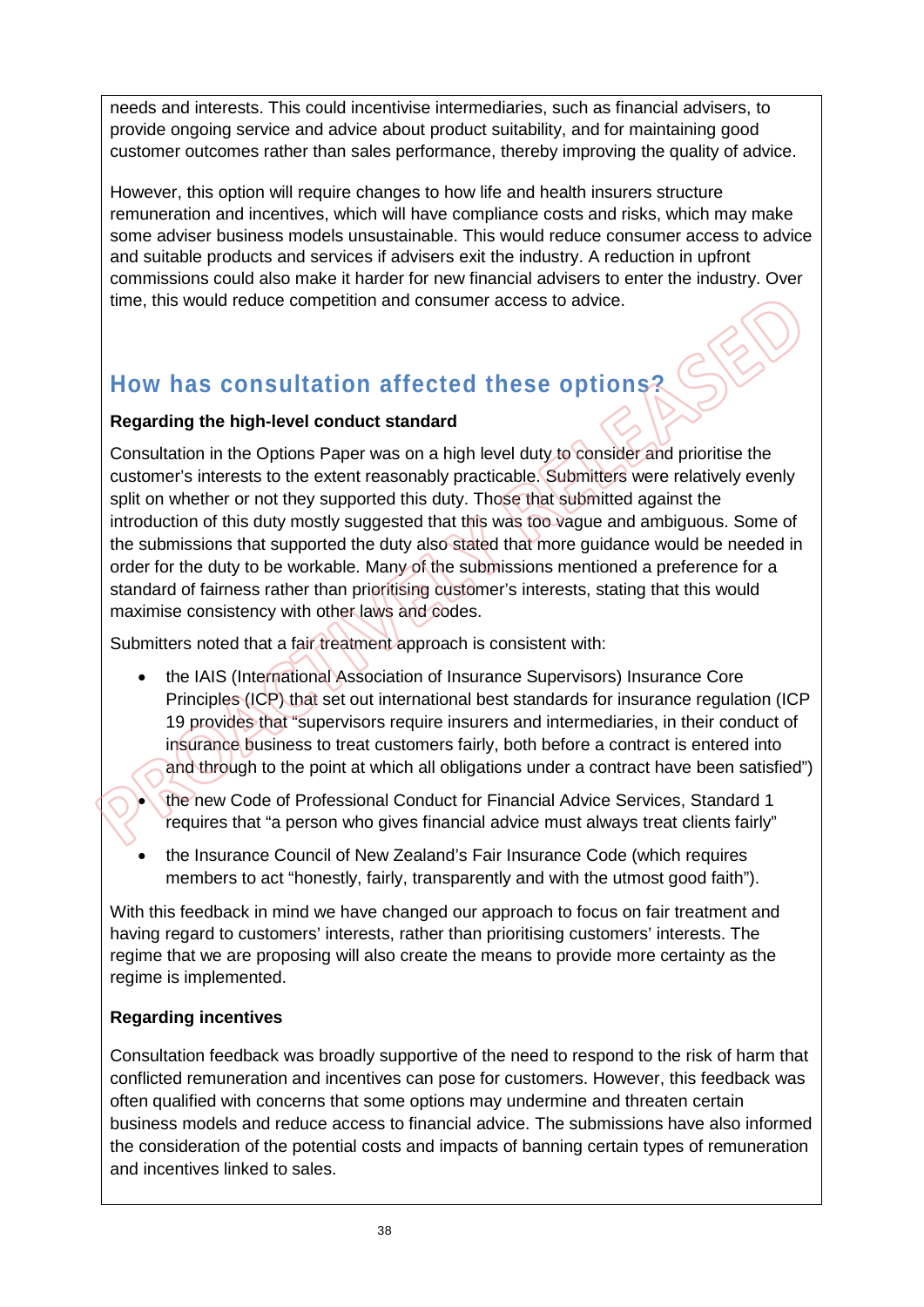needs and interests. This could incentivise intermediaries, such as financial advisers, to provide ongoing service and advice about product suitability, and for maintaining good customer outcomes rather than sales performance, thereby improving the quality of advice.

However, this option will require changes to how life and health insurers structure remuneration and incentives, which will have compliance costs and risks, which may make some adviser business models unsustainable. This would reduce consumer access to advice and suitable products and services if advisers exit the industry. A reduction in upfront commissions could also make it harder for new financial advisers to enter the industry. Over time, this would reduce competition and consumer access to advice.

## **How has consultation affected these options?**

#### **Regarding the high-level conduct standard**

Consultation in the Options Paper was on a high level duty to consider and prioritise the customer's interests to the extent reasonably practicable. Submitters were relatively evenly split on whether or not they supported this duty. Those that submitted against the introduction of this duty mostly suggested that this was too vague and ambiguous. Some of the submissions that supported the duty also stated that more guidance would be needed in order for the duty to be workable. Many of the submissions mentioned a preference for a standard of fairness rather than prioritising customer's interests, stating that this would maximise consistency with other laws and codes.

Submitters noted that a fair treatment approach is consistent with:

- the IAIS (International Association of Insurance Supervisors) Insurance Core Principles (ICP) that set out international best standards for insurance regulation (ICP 19 provides that "supervisors require insurers and intermediaries, in their conduct of insurance business to treat customers fairly, both before a contract is entered into and through to the point at which all obligations under a contract have been satisfied")
	- the new Code of Professional Conduct for Financial Advice Services, Standard 1 requires that "a person who gives financial advice must always treat clients fairly"
- the Insurance Council of New Zealand's Fair Insurance Code (which requires members to act "honestly, fairly, transparently and with the utmost good faith").

With this feedback in mind we have changed our approach to focus on fair treatment and having regard to customers' interests, rather than prioritising customers' interests. The regime that we are proposing will also create the means to provide more certainty as the regime is implemented.

#### **Regarding incentives**

Consultation feedback was broadly supportive of the need to respond to the risk of harm that conflicted remuneration and incentives can pose for customers. However, this feedback was often qualified with concerns that some options may undermine and threaten certain business models and reduce access to financial advice. The submissions have also informed the consideration of the potential costs and impacts of banning certain types of remuneration and incentives linked to sales.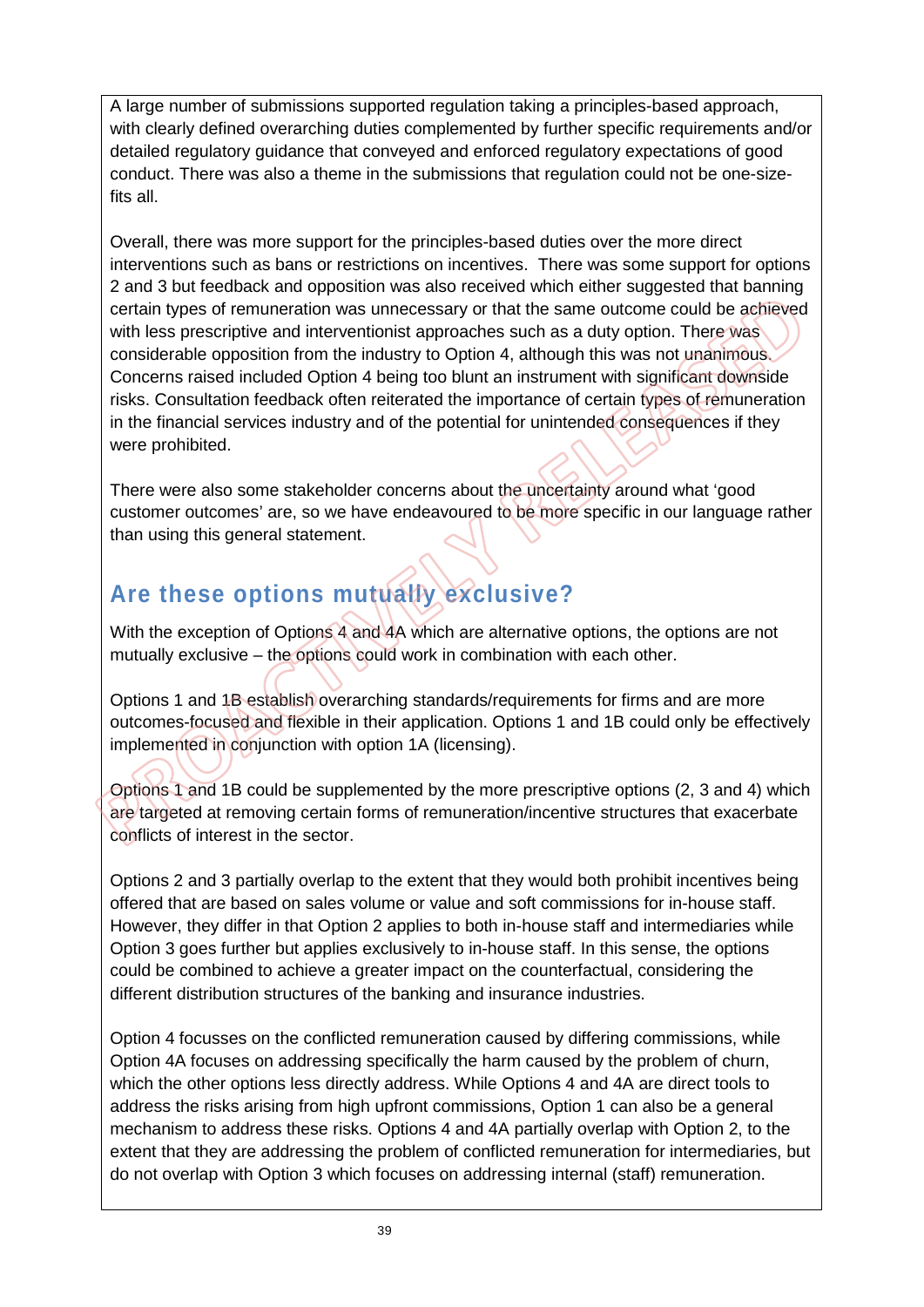A large number of submissions supported regulation taking a principles-based approach, with clearly defined overarching duties complemented by further specific requirements and/or detailed regulatory guidance that conveyed and enforced regulatory expectations of good conduct. There was also a theme in the submissions that regulation could not be one-sizefits all.

Overall, there was more support for the principles-based duties over the more direct interventions such as bans or restrictions on incentives. There was some support for options 2 and 3 but feedback and opposition was also received which either suggested that banning certain types of remuneration was unnecessary or that the same outcome could be achieved with less prescriptive and interventionist approaches such as a duty option. There was considerable opposition from the industry to Option 4, although this was not unanimous. Concerns raised included Option 4 being too blunt an instrument with significant downside risks. Consultation feedback often reiterated the importance of certain types of remuneration in the financial services industry and of the potential for unintended consequences if they were prohibited.

There were also some stakeholder concerns about the uncertainty around what 'good customer outcomes' are, so we have endeavoured to be more specific in our language rather than using this general statement.

## **Are these options mutually exclusive?**

With the exception of Options 4 and 4A which are alternative options, the options are not mutually exclusive – the options could work in combination with each other.

Options 1 and 1B establish overarching standards/requirements for firms and are more outcomes-focused and flexible in their application. Options 1 and 1B could only be effectively implemented in conjunction with option 1A (licensing).

Options 1 and 1B could be supplemented by the more prescriptive options (2, 3 and 4) which are targeted at removing certain forms of remuneration/incentive structures that exacerbate conflicts of interest in the sector.

Options 2 and 3 partially overlap to the extent that they would both prohibit incentives being offered that are based on sales volume or value and soft commissions for in-house staff. However, they differ in that Option 2 applies to both in-house staff and intermediaries while Option 3 goes further but applies exclusively to in-house staff. In this sense, the options could be combined to achieve a greater impact on the counterfactual, considering the different distribution structures of the banking and insurance industries.

Option 4 focusses on the conflicted remuneration caused by differing commissions, while Option 4A focuses on addressing specifically the harm caused by the problem of churn, which the other options less directly address. While Options 4 and 4A are direct tools to address the risks arising from high upfront commissions, Option 1 can also be a general mechanism to address these risks. Options 4 and 4A partially overlap with Option 2, to the extent that they are addressing the problem of conflicted remuneration for intermediaries, but do not overlap with Option 3 which focuses on addressing internal (staff) remuneration.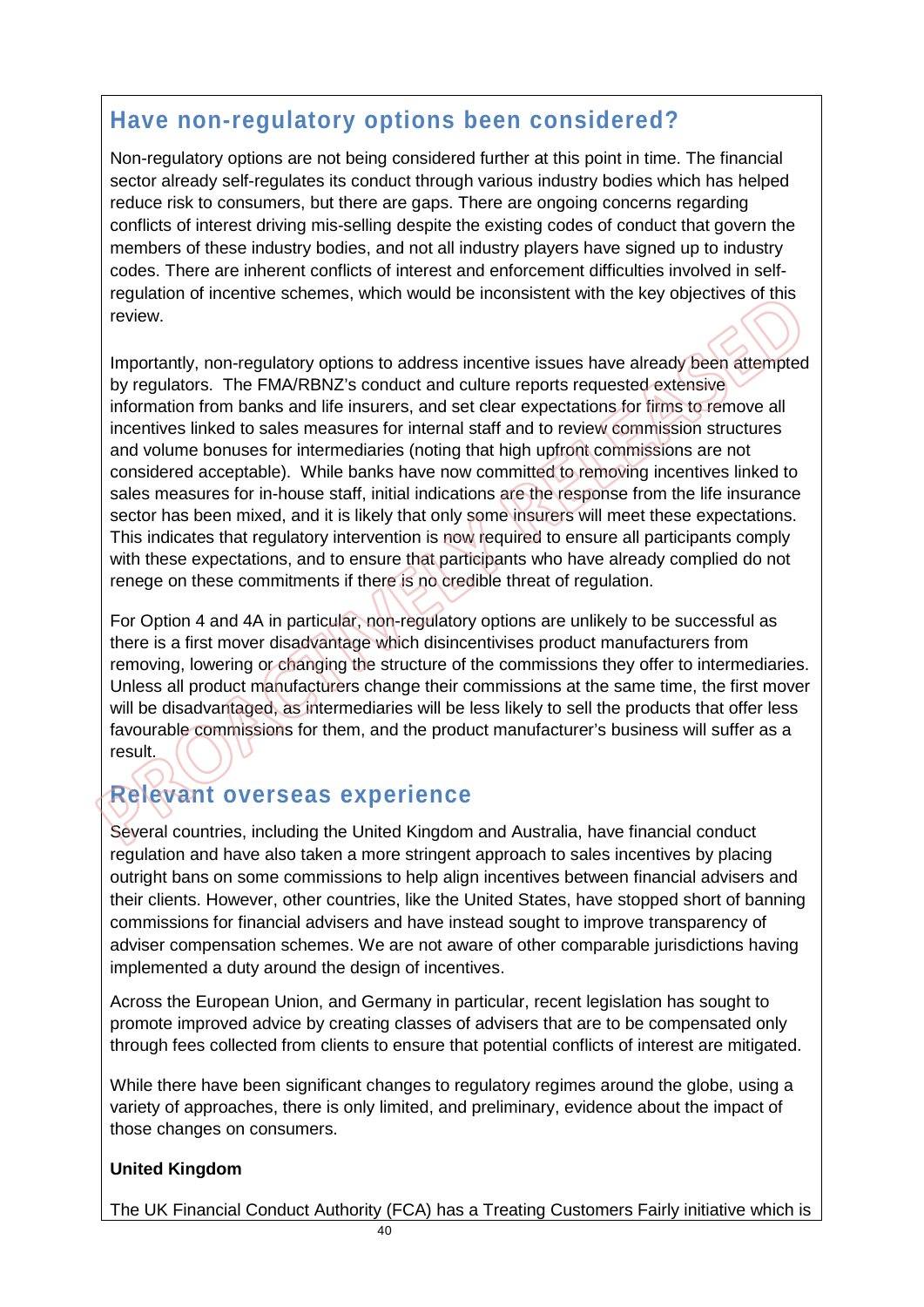## **Have non-regulatory options been considered?**

Non-regulatory options are not being considered further at this point in time. The financial sector already self-regulates its conduct through various industry bodies which has helped reduce risk to consumers, but there are gaps. There are ongoing concerns regarding conflicts of interest driving mis-selling despite the existing codes of conduct that govern the members of these industry bodies, and not all industry players have signed up to industry codes. There are inherent conflicts of interest and enforcement difficulties involved in selfregulation of incentive schemes, which would be inconsistent with the key objectives of this review.

Importantly, non-regulatory options to address incentive issues have already been attempted by regulators. The FMA/RBNZ's conduct and culture reports requested extensive information from banks and life insurers, and set clear expectations for firms to remove all incentives linked to sales measures for internal staff and to review commission structures and volume bonuses for intermediaries (noting that high upfront commissions are not considered acceptable). While banks have now committed to removing incentives linked to sales measures for in-house staff, initial indications are the response from the life insurance sector has been mixed, and it is likely that only some insurers will meet these expectations. This indicates that regulatory intervention is now required to ensure all participants comply with these expectations, and to ensure that participants who have already complied do not renege on these commitments if there is no credible threat of regulation.

For Option 4 and 4A in particular, non-regulatory options are unlikely to be successful as there is a first mover disadvantage which disincentivises product manufacturers from removing, lowering or changing the structure of the commissions they offer to intermediaries. Unless all product manufacturers change their commissions at the same time, the first mover will be disadvantaged, as intermediaries will be less likely to sell the products that offer less favourable commissions for them, and the product manufacturer's business will suffer as a result.

## **Relevant overseas experience**

Several countries, including the United Kingdom and Australia, have financial conduct regulation and have also taken a more stringent approach to sales incentives by placing outright bans on some commissions to help align incentives between financial advisers and their clients. However, other countries, like the United States, have stopped short of banning commissions for financial advisers and have instead sought to improve transparency of adviser compensation schemes. We are not aware of other comparable jurisdictions having implemented a duty around the design of incentives.

Across the European Union, and Germany in particular, recent legislation has sought to promote improved advice by creating classes of advisers that are to be compensated only through fees collected from clients to ensure that potential conflicts of interest are mitigated.

While there have been significant changes to regulatory regimes around the globe, using a variety of approaches, there is only limited, and preliminary, evidence about the impact of those changes on consumers.

#### **United Kingdom**

The UK Financial Conduct Authority (FCA) has a Treating Customers Fairly initiative which is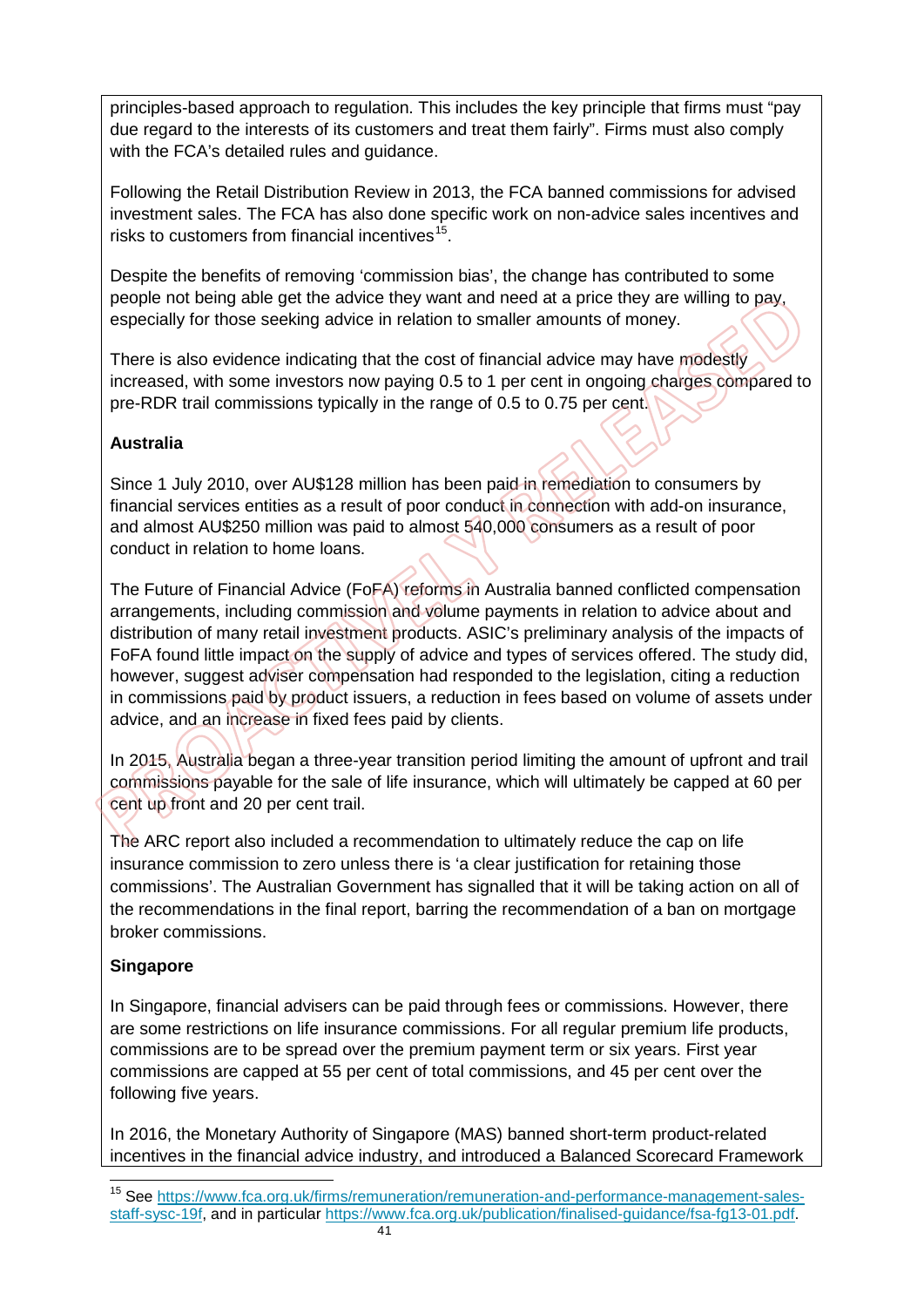principles-based approach to regulation. This includes the key principle that firms must "pay due regard to the interests of its customers and treat them fairly". Firms must also comply with the FCA's detailed rules and quidance.

Following the Retail Distribution Review in 2013, the FCA banned commissions for advised investment sales. The FCA has also done specific work on non-advice sales incentives and risks to customers from financial incentives<sup>[15](#page-41-0)</sup>.

Despite the benefits of removing 'commission bias', the change has contributed to some people not being able get the advice they want and need at a price they are willing to pay, especially for those seeking advice in relation to smaller amounts of money.

There is also evidence indicating that the cost of financial advice may have modestly increased, with some investors now paying 0.5 to 1 per cent in ongoing charges compared to pre-RDR trail commissions typically in the range of 0.5 to 0.75 per cent.

#### **Australia**

Since 1 July 2010, over AU\$128 million has been paid in remediation to consumers by financial services entities as a result of poor conduct in connection with add-on insurance, and almost AU\$250 million was paid to almost 540,000 consumers as a result of poor conduct in relation to home loans.

The Future of Financial Advice (FoFA) reforms in Australia banned conflicted compensation arrangements, including commission and volume payments in relation to advice about and distribution of many retail investment products. ASIC's preliminary analysis of the impacts of FoFA found little impact on the supply of advice and types of services offered. The study did, however, suggest adviser compensation had responded to the legislation, citing a reduction in commissions paid by product issuers, a reduction in fees based on volume of assets under advice, and an increase in fixed fees paid by clients.

In 2015, Australia began a three-year transition period limiting the amount of upfront and trail commissions payable for the sale of life insurance, which will ultimately be capped at 60 per cent up front and 20 per cent trail.

The ARC report also included a recommendation to ultimately reduce the cap on life insurance commission to zero unless there is 'a clear justification for retaining those commissions'. The Australian Government has signalled that it will be taking action on all of the recommendations in the final report, barring the recommendation of a ban on mortgage broker commissions.

#### **Singapore**

In Singapore, financial advisers can be paid through fees or commissions. However, there are some restrictions on life insurance commissions. For all regular premium life products, commissions are to be spread over the premium payment term or six years. First year commissions are capped at 55 per cent of total commissions, and 45 per cent over the following five years.

In 2016, the Monetary Authority of Singapore (MAS) banned short-term product-related incentives in the financial advice industry, and introduced a Balanced Scorecard Framework

<span id="page-41-0"></span> $\overline{a}$ <sup>15</sup> See [https://www.fca.org.uk/firms/remuneration/remuneration-and-performance-management-sales](https://www.fca.org.uk/firms/remuneration/remuneration-and-performance-management-sales-staff-sysc-19f)[staff-sysc-19f,](https://www.fca.org.uk/firms/remuneration/remuneration-and-performance-management-sales-staff-sysc-19f) and in particular [https://www.fca.org.uk/publication/finalised-guidance/fsa-fg13-01.pdf.](https://www.fca.org.uk/publication/finalised-guidance/fsa-fg13-01.pdf)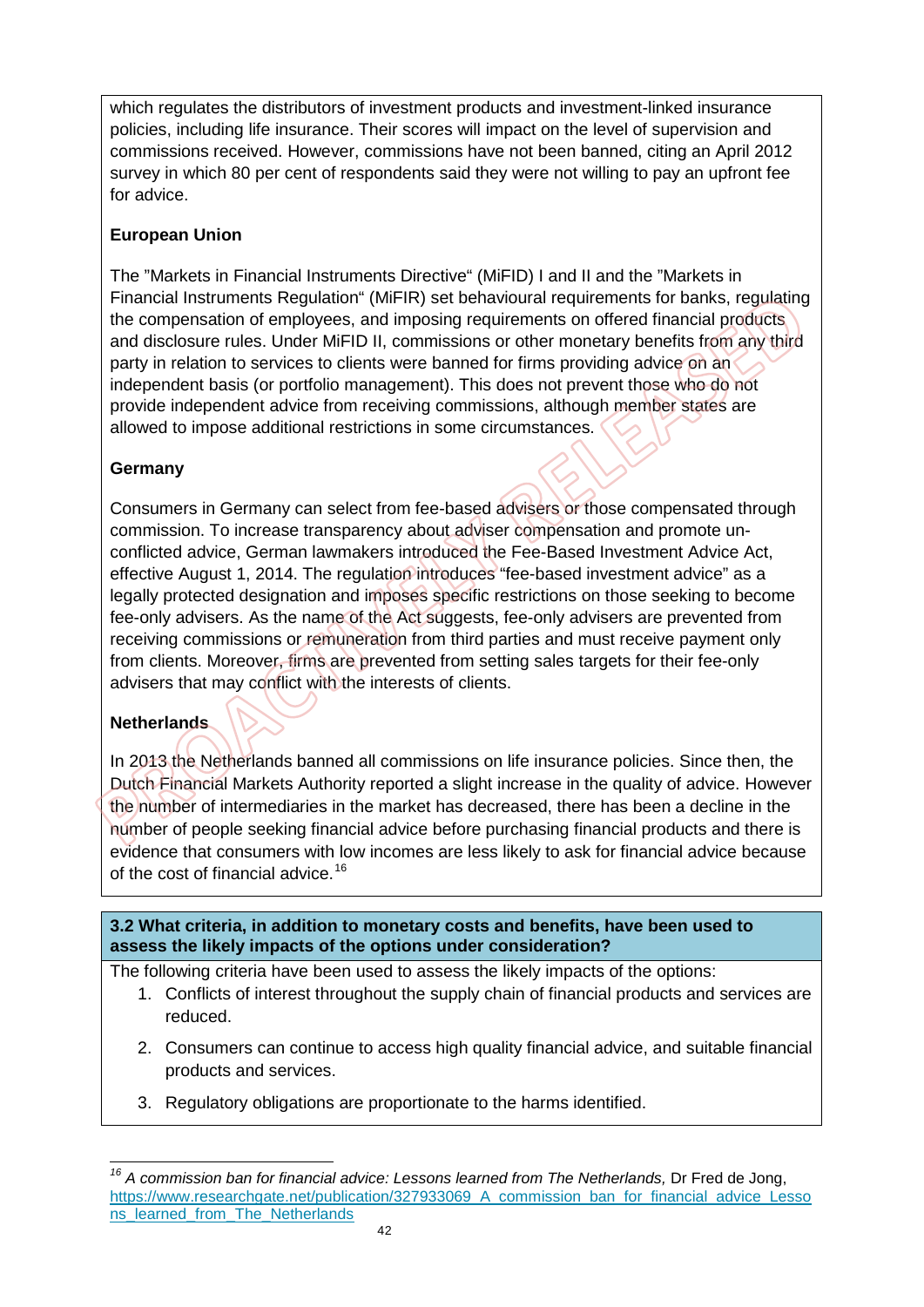which regulates the distributors of investment products and investment-linked insurance policies, including life insurance. Their scores will impact on the level of supervision and commissions received. However, commissions have not been banned, citing an April 2012 survey in which 80 per cent of respondents said they were not willing to pay an upfront fee for advice.

#### **European Union**

The "Markets in Financial Instruments Directive" (MiFID) I and II and the "Markets in Financial Instruments Regulation" (MiFIR) set behavioural requirements for banks, regulating the compensation of employees, and imposing requirements on offered financial products and disclosure rules. Under MiFID II, commissions or other monetary benefits from any third party in relation to services to clients were banned for firms providing advice on an independent basis (or portfolio management). This does not prevent those who do not provide independent advice from receiving commissions, although member states are allowed to impose additional restrictions in some circumstances.

#### **Germany**

Consumers in Germany can select from fee-based advisers or those compensated through commission. To increase transparency about adviser compensation and promote unconflicted advice, German lawmakers introduced the Fee-Based Investment Advice Act, effective August 1, 2014. The regulation introduces "fee-based investment advice" as a legally protected designation and imposes specific restrictions on those seeking to become fee-only advisers. As the name of the Act suggests, fee-only advisers are prevented from receiving commissions or remuneration from third parties and must receive payment only from clients. Moreover, firms are prevented from setting sales targets for their fee-only advisers that may conflict with the interests of clients.

#### **Netherlands**

In 2013 the Netherlands banned all commissions on life insurance policies. Since then, the Dutch Financial Markets Authority reported a slight increase in the quality of advice. However the number of intermediaries in the market has decreased, there has been a decline in the number of people seeking financial advice before purchasing financial products and there is evidence that consumers with low incomes are less likely to ask for financial advice because of the cost of financial advice.<sup>[16](#page-42-0)</sup>

**3.2 What criteria, in addition to monetary costs and benefits, have been used to assess the likely impacts of the options under consideration?**

The following criteria have been used to assess the likely impacts of the options:

- 1. Conflicts of interest throughout the supply chain of financial products and services are reduced.
- 2. Consumers can continue to access high quality financial advice, and suitable financial products and services.
- 3. Regulatory obligations are proportionate to the harms identified.

<span id="page-42-0"></span> $\overline{\phantom{a}}$ <sup>16</sup> A commission ban for financial advice: Lessons learned from The Netherlands, Dr Fred de Jong, [https://www.researchgate.net/publication/327933069\\_A\\_commission\\_ban\\_for\\_financial\\_advice\\_Lesso](https://www.researchgate.net/publication/327933069_A_commission_ban_for_financial_advice_Lessons_learned_from_The_Netherlands) [ns\\_learned\\_from\\_The\\_Netherlands](https://www.researchgate.net/publication/327933069_A_commission_ban_for_financial_advice_Lessons_learned_from_The_Netherlands)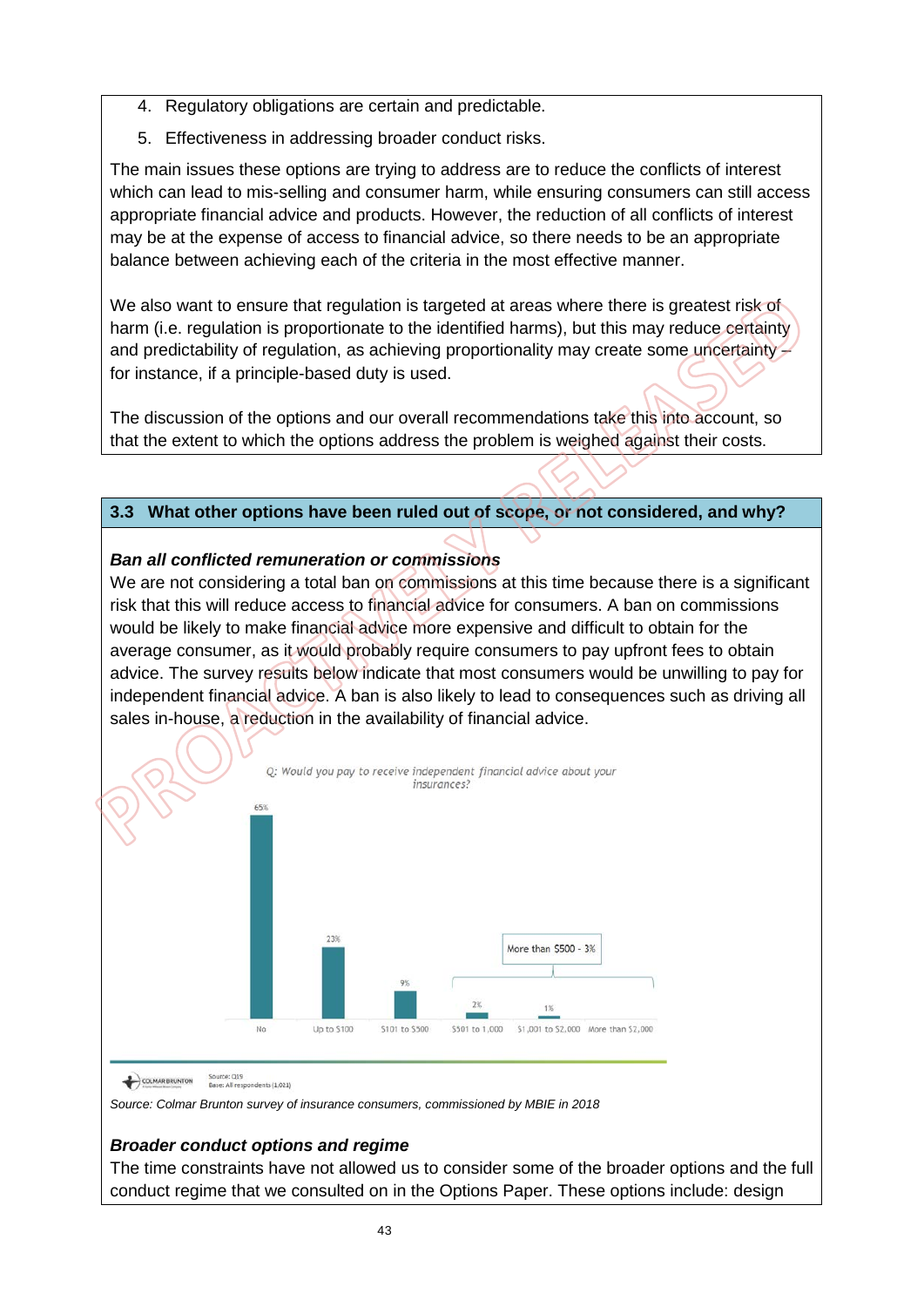- 4. Regulatory obligations are certain and predictable.
- 5. Effectiveness in addressing broader conduct risks.

The main issues these options are trying to address are to reduce the conflicts of interest which can lead to mis-selling and consumer harm, while ensuring consumers can still access appropriate financial advice and products. However, the reduction of all conflicts of interest may be at the expense of access to financial advice, so there needs to be an appropriate balance between achieving each of the criteria in the most effective manner.

We also want to ensure that regulation is targeted at areas where there is greatest risk of harm (i.e. regulation is proportionate to the identified harms), but this may reduce certainty and predictability of regulation, as achieving proportionality may create some uncertainty for instance, if a principle-based duty is used.

The discussion of the options and our overall recommendations take this into account, so that the extent to which the options address the problem is weighed against their costs.

#### **3.3 What other options have been ruled out of scope, or not considered, and why?**

#### *Ban all conflicted remuneration or commissions*

We are not considering a total ban on commissions at this time because there is a significant risk that this will reduce access to financial advice for consumers. A ban on commissions would be likely to make financial advice more expensive and difficult to obtain for the average consumer, as it would probably require consumers to pay upfront fees to obtain advice. The survey results below indicate that most consumers would be unwilling to pay for independent financial advice. A ban is also likely to lead to consequences such as driving all sales in-house, a reduction in the availability of financial advice.



COLMAR BRUNTON Source: Q19<br>Base: All respondents (1,021)

*Source: Colmar Brunton survey of insurance consumers, commissioned by MBIE in 2018* 

#### *Broader conduct options and regime*

The time constraints have not allowed us to consider some of the broader options and the full conduct regime that we consulted on in the Options Paper. These options include: design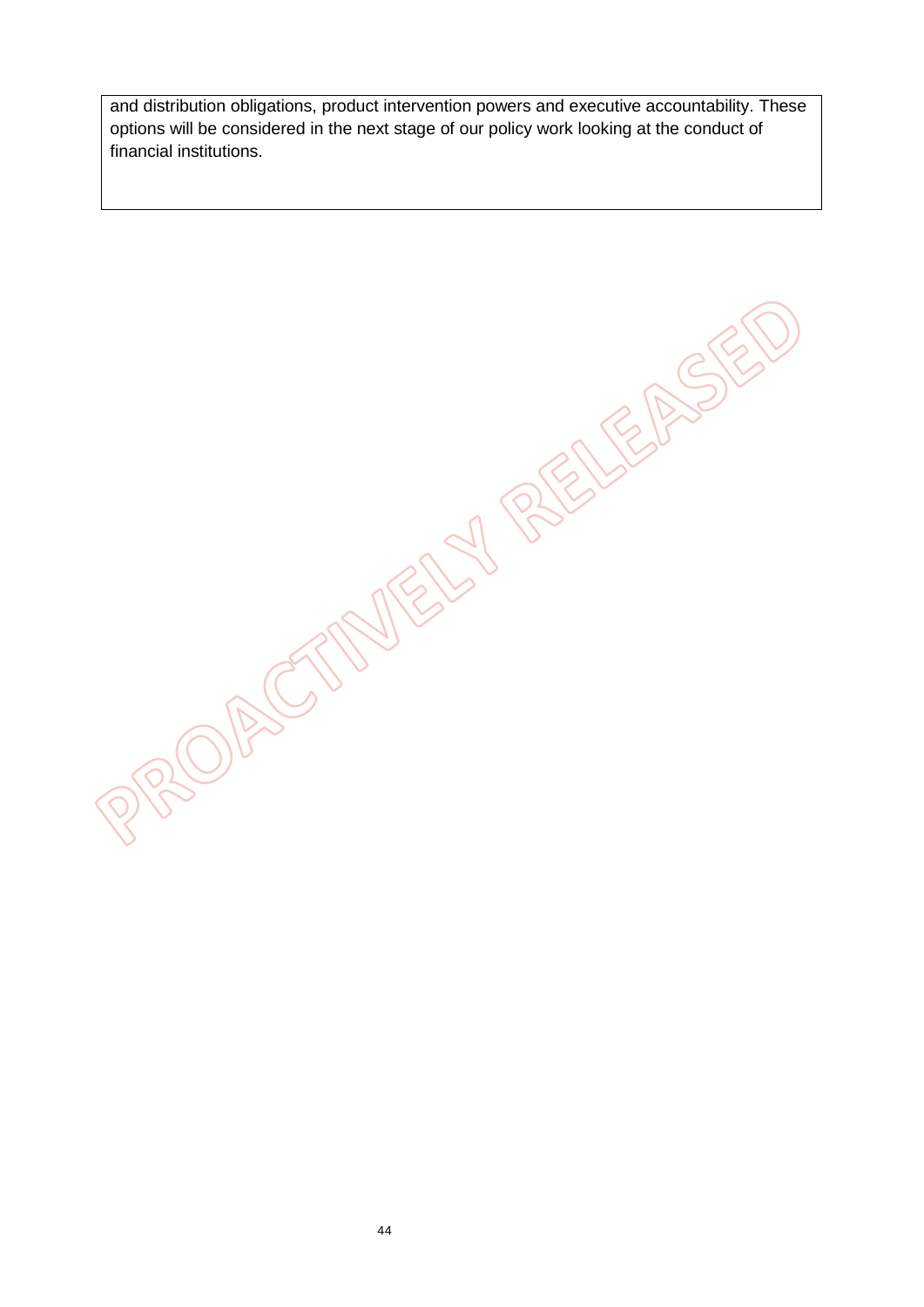and distribution obligations, product intervention powers and executive accountability. These options will be considered in the next stage of our policy work looking at the conduct of financial institutions.

**CASTINERS BELIEASED**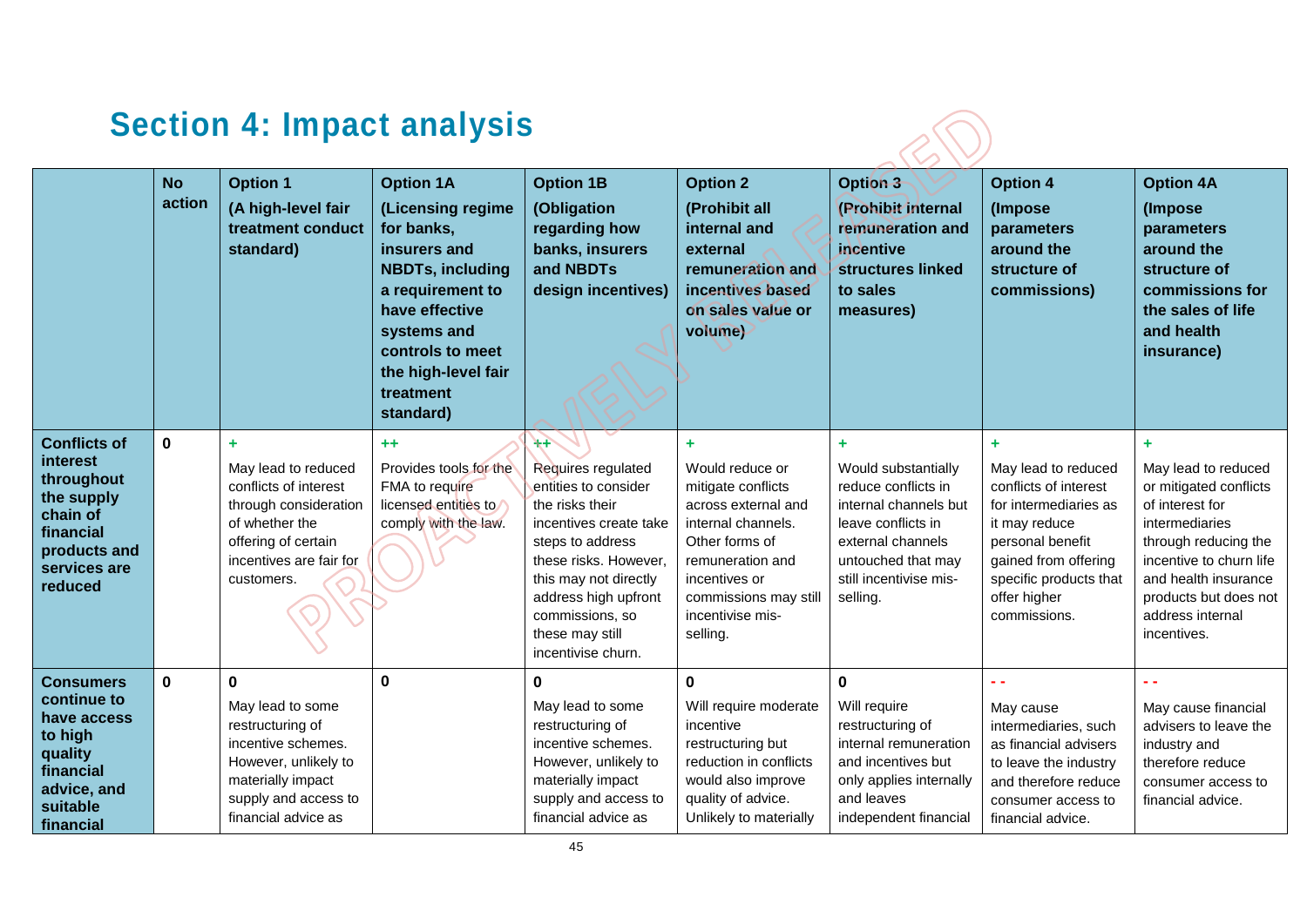# **Section 4: Impact analysis**

|                                                                                                                                 | <b>No</b><br>action | <b>Option 1</b><br>(A high-level fair<br>treatment conduct<br>standard)                                                                                               | <b>Option 1A</b><br>(Licensing regime<br>for banks,<br>insurers and<br><b>NBDTs, including</b><br>a requirement to<br>have effective<br>systems and<br>controls to meet<br>the high-level fair<br>treatment<br>standard) | <b>Option 1B</b><br>(Obligation<br>regarding how<br>banks, insurers<br>and NBDTs<br>design incentives)                                                                                                                                                   | <b>Option 2</b><br>(Prohibit all<br>internal and<br>external<br>remuneration and<br>incentives based<br>on sales value or<br>volume)                                                               | Option 3<br>(Prohibit internal<br>remuneration and<br>incentive<br>structures linked<br>to sales<br>measures)                                                                    | <b>Option 4</b><br>(Impose<br>parameters<br>around the<br>structure of<br>commissions)                                                                                                            | <b>Option 4A</b><br>(Impose<br>parameters<br>around the<br>structure of<br>commissions for<br>the sales of life<br>and health<br>insurance)                                                                                    |
|---------------------------------------------------------------------------------------------------------------------------------|---------------------|-----------------------------------------------------------------------------------------------------------------------------------------------------------------------|--------------------------------------------------------------------------------------------------------------------------------------------------------------------------------------------------------------------------|----------------------------------------------------------------------------------------------------------------------------------------------------------------------------------------------------------------------------------------------------------|----------------------------------------------------------------------------------------------------------------------------------------------------------------------------------------------------|----------------------------------------------------------------------------------------------------------------------------------------------------------------------------------|---------------------------------------------------------------------------------------------------------------------------------------------------------------------------------------------------|--------------------------------------------------------------------------------------------------------------------------------------------------------------------------------------------------------------------------------|
| <b>Conflicts of</b><br>interest<br>throughout<br>the supply<br>chain of<br>financial<br>products and<br>services are<br>reduced | $\mathbf 0$         | ÷<br>May lead to reduced<br>conflicts of interest<br>through consideration<br>of whether the<br>offering of certain<br>incentives are fair for<br>customers.          | $+ +$<br>Provides tools for the<br>FMA to require<br>licensed entities to<br>comply with the law.                                                                                                                        | $+$<br>Requires regulated<br>entities to consider<br>the risks their<br>incentives create take<br>steps to address<br>these risks. However,<br>this may not directly<br>address high upfront<br>commissions, so<br>these may still<br>incentivise churn. | Would reduce or<br>mitigate conflicts<br>across external and<br>internal channels.<br>Other forms of<br>remuneration and<br>incentives or<br>commissions may still<br>incentivise mis-<br>selling. | ÷.<br>Would substantially<br>reduce conflicts in<br>internal channels but<br>leave conflicts in<br>external channels<br>untouched that may<br>still incentivise mis-<br>selling. | ٠<br>May lead to reduced<br>conflicts of interest<br>for intermediaries as<br>it may reduce<br>personal benefit<br>gained from offering<br>specific products that<br>offer higher<br>commissions. | ÷<br>May lead to reduced<br>or mitigated conflicts<br>of interest for<br>intermediaries<br>through reducing the<br>incentive to churn life<br>and health insurance<br>products but does not<br>address internal<br>incentives. |
| <b>Consumers</b><br>continue to<br>have access<br>to high<br>quality<br>financial<br>advice, and<br>suitable<br>financial       | $\bf{0}$            | $\mathbf 0$<br>May lead to some<br>restructuring of<br>incentive schemes.<br>However, unlikely to<br>materially impact<br>supply and access to<br>financial advice as | $\mathbf 0$                                                                                                                                                                                                              | $\mathbf 0$<br>May lead to some<br>restructuring of<br>incentive schemes.<br>However, unlikely to<br>materially impact<br>supply and access to<br>financial advice as                                                                                    | 0<br>Will require moderate<br>incentive<br>restructuring but<br>reduction in conflicts<br>would also improve<br>quality of advice.<br>Unlikely to materially                                       | $\mathbf 0$<br>Will require<br>restructuring of<br>internal remuneration<br>and incentives but<br>only applies internally<br>and leaves<br>independent financial                 | May cause<br>intermediaries, such<br>as financial advisers<br>to leave the industry<br>and therefore reduce<br>consumer access to<br>financial advice.                                            | May cause financial<br>advisers to leave the<br>industry and<br>therefore reduce<br>consumer access to<br>financial advice.                                                                                                    |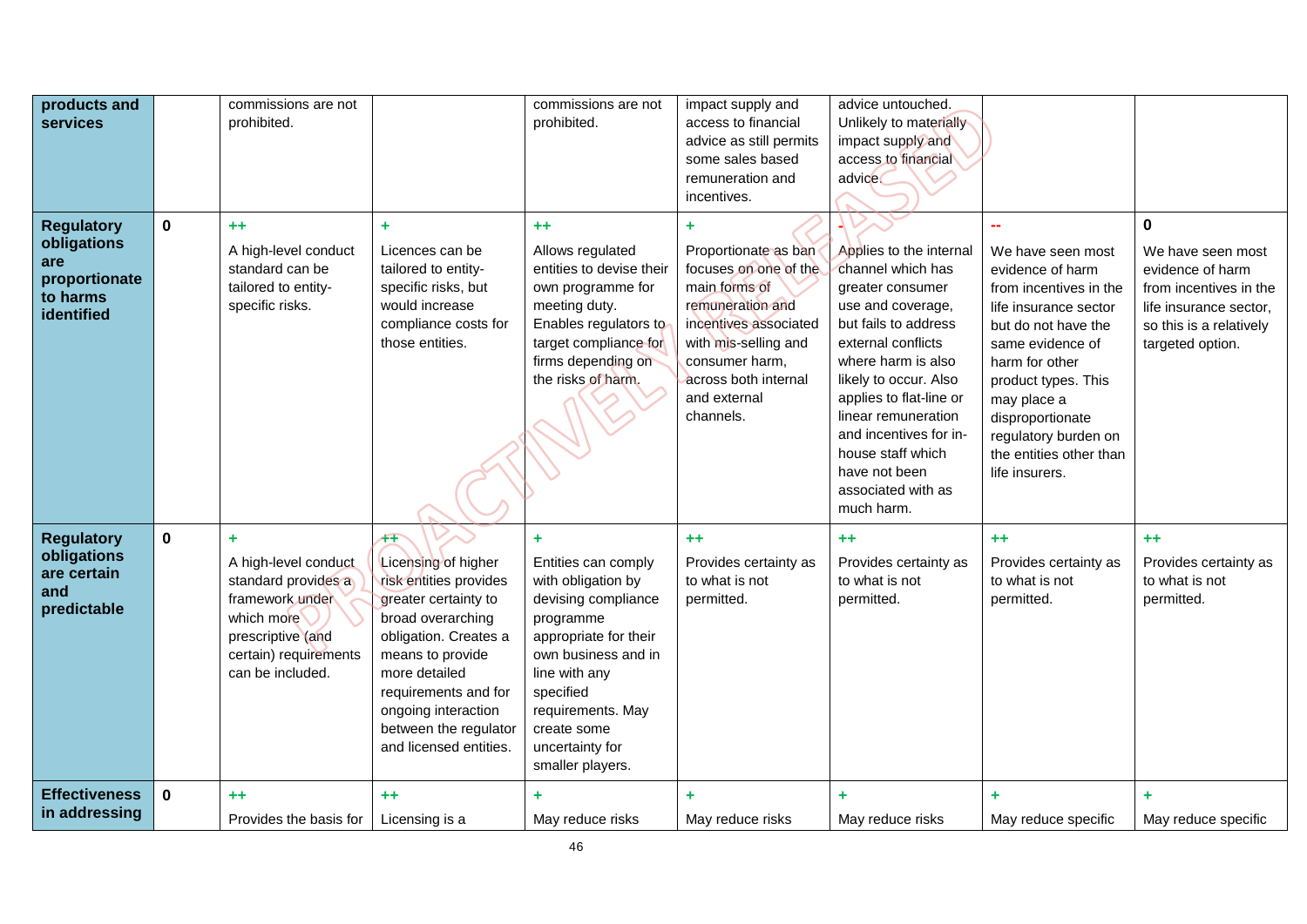| products and<br>services                                                           |             | commissions are not<br>prohibited.                                                                                                                  |                                                                                                                                                                                                                                                                   | commissions are not<br>prohibited.                                                                                                                                                                                                          | impact supply and<br>access to financial<br>advice as still permits<br>some sales based<br>remuneration and<br>incentives.                                                                                      | advice untouched.<br>Unlikely to materially<br>impact supply and<br>access to financial<br>advice.                                                                                                                                                                                                                                       |                                                                                                                                                                                                                                                                                      |                                                                                                                                                      |
|------------------------------------------------------------------------------------|-------------|-----------------------------------------------------------------------------------------------------------------------------------------------------|-------------------------------------------------------------------------------------------------------------------------------------------------------------------------------------------------------------------------------------------------------------------|---------------------------------------------------------------------------------------------------------------------------------------------------------------------------------------------------------------------------------------------|-----------------------------------------------------------------------------------------------------------------------------------------------------------------------------------------------------------------|------------------------------------------------------------------------------------------------------------------------------------------------------------------------------------------------------------------------------------------------------------------------------------------------------------------------------------------|--------------------------------------------------------------------------------------------------------------------------------------------------------------------------------------------------------------------------------------------------------------------------------------|------------------------------------------------------------------------------------------------------------------------------------------------------|
| <b>Regulatory</b><br>obligations<br>are<br>proportionate<br>to harms<br>identified | $\mathbf 0$ | $+ +$<br>A high-level conduct<br>standard can be<br>tailored to entity-<br>specific risks.                                                          | ÷<br>Licences can be<br>tailored to entity-<br>specific risks, but<br>would increase<br>compliance costs for<br>those entities.                                                                                                                                   | $+ +$<br>Allows regulated<br>entities to devise their<br>own programme for<br>meeting duty.<br>Enables regulators to<br>target compliance for<br>firms depending on<br>the risks of harm.                                                   | ٠<br>Proportionate as ban<br>focuses on one of the<br>main forms of<br>remuneration and<br>incentives associated<br>with mis-selling and<br>consumer harm,<br>across both internal<br>and external<br>channels. | Applies to the internal<br>channel which has<br>greater consumer<br>use and coverage,<br>but fails to address<br>external conflicts<br>where harm is also<br>likely to occur. Also<br>applies to flat-line or<br>linear remuneration<br>and incentives for in-<br>house staff which<br>have not been<br>associated with as<br>much harm. | We have seen most<br>evidence of harm<br>from incentives in the<br>life insurance sector<br>but do not have the<br>same evidence of<br>harm for other<br>product types. This<br>may place a<br>disproportionate<br>regulatory burden on<br>the entities other than<br>life insurers. | $\bf{0}$<br>We have seen most<br>evidence of harm<br>from incentives in the<br>life insurance sector,<br>so this is a relatively<br>targeted option. |
| <b>Regulatory</b><br>obligations<br>are certain<br>and<br>predictable              | $\mathbf 0$ | ÷<br>A high-level conduct<br>standard provides a<br>framework under<br>which more<br>prescriptive (and<br>certain) requirements<br>can be included. | $+$<br>Licensing of higher<br>risk entities provides<br>greater certainty to<br>broad overarching<br>obligation. Creates a<br>means to provide<br>more detailed<br>requirements and for<br>ongoing interaction<br>between the regulator<br>and licensed entities. | ÷<br>Entities can comply<br>with obligation by<br>devising compliance<br>programme<br>appropriate for their<br>own business and in<br>line with any<br>specified<br>requirements. May<br>create some<br>uncertainty for<br>smaller players. | $+ +$<br>Provides certainty as<br>to what is not<br>permitted.                                                                                                                                                  | $+ +$<br>Provides certainty as<br>to what is not<br>permitted.                                                                                                                                                                                                                                                                           | $++$<br>Provides certainty as<br>to what is not<br>permitted.                                                                                                                                                                                                                        | $+ +$<br>Provides certainty as<br>to what is not<br>permitted.                                                                                       |
| <b>Effectiveness</b><br>in addressing                                              | $\mathbf 0$ | $++$<br>Provides the basis for                                                                                                                      | $+ +$<br>Licensing is a                                                                                                                                                                                                                                           | May reduce risks                                                                                                                                                                                                                            | ٠<br>May reduce risks                                                                                                                                                                                           | ٠<br>May reduce risks                                                                                                                                                                                                                                                                                                                    | ٠<br>May reduce specific                                                                                                                                                                                                                                                             | ٠<br>May reduce specific                                                                                                                             |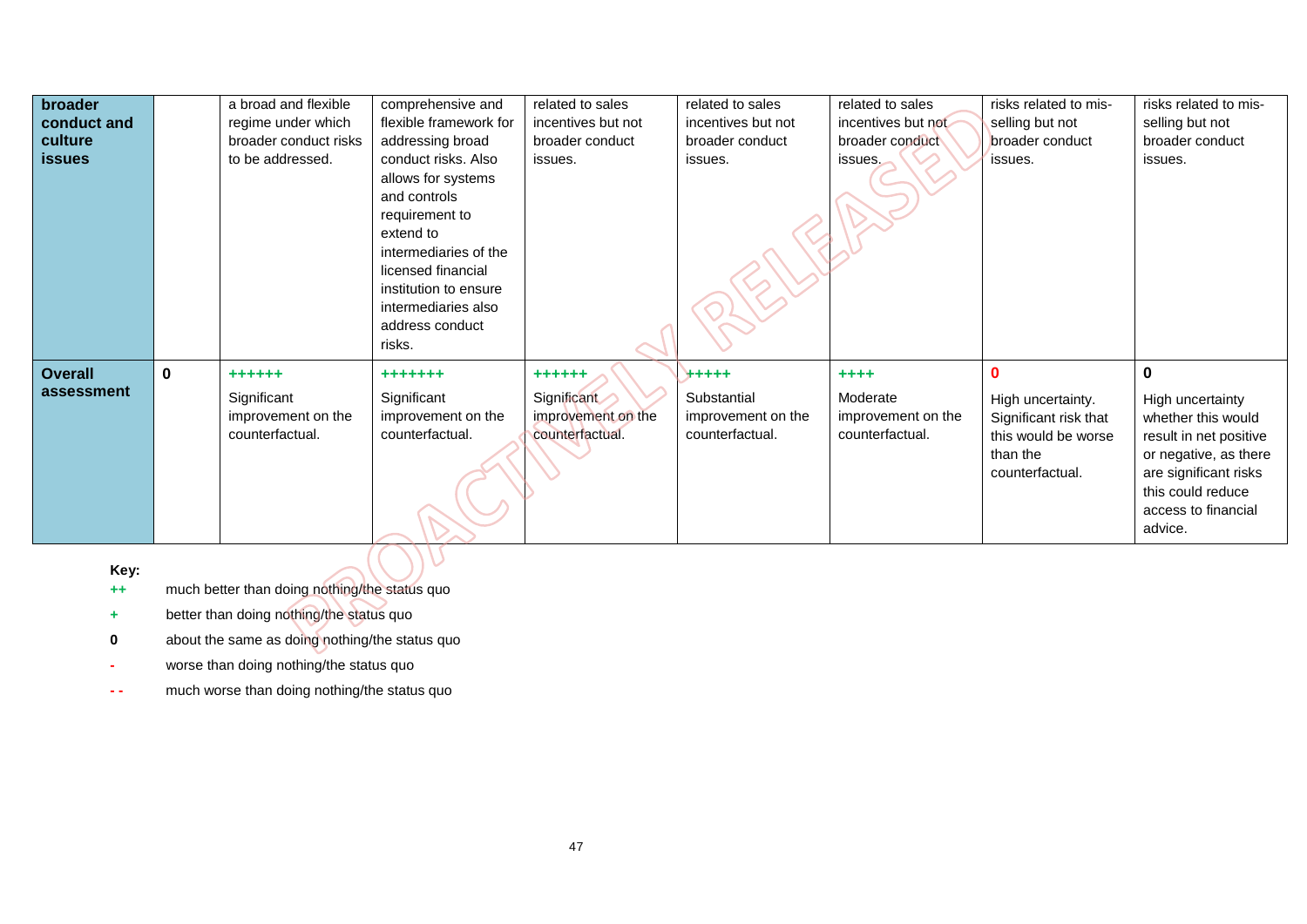| broader        |              | a broad and flexible  | comprehensive and      | related to sales   | related to sales   | related to sales   | risks related to mis- | risks related to mis-  |
|----------------|--------------|-----------------------|------------------------|--------------------|--------------------|--------------------|-----------------------|------------------------|
| conduct and    |              | regime under which    | flexible framework for | incentives but not | incentives but not | incentives but not | selling but not       | selling but not        |
| culture        |              | broader conduct risks | addressing broad       | broader conduct    | broader conduct    | broader conduct    | broader conduct       | broader conduct        |
| <b>issues</b>  |              | to be addressed.      | conduct risks. Also    | issues.            | issues.            | issues.            | issues.               | issues.                |
|                |              |                       | allows for systems     |                    |                    |                    |                       |                        |
|                |              |                       | and controls           |                    |                    |                    |                       |                        |
|                |              |                       | requirement to         |                    |                    |                    |                       |                        |
|                |              |                       | extend to              |                    |                    |                    |                       |                        |
|                |              |                       | intermediaries of the  |                    |                    |                    |                       |                        |
|                |              |                       | licensed financial     |                    |                    |                    |                       |                        |
|                |              |                       | institution to ensure  |                    |                    |                    |                       |                        |
|                |              |                       | intermediaries also    |                    |                    |                    |                       |                        |
|                |              |                       | address conduct        |                    |                    |                    |                       |                        |
|                |              |                       | risks.                 |                    |                    |                    |                       |                        |
| <b>Overall</b> | $\mathbf{0}$ | $++++++$              | +++++++                | $+ + + + + +$      | +++++              | $+ + + +$          | $\bf{0}$              | $\bf{0}$               |
| assessment     |              | Significant           | Significant            | Significant        | Substantial        | Moderate           | High uncertainty.     | High uncertainty       |
|                |              | improvement on the    | improvement on the     | improvement on the | improvement on the | improvement on the | Significant risk that | whether this would     |
|                |              | counterfactual.       | counterfactual.        | counterfactual.    | counterfactual.    | counterfactual.    | this would be worse   | result in net positive |
|                |              |                       |                        |                    |                    |                    | than the              | or negative, as there  |
|                |              |                       |                        |                    |                    |                    | counterfactual.       | are significant risks  |
|                |              |                       |                        |                    |                    |                    |                       | this could reduce      |
|                |              |                       |                        |                    |                    |                    |                       | access to financial    |
|                |              |                       |                        |                    |                    |                    |                       | advice.                |

**Key:**

**++** much better than doing nothing/the status quo

 $\overline{\mathcal{L}}$ 

- **+** better than doing nothing/the status quo
- **0** about the same as doing nothing/the status quo
- **-** worse than doing nothing/the status quo
- **-** much worse than doing nothing/the status quo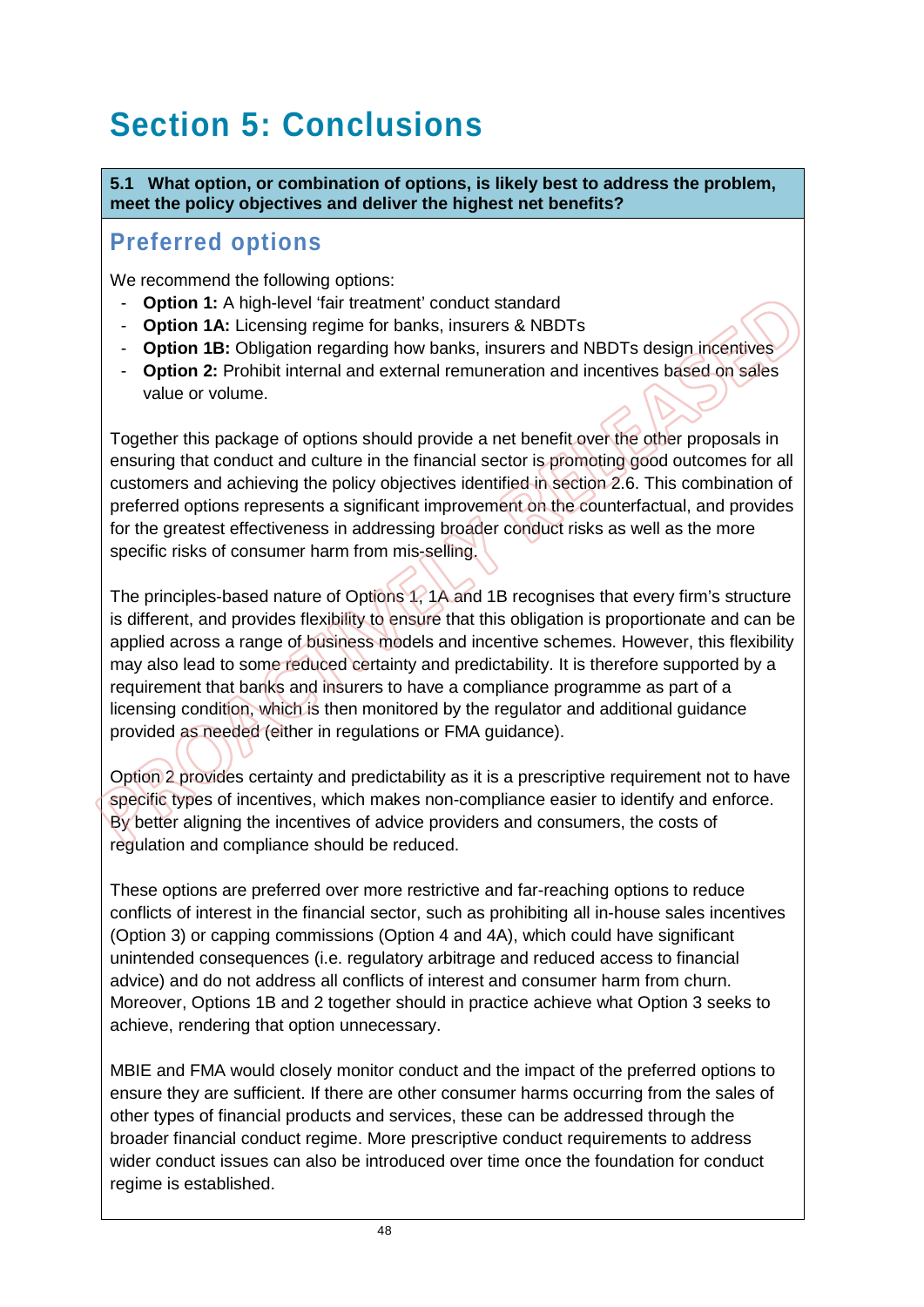# **Section 5: Conclusions**

**5.1 What option, or combination of options, is likely best to address the problem, meet the policy objectives and deliver the highest net benefits?**

### **Preferred options**

We recommend the following options:

- **Option 1:** A high-level 'fair treatment' conduct standard
- **Option 1A:** Licensing regime for banks, insurers & NBDTs
- **Option 1B:** Obligation regarding how banks, insurers and NBDTs design incentives
- **Option 2:** Prohibit internal and external remuneration and incentives based on sales value or volume.

Together this package of options should provide a net benefit over the other proposals in ensuring that conduct and culture in the financial sector is promoting good outcomes for all customers and achieving the policy objectives identified in section 2.6. This combination of preferred options represents a significant improvement on the counterfactual, and provides for the greatest effectiveness in addressing broader conduct risks as well as the more specific risks of consumer harm from mis-selling.

The principles-based nature of Options 1, 1A and 1B recognises that every firm's structure is different, and provides flexibility to ensure that this obligation is proportionate and can be applied across a range of business models and incentive schemes. However, this flexibility may also lead to some reduced certainty and predictability. It is therefore supported by a requirement that banks and insurers to have a compliance programme as part of a licensing condition, which is then monitored by the regulator and additional guidance provided as needed (either in regulations or FMA guidance).

Option 2 provides certainty and predictability as it is a prescriptive requirement not to have specific types of incentives, which makes non-compliance easier to identify and enforce. By better aligning the incentives of advice providers and consumers, the costs of regulation and compliance should be reduced.

These options are preferred over more restrictive and far-reaching options to reduce conflicts of interest in the financial sector, such as prohibiting all in-house sales incentives (Option 3) or capping commissions (Option 4 and 4A), which could have significant unintended consequences (i.e. regulatory arbitrage and reduced access to financial advice) and do not address all conflicts of interest and consumer harm from churn. Moreover, Options 1B and 2 together should in practice achieve what Option 3 seeks to achieve, rendering that option unnecessary.

MBIE and FMA would closely monitor conduct and the impact of the preferred options to ensure they are sufficient. If there are other consumer harms occurring from the sales of other types of financial products and services, these can be addressed through the broader financial conduct regime. More prescriptive conduct requirements to address wider conduct issues can also be introduced over time once the foundation for conduct regime is established.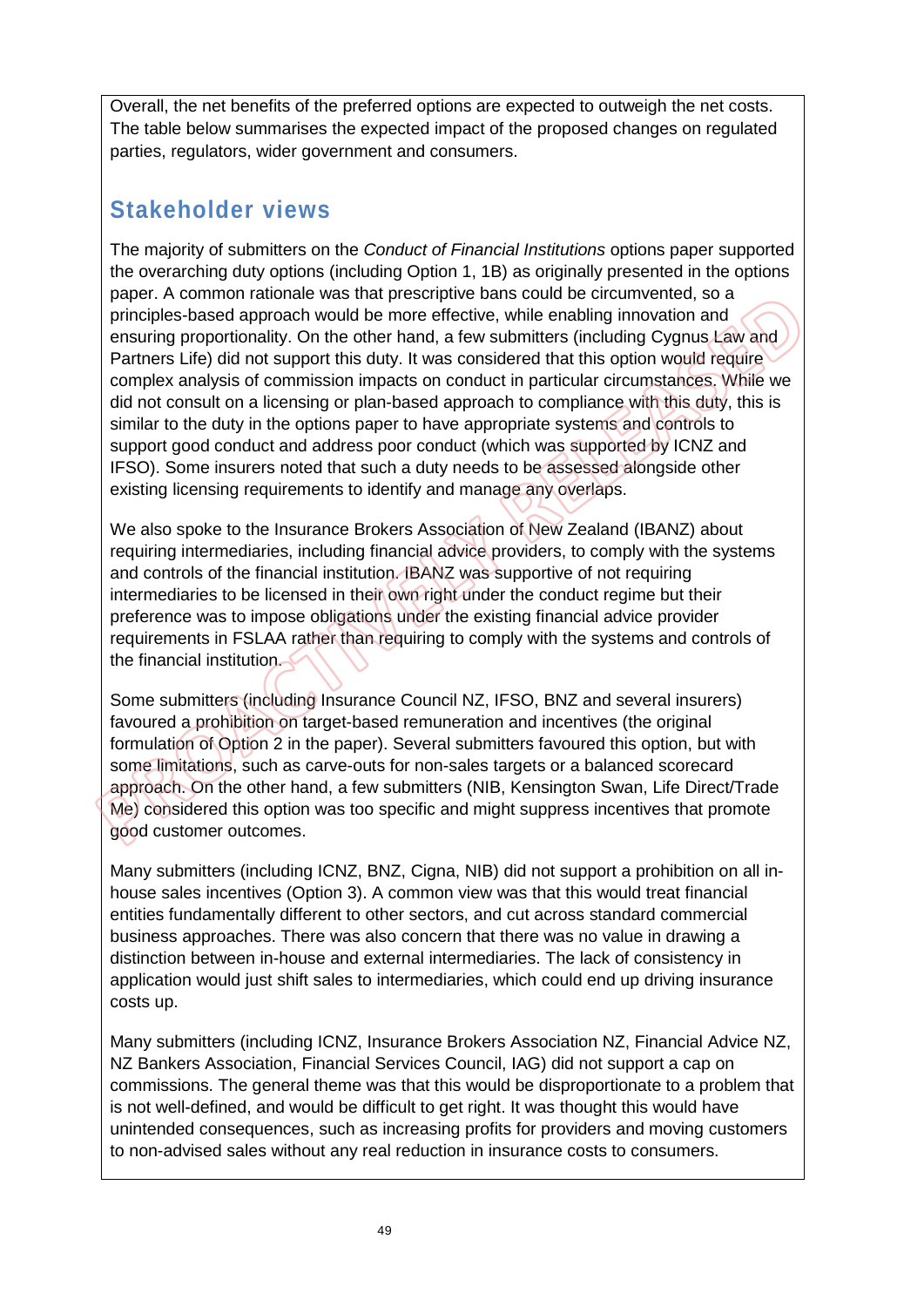Overall, the net benefits of the preferred options are expected to outweigh the net costs. The table below summarises the expected impact of the proposed changes on regulated parties, regulators, wider government and consumers.

## **Stakeholder views**

The majority of submitters on the *Conduct of Financial Institutions* options paper supported the overarching duty options (including Option 1, 1B) as originally presented in the options paper. A common rationale was that prescriptive bans could be circumvented, so a principles-based approach would be more effective, while enabling innovation and ensuring proportionality. On the other hand, a few submitters (including Cygnus Law and Partners Life) did not support this duty. It was considered that this option would require complex analysis of commission impacts on conduct in particular circumstances. While we did not consult on a licensing or plan-based approach to compliance with this duty, this is similar to the duty in the options paper to have appropriate systems and controls to support good conduct and address poor conduct (which was supported by ICNZ and IFSO). Some insurers noted that such a duty needs to be assessed alongside other existing licensing requirements to identify and manage any overlaps.

We also spoke to the Insurance Brokers Association of New Zealand (IBANZ) about requiring intermediaries, including financial advice providers, to comply with the systems and controls of the financial institution. IBANZ was supportive of not requiring intermediaries to be licensed in their own right under the conduct regime but their preference was to impose obligations under the existing financial advice provider requirements in FSLAA rather than requiring to comply with the systems and controls of the financial institution.

Some submitters (including Insurance Council NZ, IFSO, BNZ and several insurers) favoured a prohibition on target-based remuneration and incentives (the original formulation of Option 2 in the paper). Several submitters favoured this option, but with some limitations, such as carve-outs for non-sales targets or a balanced scorecard approach. On the other hand, a few submitters (NIB, Kensington Swan, Life Direct/Trade Me) considered this option was too specific and might suppress incentives that promote good customer outcomes.

Many submitters (including ICNZ, BNZ, Cigna, NIB) did not support a prohibition on all inhouse sales incentives (Option 3). A common view was that this would treat financial entities fundamentally different to other sectors, and cut across standard commercial business approaches. There was also concern that there was no value in drawing a distinction between in-house and external intermediaries. The lack of consistency in application would just shift sales to intermediaries, which could end up driving insurance costs up.

Many submitters (including ICNZ, Insurance Brokers Association NZ, Financial Advice NZ, NZ Bankers Association, Financial Services Council, IAG) did not support a cap on commissions. The general theme was that this would be disproportionate to a problem that is not well-defined, and would be difficult to get right. It was thought this would have unintended consequences, such as increasing profits for providers and moving customers to non-advised sales without any real reduction in insurance costs to consumers.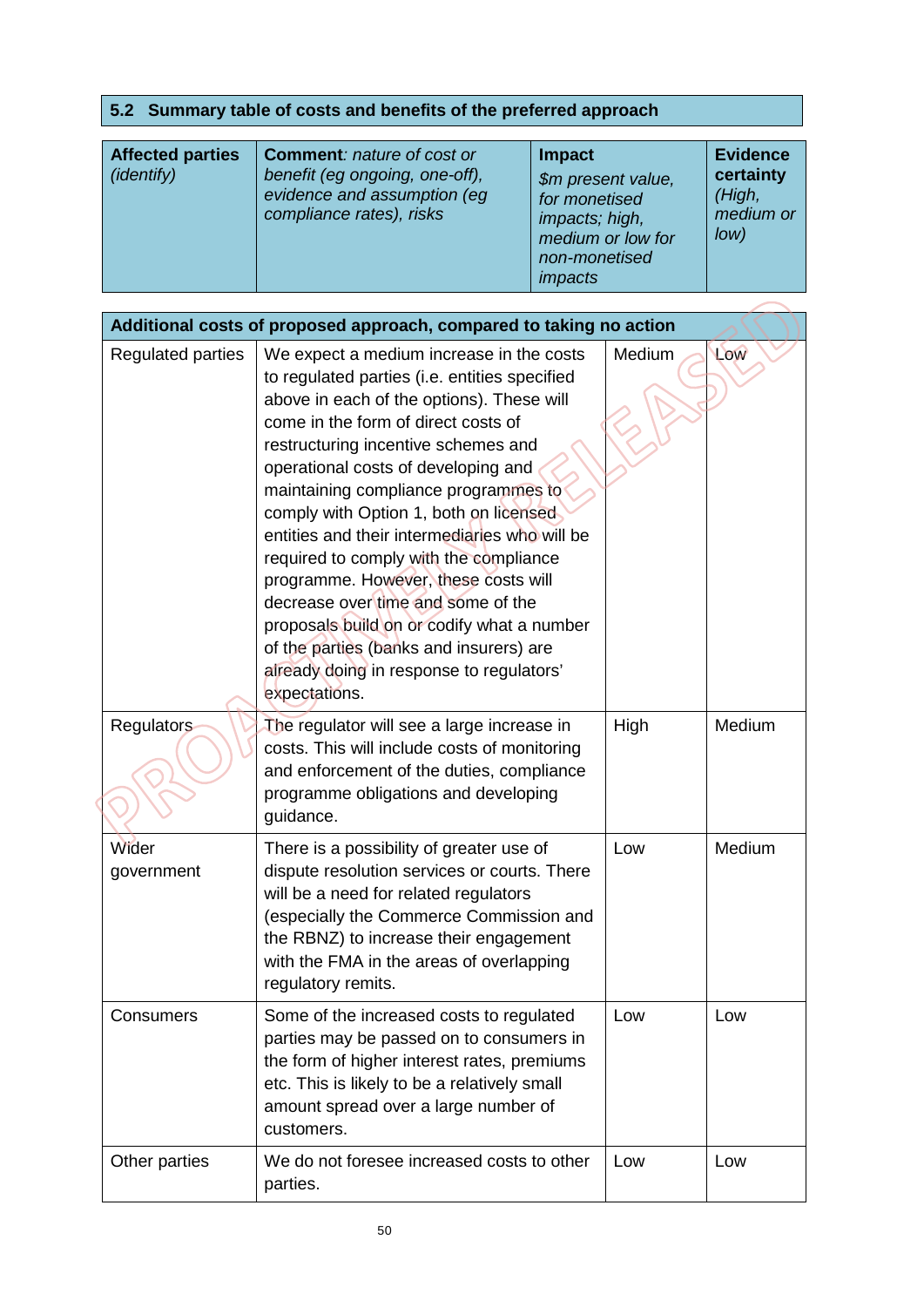### **5.2 Summary table of costs and benefits of the preferred approach**

| <b>Affected parties</b><br>(identify) | <b>Comment: nature of cost or</b><br>benefit (eg ongoing, one-off),<br>evidence and assumption (eg<br>compliance rates), risks | <b>Impact</b><br>\$m present value,<br>for monetised<br>impacts; high,<br>medium or low for<br>non-monetised<br><i>impacts</i> | <b>Evidence</b><br>certainty<br>(High,<br>medium or<br>low) |
|---------------------------------------|--------------------------------------------------------------------------------------------------------------------------------|--------------------------------------------------------------------------------------------------------------------------------|-------------------------------------------------------------|
|---------------------------------------|--------------------------------------------------------------------------------------------------------------------------------|--------------------------------------------------------------------------------------------------------------------------------|-------------------------------------------------------------|

| Additional costs of proposed approach, compared to taking no action |                                                                                                                                                                                                                                                                                                                                                                                                                                                                                                                                                                                                                                                                              |        |        |  |  |  |  |
|---------------------------------------------------------------------|------------------------------------------------------------------------------------------------------------------------------------------------------------------------------------------------------------------------------------------------------------------------------------------------------------------------------------------------------------------------------------------------------------------------------------------------------------------------------------------------------------------------------------------------------------------------------------------------------------------------------------------------------------------------------|--------|--------|--|--|--|--|
| <b>Regulated parties</b>                                            | We expect a medium increase in the costs<br>to regulated parties (i.e. entities specified<br>above in each of the options). These will<br>come in the form of direct costs of<br>restructuring incentive schemes and<br>operational costs of developing and<br>maintaining compliance programmes to<br>comply with Option 1, both on licensed<br>entities and their intermediaries who will be<br>required to comply with the compliance<br>programme. However, these costs will<br>decrease over time and some of the<br>proposals build on or codify what a number<br>of the parties (banks and insurers) are<br>already doing in response to regulators'<br>expectations. | Medium | Low    |  |  |  |  |
| <b>Regulators</b>                                                   | The regulator will see a large increase in<br>costs. This will include costs of monitoring<br>and enforcement of the duties, compliance<br>programme obligations and developing<br>guidance.                                                                                                                                                                                                                                                                                                                                                                                                                                                                                 | High   | Medium |  |  |  |  |
| Wider<br>government                                                 | There is a possibility of greater use of<br>dispute resolution services or courts. There<br>will be a need for related regulators<br>(especially the Commerce Commission and<br>the RBNZ) to increase their engagement<br>with the FMA in the areas of overlapping<br>regulatory remits.                                                                                                                                                                                                                                                                                                                                                                                     | Low    | Medium |  |  |  |  |
| Consumers                                                           | Some of the increased costs to regulated<br>parties may be passed on to consumers in<br>the form of higher interest rates, premiums<br>etc. This is likely to be a relatively small<br>amount spread over a large number of<br>customers.                                                                                                                                                                                                                                                                                                                                                                                                                                    | Low    | Low    |  |  |  |  |
| Other parties                                                       | We do not foresee increased costs to other<br>parties.                                                                                                                                                                                                                                                                                                                                                                                                                                                                                                                                                                                                                       | Low    | Low    |  |  |  |  |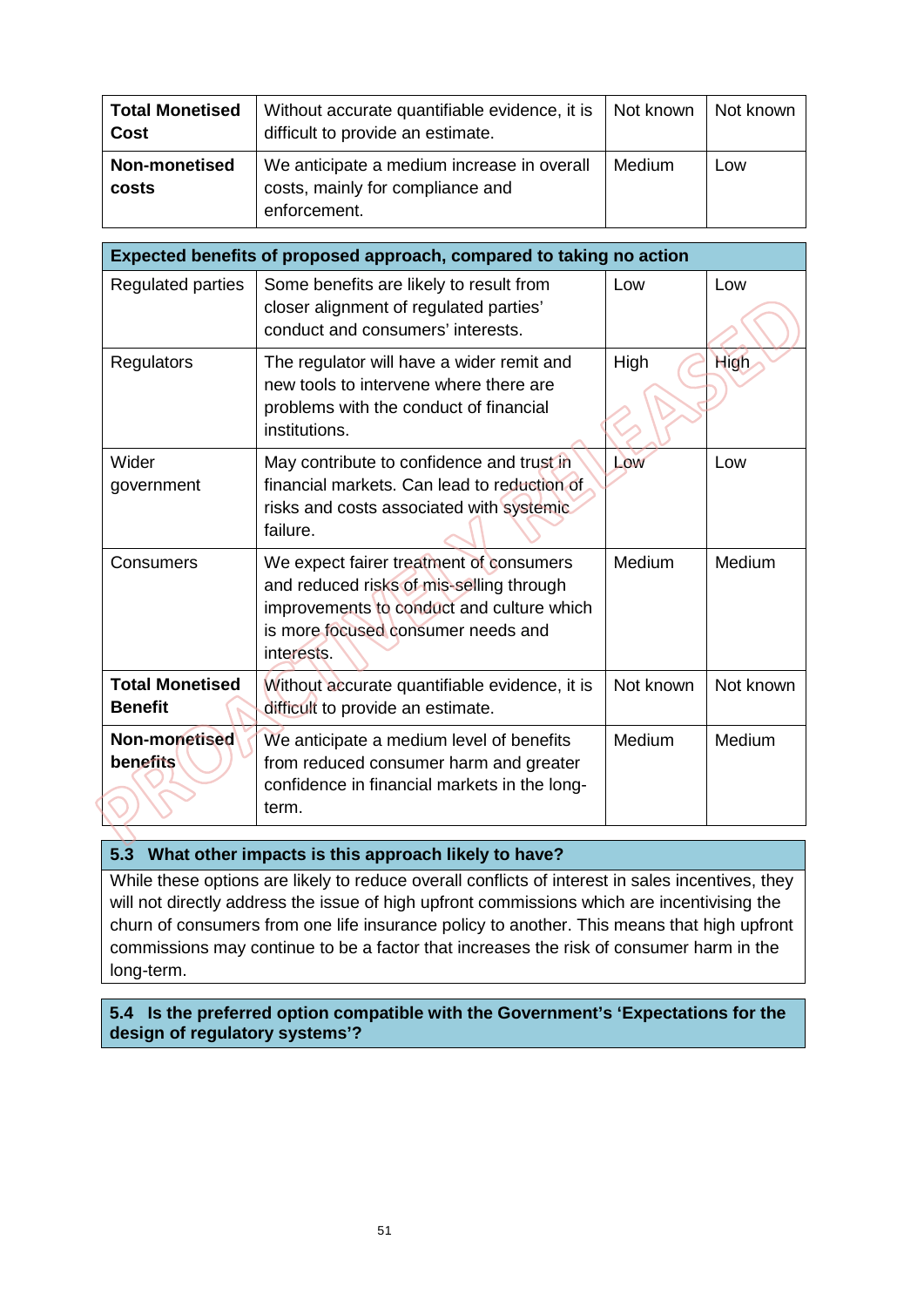| <b>Total Monetised</b><br><b>Cost</b> | Without accurate quantifiable evidence, it is<br>difficult to provide an estimate.             | Not known | Not known |
|---------------------------------------|------------------------------------------------------------------------------------------------|-----------|-----------|
| <b>Non-monetised</b><br>costs         | We anticipate a medium increase in overall<br>costs, mainly for compliance and<br>enforcement. | Medium    | Low       |

| Expected benefits of proposed approach, compared to taking no action |                                                                                                                                                                                      |           |           |  |  |  |  |
|----------------------------------------------------------------------|--------------------------------------------------------------------------------------------------------------------------------------------------------------------------------------|-----------|-----------|--|--|--|--|
| Regulated parties                                                    | Some benefits are likely to result from<br>closer alignment of regulated parties'<br>conduct and consumers' interests.                                                               | Low       | Low       |  |  |  |  |
| Regulators                                                           | The regulator will have a wider remit and<br>new tools to intervene where there are<br>problems with the conduct of financial<br>institutions.                                       | High      | High      |  |  |  |  |
| Wider<br>government                                                  | May contribute to confidence and trust in<br>financial markets. Can lead to reduction of<br>risks and costs associated with systemic.<br>failure.                                    | Low       | Low       |  |  |  |  |
| Consumers                                                            | We expect fairer treatment of consumers<br>and reduced risks of mis-selling through<br>improvements to conduct and culture which<br>is more focused consumer needs and<br>interests. | Medium    | Medium    |  |  |  |  |
| <b>Total Monetised</b><br><b>Benefit</b>                             | Without accurate quantifiable evidence, it is<br>difficult to provide an estimate.                                                                                                   | Not known | Not known |  |  |  |  |
| Non-monetised<br>benefits                                            | We anticipate a medium level of benefits<br>from reduced consumer harm and greater<br>confidence in financial markets in the long-<br>term.                                          | Medium    | Medium    |  |  |  |  |

#### **5.3 What other impacts is this approach likely to have?**

While these options are likely to reduce overall conflicts of interest in sales incentives, they will not directly address the issue of high upfront commissions which are incentivising the churn of consumers from one life insurance policy to another. This means that high upfront commissions may continue to be a factor that increases the risk of consumer harm in the long-term.

**5.4 Is the preferred option compatible with the Government's 'Expectations for the design of regulatory systems'?**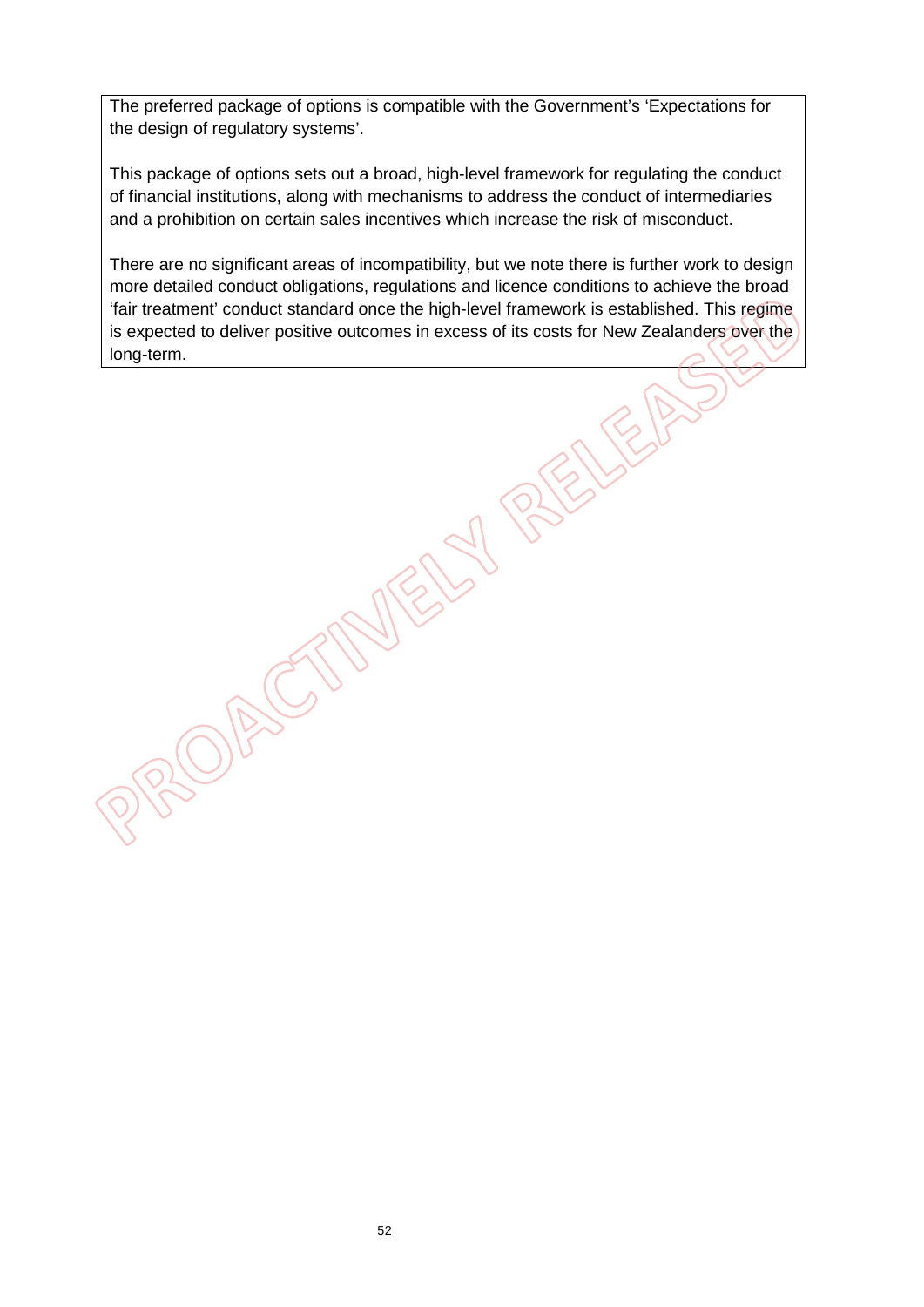The preferred package of options is compatible with the Government's 'Expectations for the design of regulatory systems'.

This package of options sets out a broad, high-level framework for regulating the conduct of financial institutions, along with mechanisms to address the conduct of intermediaries and a prohibition on certain sales incentives which increase the risk of misconduct.

There are no significant areas of incompatibility, but we note there is further work to design more detailed conduct obligations, regulations and licence conditions to achieve the broad 'fair treatment' conduct standard once the high-level framework is established. This regime is expected to deliver positive outcomes in excess of its costs for New Zealanders over the long-term.

52

OBSC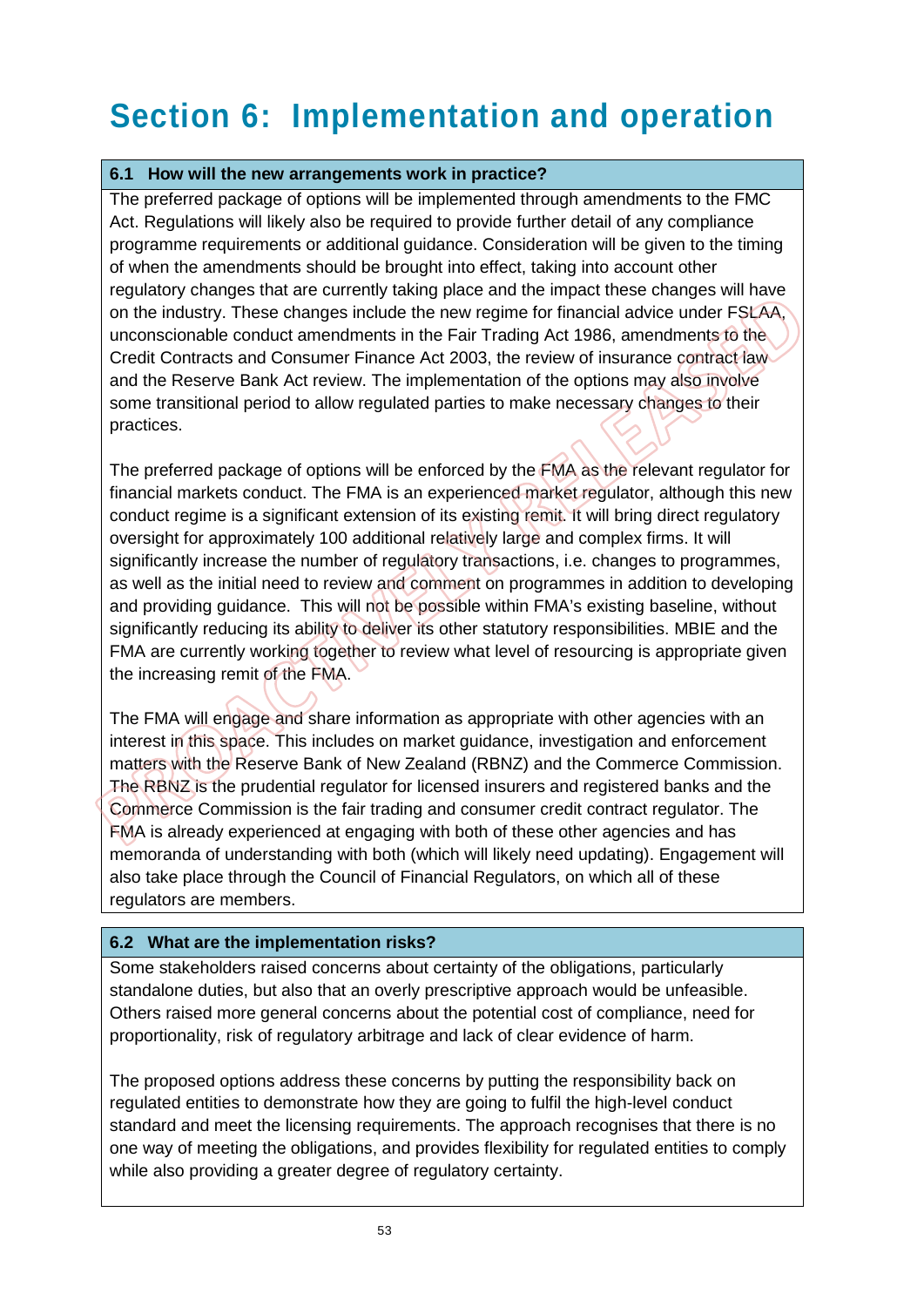# **Section 6: Implementation and operation**

#### **6.1 How will the new arrangements work in practice?**

The preferred package of options will be implemented through amendments to the FMC Act. Regulations will likely also be required to provide further detail of any compliance programme requirements or additional guidance. Consideration will be given to the timing of when the amendments should be brought into effect, taking into account other regulatory changes that are currently taking place and the impact these changes will have on the industry. These changes include the new regime for financial advice under FSLAA, unconscionable conduct amendments in the Fair Trading Act 1986, amendments to the Credit Contracts and Consumer Finance Act 2003, the review of insurance contract law and the Reserve Bank Act review. The implementation of the options may also involve some transitional period to allow regulated parties to make necessary changes to their practices.

The preferred package of options will be enforced by the FMA as the relevant regulator for financial markets conduct. The FMA is an experienced market regulator, although this new conduct regime is a significant extension of its existing remit. It will bring direct regulatory oversight for approximately 100 additional relatively large and complex firms. It will significantly increase the number of regulatory transactions, i.e. changes to programmes, as well as the initial need to review and comment on programmes in addition to developing and providing guidance. This will not be possible within FMA's existing baseline, without significantly reducing its ability to deliver its other statutory responsibilities. MBIE and the FMA are currently working together to review what level of resourcing is appropriate given the increasing remit of the FMA.

The FMA will engage and share information as appropriate with other agencies with an interest in this space. This includes on market guidance, investigation and enforcement matters with the Reserve Bank of New Zealand (RBNZ) and the Commerce Commission. The RBNZ is the prudential regulator for licensed insurers and registered banks and the Commerce Commission is the fair trading and consumer credit contract regulator. The FMA is already experienced at engaging with both of these other agencies and has memoranda of understanding with both (which will likely need updating). Engagement will also take place through the Council of Financial Regulators, on which all of these regulators are members.

#### **6.2 What are the implementation risks?**

Some stakeholders raised concerns about certainty of the obligations, particularly standalone duties, but also that an overly prescriptive approach would be unfeasible. Others raised more general concerns about the potential cost of compliance, need for proportionality, risk of regulatory arbitrage and lack of clear evidence of harm.

The proposed options address these concerns by putting the responsibility back on regulated entities to demonstrate how they are going to fulfil the high-level conduct standard and meet the licensing requirements. The approach recognises that there is no one way of meeting the obligations, and provides flexibility for regulated entities to comply while also providing a greater degree of regulatory certainty.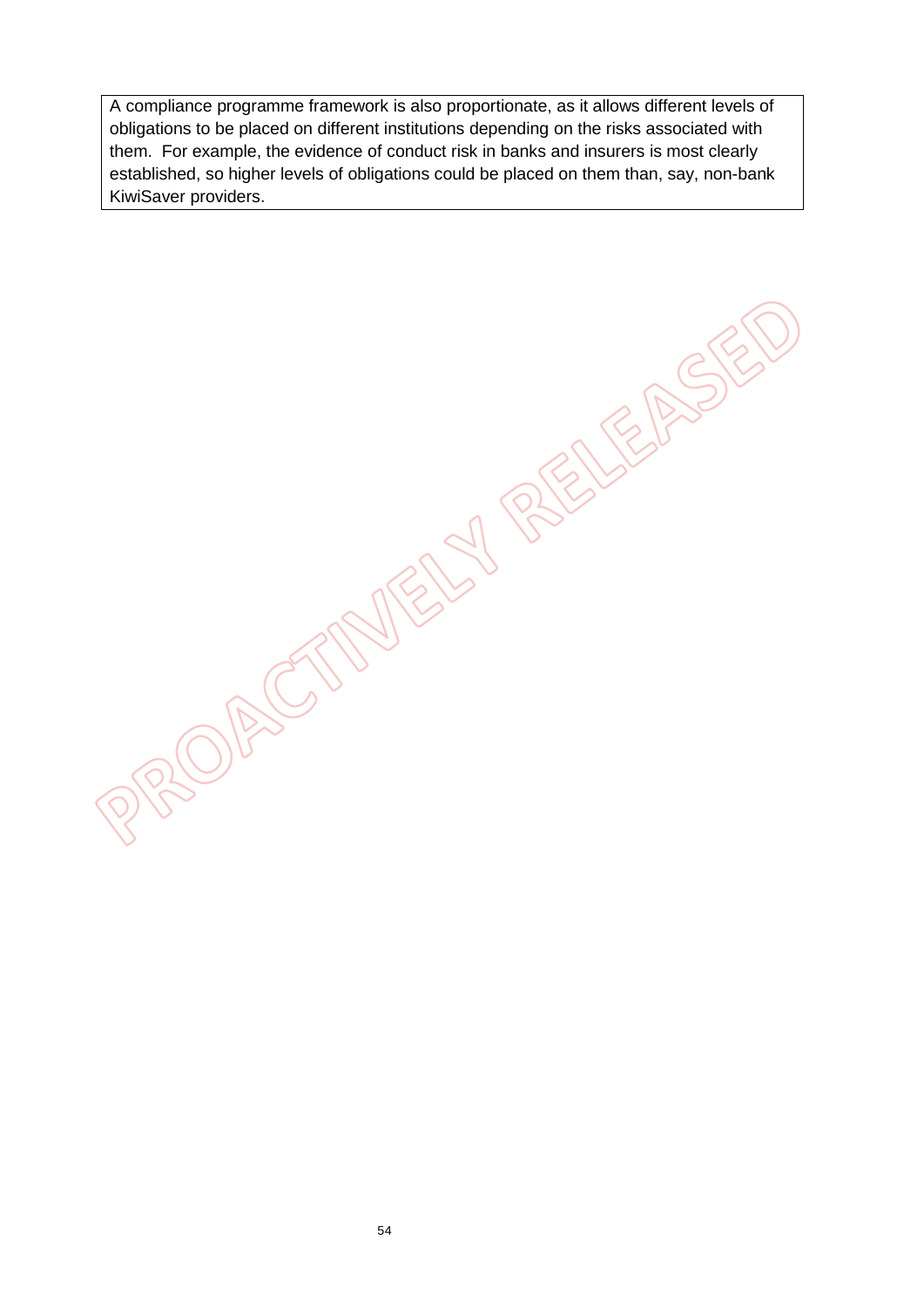A compliance programme framework is also proportionate, as it allows different levels of obligations to be placed on different institutions depending on the risks associated with them. For example, the evidence of conduct risk in banks and insurers is most clearly established, so higher levels of obligations could be placed on them than, say, non-bank KiwiSaver providers.

**CORSONELY RELEASE**